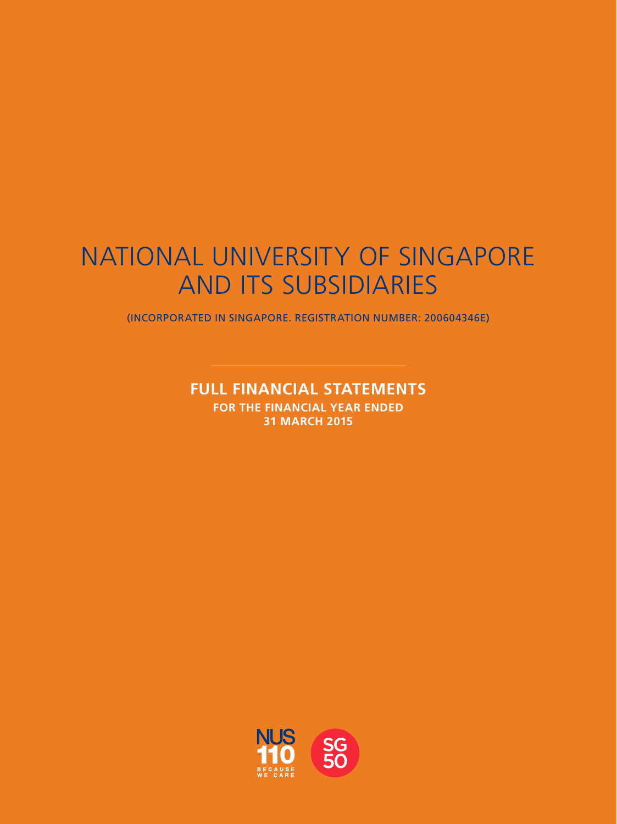# NATIONAL UNIVERSITY OF SINGAPORE AND ITS SUBSIDIARIES

(INCORPORATED IN SINGAPORE. REGISTRATION NUMBER: 200604346E)

**FULL FINANCIAL STATEMENTS FOR THE FINANCIAL YEAR ENDED 31 MARCH 2015**

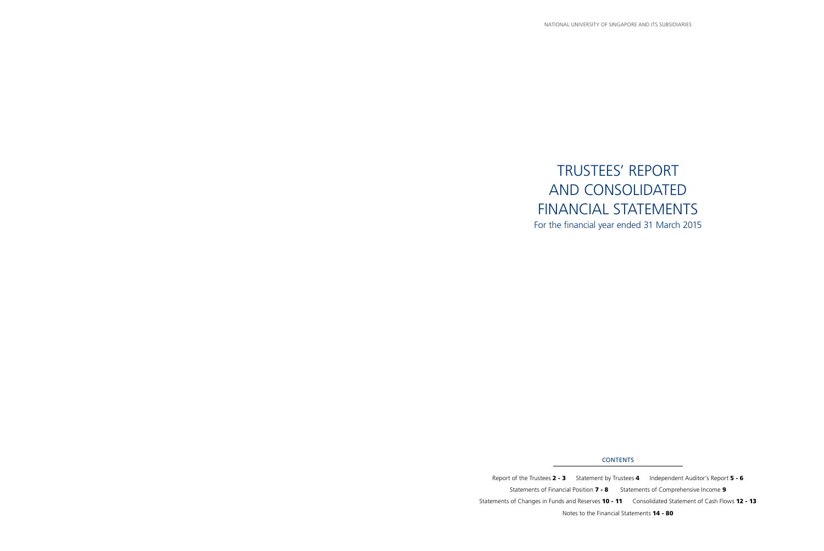# TRUSTEES' REPORT AND CONSOLIDATED FINANCIAL STATEMENTS For the financial year ended 31 March 2015

CONTENTS

Report of the Trustees 2 - 3 Statement by Trustees 4 Independent Auditor's Report 5 - 6 Statements of Financial Position 7 - 8 Statements of Comprehensive Income 9 Statements of Changes in Funds and Reserves 10 - 11 Consolidated Statement of Cash Flows 12 - 13 Notes to the Financial Statements 14 - 80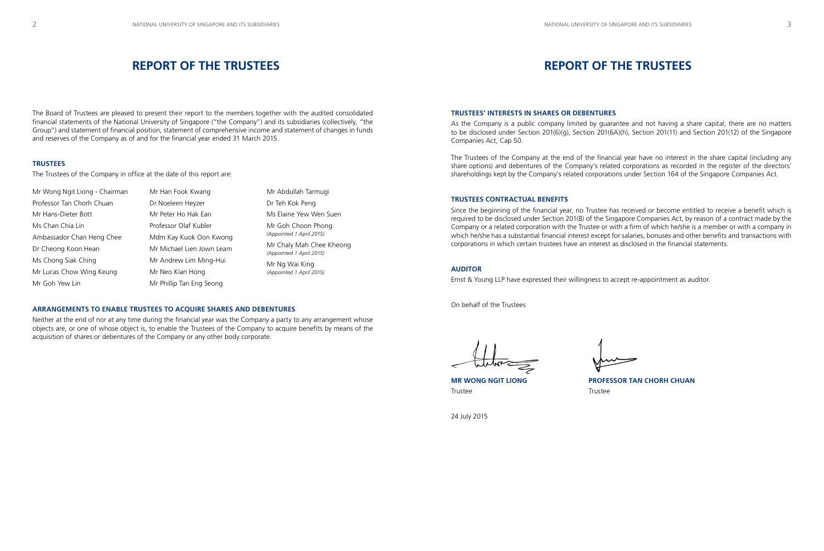## **REPORT OF THE TRUSTEES REPORT OF THE TRUSTEES**

The Board of Trustees are pleased to present their report to the members together with the audited consolidated financial statements of the National University of Singapore ("the Company") and its subsidiaries (collectively, "the Group") and statement of financial position, statement of comprehensive income and statement of changes in funds and reserves of the Company as of and for the financial year ended 31 March 2015.

#### **TRUSTEES**

The Trustees of the Company in office at the date of this report are:

| Mr Wong Ngit Liong - Chairman | Mr Han Fook Kwang         |
|-------------------------------|---------------------------|
| Professor Tan Chorh Chuan     | Dr Noeleen Heyzer         |
| Mr Hans-Dieter Bott           | Mr Peter Ho Hak Ean       |
| Ms Chan Chia Lin              | Professor Olaf Kubler     |
| Ambassador Chan Heng Chee     | Mdm Kay Kuok Oon Kwong    |
| Dr Cheong Koon Hean           | Mr Michael Lien Jown Leam |
| Ms Chong Siak Ching           | Mr Andrew Lim Ming-Hui    |
| Mr Lucas Chow Wing Keung      | Mr Neo Kian Hong          |
| Mr Goh Yew Lin                | Mr Phillip Tan Eng Seong  |

Mr Abdullah Tarmugi Dr Teh Kok Peng Ms Elaine Yew Wen Suen Mr Goh Choon Phong *(Appointed 1 April 2015)* Mr Chaly Mah Chee Kheong *(Appointed 1 April 2015)* Mr Ng Wai King *(Appointed 1 April 2015)*

#### **ARRANGEMENTS TO ENABLE TRUSTEES TO ACQUIRE SHARES AND DEBENTURES**

Neither at the end of nor at any time during the financial year was the Company a party to any arrangement whose objects are, or one of whose object is, to enable the Trustees of the Company to acquire benefits by means of the acquisition of shares or debentures of the Company or any other body corporate.

#### **TRUSTEES' INTERESTS IN SHARES OR DEBENTURES**

As the Company is a public company limited by guarantee and not having a share capital, there are no matters to be disclosed under Section 201(6)(g), Section 201(6A)(h), Section 201(11) and Section 201(12) of the Singapore Companies Act, Cap 50.

The Trustees of the Company at the end of the financial year have no interest in the share capital (including any share options) and debentures of the Company's related corporations as recorded in the register of the directors' shareholdings kept by the Company's related corporations under Section 164 of the Singapore Companies Act.

#### **TRUSTEES CONTRACTUAL BENEFITS**

Since the beginning of the financial year, no Trustee has received or become entitled to receive a benefit which is required to be disclosed under Section 201(8) of the Singapore Companies Act, by reason of a contract made by the Company or a related corporation with the Trustee or with a firm of which he/she is a member or with a company in which he/she has a substantial financial interest except for salaries, bonuses and other benefits and transactions with corporations in which certain trustees have an interest as disclosed in the financial statements.

#### **AUDITOR**

Ernst & Young LLP have expressed their willingness to accept re-appointment as auditor.

On behalf of the Trustees

Trustee Trustee

**MR WONG NGIT LIONG PROFESSOR TAN CHORH CHUAN**

24 July 2015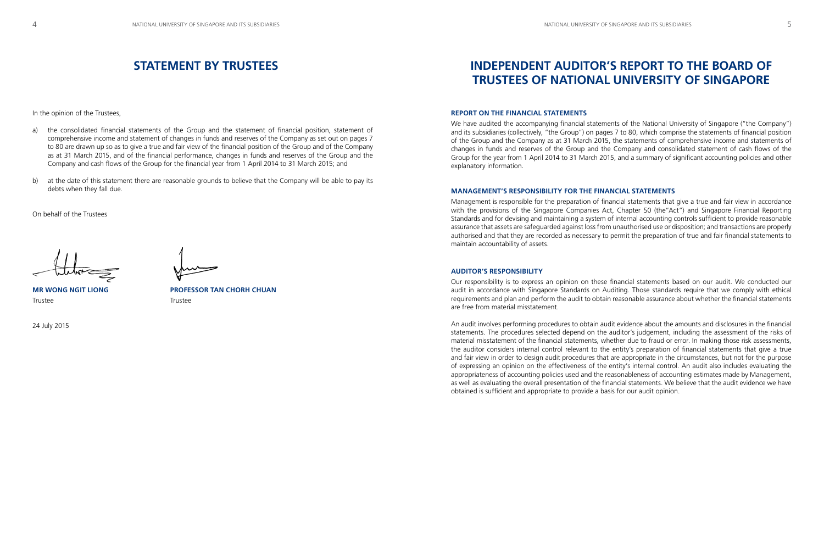### **STATEMENT BY TRUSTEES**

#### In the opinion of the Trustees,

- a) the consolidated financial statements of the Group and the statement of financial position, statement of comprehensive income and statement of changes in funds and reserves of the Company as set out on pages 7 to 80 are drawn up so as to give a true and fair view of the financial position of the Group and of the Company as at 31 March 2015, and of the financial performance, changes in funds and reserves of the Group and the Company and cash flows of the Group for the financial year from 1 April 2014 to 31 March 2015; and
- b) at the date of this statement there are reasonable grounds to believe that the Company will be able to pay its debts when they fall due.

On behalf of the Trustees



Trustee Trustee

**MR WONG NGIT LIONG PROFESSOR TAN CHORH CHUAN**

24 July 2015

## **INDEPENDENT AUDITOR'S REPORT TO THE BOARD OF TRUSTEES OF NATIONAL UNIVERSITY OF SINGAPORE**

#### **REPORT ON THE FINANCIAL STATEMENTS**

We have audited the accompanying financial statements of the National University of Singapore ("the Company") and its subsidiaries (collectively, "the Group") on pages 7 to 80, which comprise the statements of financial position of the Group and the Company as at 31 March 2015, the statements of comprehensive income and statements of changes in funds and reserves of the Group and the Company and consolidated statement of cash flows of the Group for the year from 1 April 2014 to 31 March 2015, and a summary of significant accounting policies and other explanatory information.

#### **MANAGEMENT'S RESPONSIBILITY FOR THE FINANCIAL STATEMENTS**

Management is responsible for the preparation of financial statements that give a true and fair view in accordance with the provisions of the Singapore Companies Act, Chapter 50 (the"Act") and Singapore Financial Reporting Standards and for devising and maintaining a system of internal accounting controls sufficient to provide reasonable assurance that assets are safeguarded against loss from unauthorised use or disposition; and transactions are properly authorised and that they are recorded as necessary to permit the preparation of true and fair financial statements to maintain accountability of assets.

#### **AUDITOR'S RESPONSIBILITY**

Our responsibility is to express an opinion on these financial statements based on our audit. We conducted our audit in accordance with Singapore Standards on Auditing. Those standards require that we comply with ethical requirements and plan and perform the audit to obtain reasonable assurance about whether the financial statements are free from material misstatement.

An audit involves performing procedures to obtain audit evidence about the amounts and disclosures in the financial statements. The procedures selected depend on the auditor's judgement, including the assessment of the risks of material misstatement of the financial statements, whether due to fraud or error. In making those risk assessments, the auditor considers internal control relevant to the entity's preparation of financial statements that give a true and fair view in order to design audit procedures that are appropriate in the circumstances, but not for the purpose of expressing an opinion on the effectiveness of the entity's internal control. An audit also includes evaluating the appropriateness of accounting policies used and the reasonableness of accounting estimates made by Management, as well as evaluating the overall presentation of the financial statements. We believe that the audit evidence we have obtained is sufficient and appropriate to provide a basis for our audit opinion.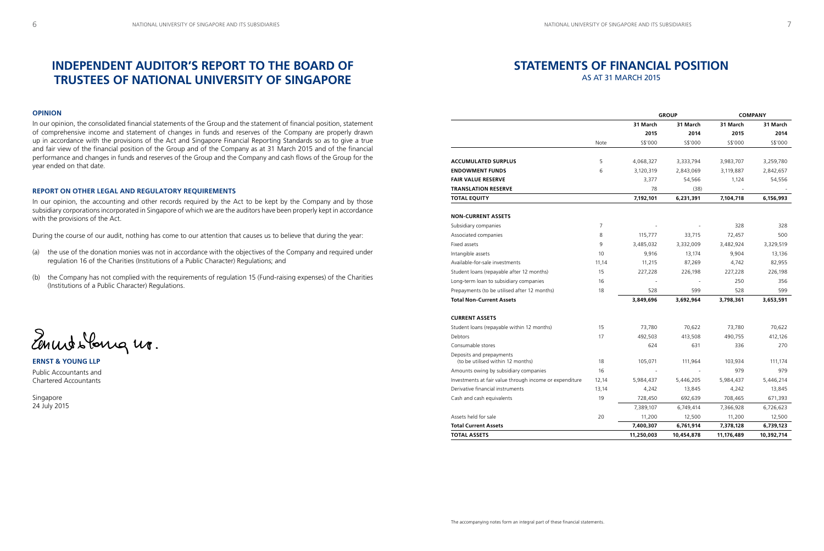## **INDEPENDENT AUDITOR'S REPORT TO THE BOARD OF TRUSTEES OF NATIONAL UNIVERSITY OF SINGAPORE**

#### **OPINION**

In our opinion, the consolidated financial statements of the Group and the statement of financial position, statement of comprehensive income and statement of changes in funds and reserves of the Company are properly drawn up in accordance with the provisions of the Act and Singapore Financial Reporting Standards so as to give a true and fair view of the financial position of the Group and of the Company as at 31 March 2015 and of the financial performance and changes in funds and reserves of the Group and the Company and cash flows of the Group for the year ended on that date.

#### **REPORT ON OTHER LEGAL AND REGULATORY REQUIREMENTS**

In our opinion, the accounting and other records required by the Act to be kept by the Company and by those subsidiary corporations incorporated in Singapore of which we are the auditors have been properly kept in accordance with the provisions of the Act.

During the course of our audit, nothing has come to our attention that causes us to believe that during the year:

- (a) the use of the donation monies was not in accordance with the objectives of the Company and required under regulation 16 of the Charities (Institutions of a Public Character) Regulations; and
- (b) the Company has not complied with the requirements of regulation 15 (Fund-raising expenses) of the Charities (Institutions of a Public Character) Regulations.

Emmitsburg no.

**ERNST & YOUNG LLP** Public Accountants and Chartered Accountants

Singapore 24 July 2015

### **STATEMENTS OF FINANCIAL POSITION** AS AT 31 MARCH 2015

|                                                         |                | <b>GROUP</b> |            | <b>COMPANY</b> |            |
|---------------------------------------------------------|----------------|--------------|------------|----------------|------------|
|                                                         |                | 31 March     | 31 March   | 31 March       | 31 March   |
|                                                         |                | 2015         | 2014       | 2015           | 2014       |
|                                                         | Note           | S\$'000      | S\$'000    | S\$'000        | S\$'000    |
| <b>ACCUMULATED SURPLUS</b>                              | 5              |              |            |                |            |
|                                                         | 6              | 4,068,327    | 3,333,794  | 3,983,707      | 3,259,780  |
| <b>ENDOWMENT FUNDS</b>                                  |                | 3,120,319    | 2,843,069  | 3,119,887      | 2,842,657  |
| <b>FAIR VALUE RESERVE</b>                               |                | 3,377        | 54,566     | 1,124          | 54,556     |
| <b>TRANSLATION RESERVE</b>                              |                | 78           | (38)       |                |            |
| <b>TOTAL EQUITY</b>                                     |                | 7,192,101    | 6,231,391  | 7,104,718      | 6,156,993  |
| <b>NON-CURRENT ASSETS</b>                               |                |              |            |                |            |
| Subsidiary companies                                    | $\overline{7}$ |              |            | 328            | 328        |
| Associated companies                                    | 8              | 115,777      | 33,715     | 72,457         | 500        |
| Fixed assets                                            | 9              | 3,485,032    | 3,332,009  | 3,482,924      | 3,329,519  |
| Intangible assets                                       | 10             | 9,916        | 13,174     | 9,904          | 13,136     |
| Available-for-sale investments                          | 11,14          | 11,215       | 87,269     | 4,742          | 82,955     |
| Student loans (repayable after 12 months)               | 15             | 227,228      | 226,198    | 227,228        | 226,198    |
| Long-term loan to subsidiary companies                  | 16             |              |            | 250            | 356        |
| Prepayments (to be utilised after 12 months)            | 18             | 528          | 599        | 528            | 599        |
| <b>Total Non-Current Assets</b>                         |                | 3,849,696    | 3,692,964  | 3,798,361      | 3,653,591  |
| <b>CURRENT ASSETS</b>                                   |                |              |            |                |            |
| Student loans (repayable within 12 months)              | 15             | 73,780       | 70,622     | 73,780         | 70,622     |
| Debtors                                                 | 17             | 492,503      | 413,508    | 490,755        | 412,126    |
| Consumable stores                                       |                | 624          | 631        | 336            | 270        |
| Deposits and prepayments                                |                |              |            |                |            |
| (to be utilised within 12 months)                       | 18             | 105,071      | 111,964    | 103,934        | 111,174    |
| Amounts owing by subsidiary companies                   | 16             |              |            | 979            | 979        |
| Investments at fair value through income or expenditure | 12,14          | 5,984,437    | 5,446,205  | 5,984,437      | 5,446,214  |
| Derivative financial instruments                        | 13,14          | 4,242        | 13,845     | 4,242          | 13,845     |
| Cash and cash equivalents                               | 19             | 728,450      | 692,639    | 708,465        | 671,393    |
|                                                         |                | 7,389,107    | 6,749,414  | 7,366,928      | 6,726,623  |
| Assets held for sale                                    | 20             | 11,200       | 12,500     | 11,200         | 12,500     |
| <b>Total Current Assets</b>                             |                | 7,400,307    | 6,761,914  | 7,378,128      | 6,739,123  |
| <b>TOTAL ASSETS</b>                                     |                | 11,250,003   | 10,454,878 | 11,176,489     | 10,392,714 |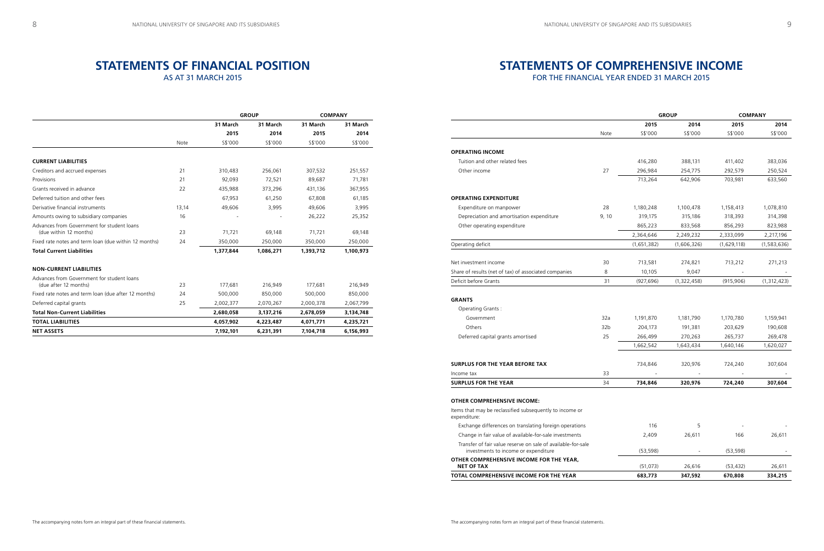# **STATEMENTS OF FINANCIAL POSITION**

AS AT 31 MARCH 2015

GROUP **COMPANY 31 March 31 March 31 March 31 March 2015 2014 2015 2014**

# **STATEMENTS OF COMPREHENSIVE INCOME**

FOR THE FINANCIAL YEAR ENDED 31 MARCH 2015

|                                                                                                      |       |             | <b>GROUP</b> | <b>COMPANY</b> |             |
|------------------------------------------------------------------------------------------------------|-------|-------------|--------------|----------------|-------------|
|                                                                                                      |       | 2015        | 2014         | 2015           | 2014        |
|                                                                                                      | Note  | S\$'000     | S\$'000      | S\$'000        | S\$'000     |
| <b>OPERATING INCOME</b>                                                                              |       |             |              |                |             |
| Tuition and other related fees                                                                       |       | 416,280     | 388,131      | 411,402        | 383,036     |
| Other income                                                                                         | 27    | 296,984     | 254,775      | 292,579        | 250,524     |
|                                                                                                      |       | 713,264     | 642,906      | 703,981        | 633,560     |
| <b>OPERATING EXPENDITURE</b>                                                                         |       |             |              |                |             |
| Expenditure on manpower                                                                              | 28    | 1,180,248   | 1,100,478    | 1,158,413      | 1,078,810   |
| Depreciation and amortisation expenditure                                                            | 9, 10 | 319,175     | 315,186      | 318,393        | 314,398     |
| Other operating expenditure                                                                          |       | 865,223     | 833,568      | 856,293        | 823,988     |
|                                                                                                      |       | 2,364,646   | 2,249,232    | 2,333,099      | 2,217,196   |
| Operating deficit                                                                                    |       | (1,651,382) | (1,606,326)  | (1,629,118)    | (1,583,636) |
| Net investment income                                                                                | 30    | 713,581     | 274,821      | 713,212        | 271,213     |
| Share of results (net of tax) of associated companies                                                | 8     | 10,105      | 9,047        | ÷,             |             |
| Deficit before Grants                                                                                | 31    | (927, 696)  | (1,322,458)  | (915, 906)     | (1,312,423) |
|                                                                                                      |       |             |              |                |             |
| <b>GRANTS</b>                                                                                        |       |             |              |                |             |
| <b>Operating Grants:</b>                                                                             |       |             |              |                |             |
| Government                                                                                           | 32a   | 1,191,870   | 1,181,790    | 1,170,780      | 1,159,941   |
| Others                                                                                               | 32b   | 204,173     | 191,381      | 203,629        | 190,608     |
| Deferred capital grants amortised                                                                    | 25    | 266,499     | 270,263      | 265,737        | 269,478     |
|                                                                                                      |       | 1,662,542   | 1,643,434    | 1,640,146      | 1,620,027   |
| <b>SURPLUS FOR THE YEAR BEFORE TAX</b>                                                               |       | 734,846     | 320,976      | 724,240        | 307,604     |
| Income tax                                                                                           | 33    |             |              |                |             |
| <b>SURPLUS FOR THE YEAR</b>                                                                          | 34    | 734,846     | 320,976      | 724,240        | 307,604     |
| OTHER COMPREHENSIVE INCOME:                                                                          |       |             |              |                |             |
| Items that may be reclassified subsequently to income or<br>expenditure:                             |       |             |              |                |             |
| Exchange differences on translating foreign operations                                               |       | 116         | 5            |                |             |
| Change in fair value of available-for-sale investments                                               |       | 2,409       | 26,611       | 166            | 26,611      |
| Transfer of fair value reserve on sale of available-for-sale<br>investments to income or expenditure |       | (53, 598)   |              | (53, 598)      |             |
| OTHER COMPREHENSIVE INCOME FOR THE YEAR,<br><b>NET OF TAX</b>                                        |       | (51, 073)   | 26,616       | (53, 432)      | 26,611      |
| TOTAL COMPREHENSIVE INCOME FOR THE YEAR                                                              |       | 683,773     | 347,592      | 670,808        | 334,215     |

|                                                                      | Note  | S\$'000   | S\$'000   | S\$'000   | S\$'000   |
|----------------------------------------------------------------------|-------|-----------|-----------|-----------|-----------|
| <b>CURRENT LIABILITIES</b>                                           |       |           |           |           |           |
| Creditors and accrued expenses                                       | 21    | 310,483   | 256,061   | 307,532   | 251,557   |
| Provisions                                                           | 21    | 92,093    | 72,521    | 89,687    | 71,781    |
| Grants received in advance                                           | 22    | 435,988   | 373,296   | 431,136   | 367,955   |
| Deferred tuition and other fees                                      |       | 67.953    | 61.250    | 67.808    | 61,185    |
| Derivative financial instruments                                     | 13,14 | 49,606    | 3,995     | 49,606    | 3,995     |
| Amounts owing to subsidiary companies                                | 16    |           |           | 26,222    | 25,352    |
| Advances from Government for student loans<br>(due within 12 months) | 23    | 71,721    | 69,148    | 71,721    | 69,148    |
| Fixed rate notes and term loan (due within 12 months)                | 24    | 350,000   | 250,000   | 350,000   | 250,000   |
| <b>Total Current Liabilities</b>                                     |       | 1,377,844 | 1,086,271 | 1,393,712 | 1,100,973 |
| <b>NON-CURRENT LIABILITIES</b>                                       |       |           |           |           |           |
| Advances from Government for student loans<br>(due after 12 months)  | 23    | 177,681   | 216,949   | 177,681   | 216,949   |
| Fixed rate notes and term loan (due after 12 months)                 | 24    | 500,000   | 850,000   | 500,000   | 850,000   |
| Deferred capital grants                                              | 25    | 2,002,377 | 2,070,267 | 2,000,378 | 2,067,799 |
| <b>Total Non-Current Liabilities</b>                                 |       | 2,680,058 | 3,137,216 | 2,678,059 | 3,134,748 |
| TOTAL LIABILITIES                                                    |       | 4,057,902 | 4,223,487 | 4,071,771 | 4,235,721 |
| NET ASSETS                                                           |       | 7,192,101 | 6.231.391 | 7.104.718 | 6.156.993 |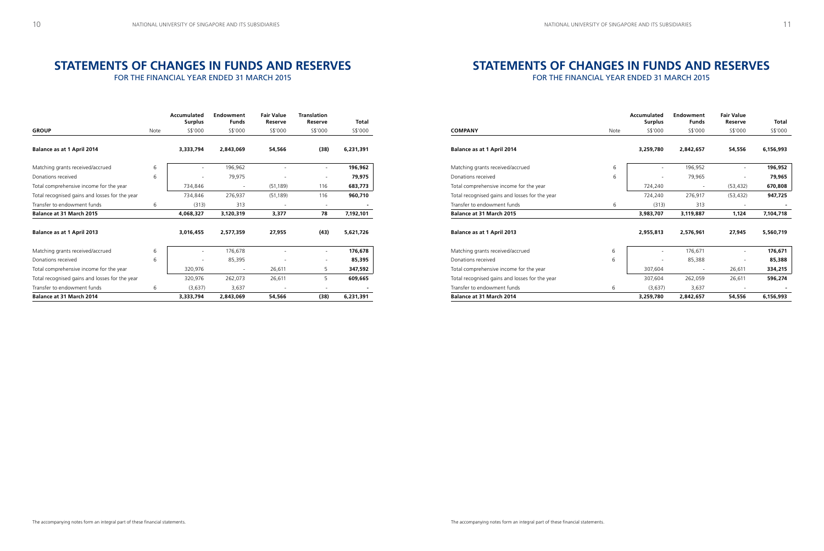# **STATEMENTS OF CHANGES IN FUNDS AND RESERVES**

FOR THE FINANCIAL YEAR ENDED 31 MARCH 2015

### **STATEMENTS OF CHANGES IN FUNDS AND RESERVES** FOR THE FINANCIAL YEAR ENDED 31 MARCH 2015

|                                                |      | Accumulated<br><b>Surplus</b> | <b>Endowment</b><br><b>Funds</b> | <b>Fair Value</b><br>Reserve | <b>Translation</b><br>Reserve | Total     |
|------------------------------------------------|------|-------------------------------|----------------------------------|------------------------------|-------------------------------|-----------|
| <b>GROUP</b>                                   | Note | S\$'000                       | S\$'000                          | S\$'000                      | S\$'000                       | S\$'000   |
| Balance as at 1 April 2014                     |      | 3,333,794                     | 2,843,069                        | 54,566                       | (38)                          | 6,231,391 |
| Matching grants received/accrued               | 6    |                               | 196,962                          |                              |                               | 196,962   |
| Donations received                             | 6    |                               | 79,975                           |                              |                               | 79,975    |
| Total comprehensive income for the year        |      | 734,846                       |                                  | (51, 189)                    | 116                           | 683,773   |
| Total recognised gains and losses for the year |      | 734,846                       | 276,937                          | (51, 189)                    | 116                           | 960,710   |
| Transfer to endowment funds                    | 6    | (313)                         | 313                              |                              |                               |           |
| Balance at 31 March 2015                       |      | 4,068,327                     | 3,120,319                        | 3,377                        | 78                            | 7,192,101 |
| Balance as at 1 April 2013                     |      | 3,016,455                     | 2,577,359                        | 27,955                       | (43)                          | 5,621,726 |
| Matching grants received/accrued               | 6    |                               | 176,678                          |                              |                               | 176,678   |
| Donations received                             | 6    |                               | 85,395                           |                              |                               | 85,395    |
| Total comprehensive income for the year        |      | 320,976                       |                                  | 26,611                       | 5                             | 347,592   |
| Total recognised gains and losses for the year |      | 320,976                       | 262,073                          | 26,611                       | 5                             | 609,665   |
| Transfer to endowment funds                    | 6    | (3,637)                       | 3,637                            |                              |                               |           |
| <b>Balance at 31 March 2014</b>                |      | 3,333,794                     | 2.843.069                        | 54,566                       | (38)                          | 6,231,391 |

|                                                |      | Accumulated<br><b>Surplus</b> | Endowment<br><b>Funds</b> | <b>Fair Value</b><br><b>Reserve</b> | Total     |
|------------------------------------------------|------|-------------------------------|---------------------------|-------------------------------------|-----------|
| <b>COMPANY</b>                                 | Note | S\$'000                       | S\$'000                   | S\$'000                             | S\$'000   |
| Balance as at 1 April 2014                     |      | 3,259,780                     | 2,842,657                 | 54,556                              | 6,156,993 |
| Matching grants received/accrued               | 6    |                               | 196,952                   |                                     | 196,952   |
| Donations received                             | 6    |                               | 79,965                    |                                     | 79,965    |
| Total comprehensive income for the year        |      | 724,240                       | ٠                         | (53, 432)                           | 670,808   |
| Total recognised gains and losses for the year |      | 724,240                       | 276,917                   | (53, 432)                           | 947,725   |
| Transfer to endowment funds                    | 6    | (313)                         | 313                       |                                     |           |
| <b>Balance at 31 March 2015</b>                |      | 3,983,707                     | 3,119,887                 | 1,124                               | 7,104,718 |
| Balance as at 1 April 2013                     |      | 2,955,813                     | 2,576,961                 | 27,945                              | 5,560,719 |
| Matching grants received/accrued               | 6    |                               | 176,671                   |                                     | 176,671   |
| Donations received                             | 6    |                               | 85,388                    |                                     | 85,388    |
| Total comprehensive income for the year        |      | 307,604                       |                           | 26,611                              | 334,215   |
| Total recognised gains and losses for the year |      | 307,604                       | 262,059                   | 26,611                              | 596,274   |
| Transfer to endowment funds                    | 6    | (3,637)                       | 3,637                     |                                     |           |
| Balance at 31 March 2014                       |      | 3,259,780                     | 2,842,657                 | 54,556                              | 6,156,993 |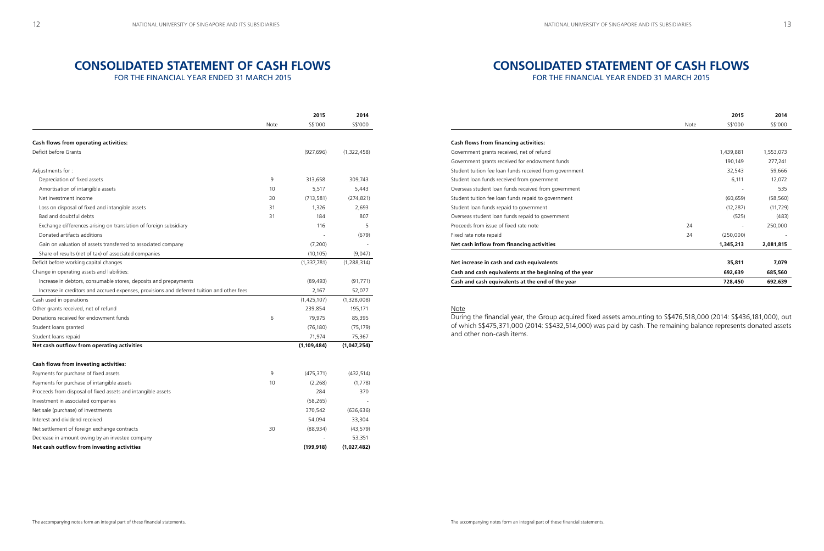## **CONSOLIDATED STATEMENT OF CASH FLOWS**

FOR THE FINANCIAL YEAR ENDED 31 MARCH 2015

### **CONSOLIDATED STATEMENT OF CASH FLOWS** FOR THE FINANCIAL YEAR ENDED 31 MARCH 2015

|                                                                                            |      | 2015          | 2014          |
|--------------------------------------------------------------------------------------------|------|---------------|---------------|
|                                                                                            | Note | S\$'000       | S\$'000       |
| Cash flows from operating activities:                                                      |      |               |               |
| Deficit before Grants                                                                      |      |               |               |
|                                                                                            |      | (927, 696)    | (1,322,458)   |
| Adjustments for:                                                                           |      |               |               |
| Depreciation of fixed assets                                                               | 9    | 313,658       | 309,743       |
| Amortisation of intangible assets                                                          | 10   | 5,517         | 5,443         |
| Net investment income                                                                      | 30   | (713, 581)    | (274, 821)    |
| Loss on disposal of fixed and intangible assets                                            | 31   | 1,326         | 2,693         |
| Bad and doubtful debts                                                                     | 31   | 184           | 807           |
| Exchange differences arising on translation of foreign subsidiary                          |      | 116           | 5             |
| Donated artifacts additions                                                                |      |               | (679)         |
| Gain on valuation of assets transferred to associated company                              |      | (7,200)       |               |
| Share of results (net of tax) of associated companies                                      |      | (10, 105)     | (9,047)       |
| Deficit before working capital changes                                                     |      | (1, 337, 781) | (1, 288, 314) |
| Change in operating assets and liabilities:                                                |      |               |               |
| Increase in debtors, consumable stores, deposits and prepayments                           |      | (89, 493)     | (91, 771)     |
| Increase in creditors and accrued expenses, provisions and deferred tuition and other fees |      | 2,167         | 52,077        |
| Cash used in operations                                                                    |      | (1,425,107)   | (1,328,008)   |
| Other grants received, net of refund                                                       |      | 239,854       | 195,171       |
| Donations received for endowment funds                                                     | 6    | 79,975        | 85,395        |
| Student loans granted                                                                      |      | (76, 180)     | (75, 179)     |
| Student loans repaid                                                                       |      | 71,974        | 75,367        |
| Net cash outflow from operating activities                                                 |      | (1, 109, 484) | (1,047,254)   |
| Cash flows from investing activities:                                                      |      |               |               |
| Payments for purchase of fixed assets                                                      | 9    | (475, 371)    | (432, 514)    |
| Payments for purchase of intangible assets                                                 | 10   | (2, 268)      | (1,778)       |
| Proceeds from disposal of fixed assets and intangible assets                               |      | 284           | 370           |
| Investment in associated companies                                                         |      | (58, 265)     |               |
| Net sale (purchase) of investments                                                         |      | 370,542       | (636, 636)    |
| Interest and dividend received                                                             |      | 54,094        | 33,304        |
| Net settlement of foreign exchange contracts                                               | 30   | (88,934)      | (43, 579)     |
| Decrease in amount owing by an investee company                                            |      |               | 53,351        |
| Net cash outflow from investing activities                                                 |      | (199, 918)    | (1,027,482)   |
|                                                                                            |      |               |               |

|                                                         |      | 2015      | 2014      |
|---------------------------------------------------------|------|-----------|-----------|
|                                                         | Note | S\$'000   | S\$'000   |
| Cash flows from financing activities:                   |      |           |           |
|                                                         |      |           |           |
| Government grants received, net of refund               |      | 1,439,881 | 1,553,073 |
| Government grants received for endowment funds          |      | 190,149   | 277,241   |
| Student tuition fee loan funds received from government |      | 32,543    | 59,666    |
| Student loan funds received from government             |      | 6,111     | 12,072    |
| Overseas student loan funds received from government    |      |           | 535       |
| Student tuition fee loan funds repaid to government     |      | (60, 659) | (58, 560) |
| Student loan funds repaid to government                 |      | (12, 287) | (11, 729) |
| Overseas student loan funds repaid to government        |      | (525)     | (483)     |
| Proceeds from issue of fixed rate note                  | 24   |           | 250,000   |
| Fixed rate note repaid                                  | 24   | (250,000) |           |
| Net cash inflow from financing activities               |      | 1,345,213 | 2,081,815 |
| Net increase in cash and cash equivalents               |      | 35,811    | 7,079     |
| Cash and cash equivalents at the beginning of the year  |      | 692,639   | 685,560   |
| Cash and cash equivalents at the end of the year        |      | 728,450   | 692,639   |

#### **Note**

During the financial year, the Group acquired fixed assets amounting to S\$476,518,000 (2014: S\$436,181,000), out of which S\$475,371,000 (2014: S\$432,514,000) was paid by cash. The remaining balance represents donated assets and other non-cash items.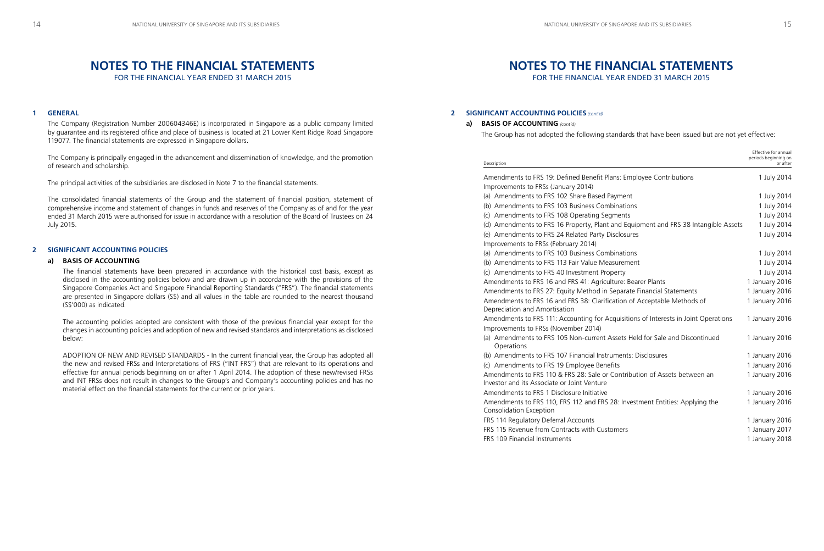FOR THE FINANCIAL YEAR ENDED 31 MARCH 2015

#### **1 GENERAL**

 The Company (Registration Number 200604346E) is incorporated in Singapore as a public company limited by guarantee and its registered office and place of business is located at 21 Lower Kent Ridge Road Singapore 119077. The financial statements are expressed in Singapore dollars.

 The Company is principally engaged in the advancement and dissemination of knowledge, and the promotion of research and scholarship.

The principal activities of the subsidiaries are disclosed in Note 7 to the financial statements.

 The consolidated financial statements of the Group and the statement of financial position, statement of comprehensive income and statement of changes in funds and reserves of the Company as of and for the year ended 31 March 2015 were authorised for issue in accordance with a resolution of the Board of Trustees on 24 July 2015.

#### **2 SIGNIFICANT ACCOUNTING POLICIES**

#### **a) BASIS OF ACCOUNTING**

 The financial statements have been prepared in accordance with the historical cost basis, except as disclosed in the accounting policies below and are drawn up in accordance with the provisions of the Singapore Companies Act and Singapore Financial Reporting Standards ("FRS"). The financial statements are presented in Singapore dollars (S\$) and all values in the table are rounded to the nearest thousand (S\$'000) as indicated.

 The accounting policies adopted are consistent with those of the previous financial year except for the changes in accounting policies and adoption of new and revised standards and interpretations as disclosed below:

 ADOPTION OF NEW AND REVISED STANDARDS - In the current financial year, the Group has adopted all the new and revised FRSs and Interpretations of FRS ("INT FRS") that are relevant to its operations and effective for annual periods beginning on or after 1 April 2014. The adoption of these new/revised FRSs and INT FRSs does not result in changes to the Group's and Company's accounting policies and has no material effect on the financial statements for the current or prior years.

# **NOTES TO THE FINANCIAL STATEMENTS**

FOR THE FINANCIAL YEAR ENDED 31 MARCH 2015

#### **2 SIGNIFICANT ACCOUNTING POLICIES** *(cont'd)*

#### **a) BASIS OF ACCOUNTING** *(cont'd)*

The Group has not adopted the following standards that have been issued but are not yet effective:

| Description                                                                                                             | LITECTIVE IVI ANNUAI<br>periods beginning on<br>or after |
|-------------------------------------------------------------------------------------------------------------------------|----------------------------------------------------------|
| Amendments to FRS 19: Defined Benefit Plans: Employee Contributions                                                     | 1 July 2014                                              |
| Improvements to FRSs (January 2014)                                                                                     |                                                          |
| (a) Amendments to FRS 102 Share Based Payment                                                                           | 1 July 2014                                              |
| (b) Amendments to FRS 103 Business Combinations                                                                         | 1 July 2014                                              |
| (c) Amendments to FRS 108 Operating Segments                                                                            | 1 July 2014                                              |
| (d) Amendments to FRS 16 Property, Plant and Equipment and FRS 38 Intangible Assets                                     | 1 July 2014                                              |
| (e) Amendments to FRS 24 Related Party Disclosures                                                                      | 1 July 2014                                              |
| Improvements to FRSs (February 2014)                                                                                    |                                                          |
| (a) Amendments to FRS 103 Business Combinations                                                                         | 1 July 2014                                              |
| (b) Amendments to FRS 113 Fair Value Measurement                                                                        | 1 July 2014                                              |
| (c) Amendments to FRS 40 Investment Property                                                                            | 1 July 2014                                              |
| Amendments to FRS 16 and FRS 41: Agriculture: Bearer Plants                                                             | 1 January 2016                                           |
| Amendments to FRS 27: Equity Method in Separate Financial Statements                                                    | 1 January 2016                                           |
| Amendments to FRS 16 and FRS 38: Clarification of Acceptable Methods of<br>Depreciation and Amortisation                | 1 January 2016                                           |
| Amendments to FRS 111: Accounting for Acquisitions of Interests in Joint Operations                                     | 1 January 2016                                           |
| Improvements to FRSs (November 2014)                                                                                    |                                                          |
| (a) Amendments to FRS 105 Non-current Assets Held for Sale and Discontinued                                             | 1 January 2016                                           |
| Operations<br>(b) Amendments to FRS 107 Financial Instruments: Disclosures                                              |                                                          |
|                                                                                                                         | 1 January 2016                                           |
| (c) Amendments to FRS 19 Employee Benefits<br>Amendments to FRS 110 & FRS 28: Sale or Contribution of Assets between an | 1 January 2016<br>1 January 2016                         |
| Investor and its Associate or Joint Venture                                                                             |                                                          |
| Amendments to FRS 1 Disclosure Initiative                                                                               | 1 January 2016                                           |
| Amendments to FRS 110, FRS 112 and FRS 28: Investment Entities: Applying the                                            | 1 January 2016                                           |
| Consolidation Exception                                                                                                 |                                                          |
| FRS 114 Regulatory Deferral Accounts                                                                                    | 1 January 2016                                           |
| FRS 115 Revenue from Contracts with Customers                                                                           | 1 January 2017                                           |
| <b>FRS 109 Financial Instruments</b>                                                                                    | 1 January 2018                                           |

Effective for annual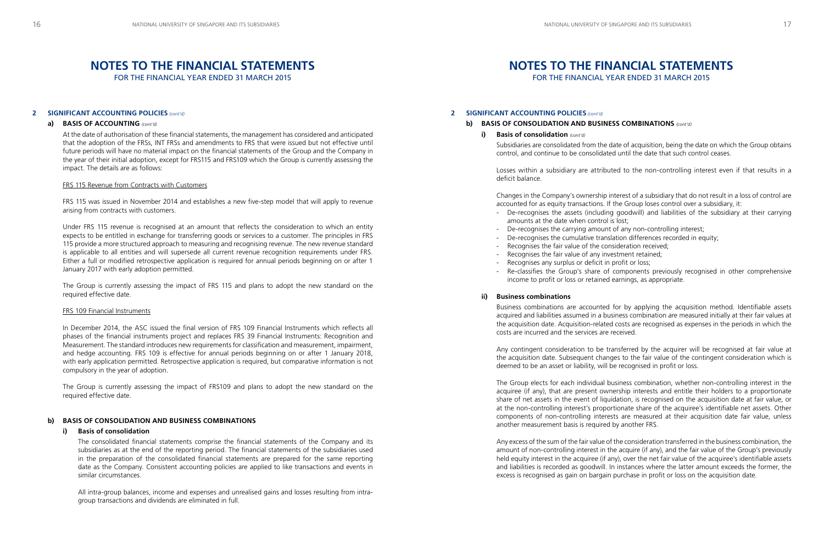FOR THE FINANCIAL YEAR ENDED 31 MARCH 2015

#### **2 SIGNIFICANT ACCOUNTING POLICIES** *(cont'd)*

#### **a) BASIS OF ACCOUNTING** *(cont'd)*

 At the date of authorisation of these financial statements, the management has considered and anticipated that the adoption of the FRSs, INT FRSs and amendments to FRS that were issued but not effective until future periods will have no material impact on the financial statements of the Group and the Company in the year of their initial adoption, except for FRS115 and FRS109 which the Group is currently assessing the impact. The details are as follows:

#### FRS 115 Revenue from Contracts with Customers

 FRS 115 was issued in November 2014 and establishes a new five-step model that will apply to revenue arising from contracts with customers.

 Under FRS 115 revenue is recognised at an amount that reflects the consideration to which an entity expects to be entitled in exchange for transferring goods or services to a customer. The principles in FRS 115 provide a more structured approach to measuring and recognising revenue. The new revenue standard is applicable to all entities and will supersede all current revenue recognition requirements under FRS. Either a full or modified retrospective application is required for annual periods beginning on or after 1 January 2017 with early adoption permitted.

 The Group is currently assessing the impact of FRS 115 and plans to adopt the new standard on the required effective date.

#### FRS 109 Financial Instruments

 In December 2014, the ASC issued the final version of FRS 109 Financial Instruments which reflects all phases of the financial instruments project and replaces FRS 39 Financial Instruments: Recognition and Measurement. The standard introduces new requirements for classification and measurement, impairment, and hedge accounting. FRS 109 is effective for annual periods beginning on or after 1 January 2018, with early application permitted. Retrospective application is required, but comparative information is not compulsory in the year of adoption.

 The Group is currently assessing the impact of FRS109 and plans to adopt the new standard on the required effective date.

#### **b) BASIS OF CONSOLIDATION AND BUSINESS COMBINATIONS**

#### **i) Basis of consolidation**

 The consolidated financial statements comprise the financial statements of the Company and its subsidiaries as at the end of the reporting period. The financial statements of the subsidiaries used in the preparation of the consolidated financial statements are prepared for the same reporting date as the Company. Consistent accounting policies are applied to like transactions and events in similar circumstances.

 All intra-group balances, income and expenses and unrealised gains and losses resulting from intragroup transactions and dividends are eliminated in full.

### **NOTES TO THE FINANCIAL STATEMENTS** FOR THE FINANCIAL YEAR ENDED 31 MARCH 2015

#### **2 SIGNIFICANT ACCOUNTING POLICIES** *(cont'd)*

#### **b) BASIS OF CONSOLIDATION AND BUSINESS COMBINATIONS** *(cont'd)*

 **i) Basis of consolidation** *(cont'd)*

 Subsidiaries are consolidated from the date of acquisition, being the date on which the Group obtains control, and continue to be consolidated until the date that such control ceases.

 Losses within a subsidiary are attributed to the non-controlling interest even if that results in a deficit balance.

 Changes in the Company's ownership interest of a subsidiary that do not result in a loss of control are accounted for as equity transactions. If the Group loses control over a subsidiary, it:

- De-recognises the assets (including goodwill) and liabilities of the subsidiary at their carrying amounts at the date when control is lost;
- De-recognises the carrying amount of any non-controlling interest;
- De-recognises the cumulative translation differences recorded in equity;
- Recognises the fair value of the consideration received;
- Recognises the fair value of any investment retained;
- Recognises any surplus or deficit in profit or loss;
- Re-classifies the Group's share of components previously recognised in other comprehensive income to profit or loss or retained earnings, as appropriate.

#### **ii) Business combinations**

 Business combinations are accounted for by applying the acquisition method. Identifiable assets acquired and liabilities assumed in a business combination are measured initially at their fair values at the acquisition date. Acquisition-related costs are recognised as expenses in the periods in which the costs are incurred and the services are received.

 Any contingent consideration to be transferred by the acquirer will be recognised at fair value at the acquisition date. Subsequent changes to the fair value of the contingent consideration which is deemed to be an asset or liability, will be recognised in profit or loss.

 The Group elects for each individual business combination, whether non-controlling interest in the acquiree (if any), that are present ownership interests and entitle their holders to a proportionate share of net assets in the event of liquidation, is recognised on the acquisition date at fair value, or at the non-controlling interest's proportionate share of the acquiree's identifiable net assets. Other components of non-controlling interests are measured at their acquisition date fair value, unless another measurement basis is required by another FRS.

 Any excess of the sum of the fair value of the consideration transferred in the business combination, the amount of non-controlling interest in the acquire (if any), and the fair value of the Group's previously held equity interest in the acquiree (if any), over the net fair value of the acquiree's identifiable assets and liabilities is recorded as goodwill. In instances where the latter amount exceeds the former, the excess is recognised as gain on bargain purchase in profit or loss on the acquisition date.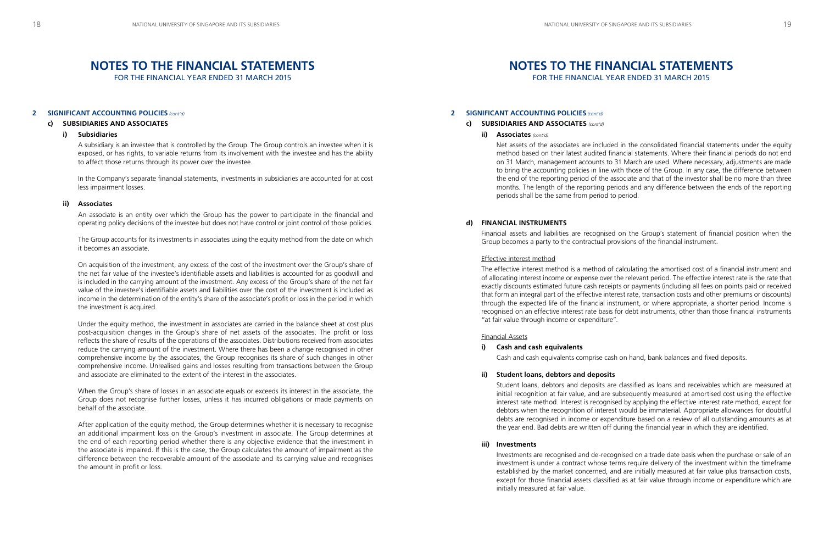FOR THE FINANCIAL YEAR ENDED 31 MARCH 2015

#### **2 SIGNIFICANT ACCOUNTING POLICIES** *(cont'd)*

#### **c) SUBSIDIARIES AND ASSOCIATES**

#### **i) Subsidiaries**

 A subsidiary is an investee that is controlled by the Group. The Group controls an investee when it is exposed, or has rights, to variable returns from its involvement with the investee and has the ability to affect those returns through its power over the investee.

 In the Company's separate financial statements, investments in subsidiaries are accounted for at cost less impairment losses.

#### **ii) Associates**

 An associate is an entity over which the Group has the power to participate in the financial and operating policy decisions of the investee but does not have control or joint control of those policies.

 The Group accounts for its investments in associates using the equity method from the date on which it becomes an associate.

 On acquisition of the investment, any excess of the cost of the investment over the Group's share of the net fair value of the investee's identifiable assets and liabilities is accounted for as goodwill and is included in the carrying amount of the investment. Any excess of the Group's share of the net fair value of the investee's identifiable assets and liabilities over the cost of the investment is included as income in the determination of the entity's share of the associate's profit or loss in the period in which the investment is acquired.

 Under the equity method, the investment in associates are carried in the balance sheet at cost plus post-acquisition changes in the Group's share of net assets of the associates. The profit or loss reflects the share of results of the operations of the associates. Distributions received from associates reduce the carrying amount of the investment. Where there has been a change recognised in other comprehensive income by the associates, the Group recognises its share of such changes in other comprehensive income. Unrealised gains and losses resulting from transactions between the Group and associate are eliminated to the extent of the interest in the associates.

 When the Group's share of losses in an associate equals or exceeds its interest in the associate, the Group does not recognise further losses, unless it has incurred obligations or made payments on behalf of the associate.

 After application of the equity method, the Group determines whether it is necessary to recognise an additional impairment loss on the Group's investment in associate. The Group determines at the end of each reporting period whether there is any objective evidence that the investment in the associate is impaired. If this is the case, the Group calculates the amount of impairment as the difference between the recoverable amount of the associate and its carrying value and recognises the amount in profit or loss.

### **NOTES TO THE FINANCIAL STATEMENTS** FOR THE FINANCIAL YEAR ENDED 31 MARCH 2015

#### **2 SIGNIFICANT ACCOUNTING POLICIES** *(cont'd)*

#### **c) SUBSIDIARIES AND ASSOCIATES** *(cont'd)*

**ii) Associates** *(cont'd)*

 Net assets of the associates are included in the consolidated financial statements under the equity method based on their latest audited financial statements. Where their financial periods do not end on 31 March, management accounts to 31 March are used. Where necessary, adjustments are made to bring the accounting policies in line with those of the Group. In any case, the difference between the end of the reporting period of the associate and that of the investor shall be no more than three months. The length of the reporting periods and any difference between the ends of the reporting periods shall be the same from period to period.

#### **d) FINANCIAL INSTRUMENTS**

 Financial assets and liabilities are recognised on the Group's statement of financial position when the Group becomes a party to the contractual provisions of the financial instrument.

#### Effective interest method

 The effective interest method is a method of calculating the amortised cost of a financial instrument and of allocating interest income or expense over the relevant period. The effective interest rate is the rate that exactly discounts estimated future cash receipts or payments (including all fees on points paid or received that form an integral part of the effective interest rate, transaction costs and other premiums or discounts) through the expected life of the financial instrument, or where appropriate, a shorter period. Income is recognised on an effective interest rate basis for debt instruments, other than those financial instruments "at fair value through income or expenditure".

#### Financial Assets

#### **i) Cash and cash equivalents**

Cash and cash equivalents comprise cash on hand, bank balances and fixed deposits.

#### **ii) Student loans, debtors and deposits**

 Student loans, debtors and deposits are classified as loans and receivables which are measured at initial recognition at fair value, and are subsequently measured at amortised cost using the effective interest rate method. Interest is recognised by applying the effective interest rate method, except for debtors when the recognition of interest would be immaterial. Appropriate allowances for doubtful debts are recognised in income or expenditure based on a review of all outstanding amounts as at the year end. Bad debts are written off during the financial year in which they are identified.

#### **iii) Investments**

 Investments are recognised and de-recognised on a trade date basis when the purchase or sale of an investment is under a contract whose terms require delivery of the investment within the timeframe established by the market concerned, and are initially measured at fair value plus transaction costs, except for those financial assets classified as at fair value through income or expenditure which are initially measured at fair value.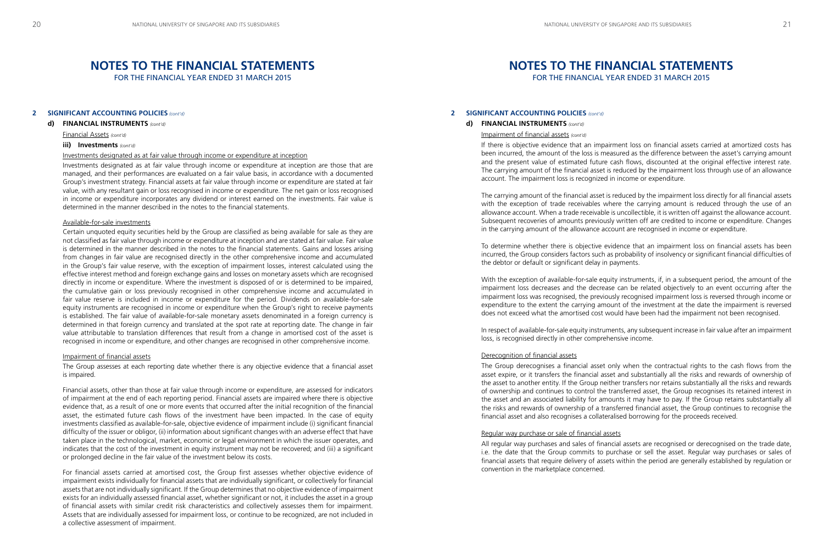FOR THE FINANCIAL YEAR ENDED 31 MARCH 2015

#### **2 SIGNIFICANT ACCOUNTING POLICIES** *(cont'd)*

#### **d) FINANCIAL INSTRUMENTS** *(cont'd)*

Financial Assets *(cont'd)*

#### **iii) Investments** *(cont'd)*

#### Investments designated as at fair value through income or expenditure at inception

 Investments designated as at fair value through income or expenditure at inception are those that are managed, and their performances are evaluated on a fair value basis, in accordance with a documented Group's investment strategy. Financial assets at fair value through income or expenditure are stated at fair value, with any resultant gain or loss recognised in income or expenditure. The net gain or loss recognised in income or expenditure incorporates any dividend or interest earned on the investments. Fair value is determined in the manner described in the notes to the financial statements.

#### Available-for-sale investments

 Certain unquoted equity securities held by the Group are classified as being available for sale as they are not classified as fair value through income or expenditure at inception and are stated at fair value. Fair value is determined in the manner described in the notes to the financial statements. Gains and losses arising from changes in fair value are recognised directly in the other comprehensive income and accumulated in the Group's fair value reserve, with the exception of impairment losses, interest calculated using the effective interest method and foreign exchange gains and losses on monetary assets which are recognised directly in income or expenditure. Where the investment is disposed of or is determined to be impaired, the cumulative gain or loss previously recognised in other comprehensive income and accumulated in fair value reserve is included in income or expenditure for the period. Dividends on available-for-sale equity instruments are recognised in income or expenditure when the Group's right to receive payments is established. The fair value of available-for-sale monetary assets denominated in a foreign currency is determined in that foreign currency and translated at the spot rate at reporting date. The change in fair value attributable to translation differences that result from a change in amortised cost of the asset is recognised in income or expenditure, and other changes are recognised in other comprehensive income.

#### Impairment of financial assets

 The Group assesses at each reporting date whether there is any objective evidence that a financial asset is impaired.

 Financial assets, other than those at fair value through income or expenditure, are assessed for indicators of impairment at the end of each reporting period. Financial assets are impaired where there is objective evidence that, as a result of one or more events that occurred after the initial recognition of the financial asset, the estimated future cash flows of the investment have been impacted. In the case of equity investments classified as available-for-sale, objective evidence of impairment include (i) significant financial difficulty of the issuer or obligor, (ii) information about significant changes with an adverse effect that have taken place in the technological, market, economic or legal environment in which the issuer operates, and indicates that the cost of the investment in equity instrument may not be recovered; and (iii) a significant or prolonged decline in the fair value of the investment below its costs.

 For financial assets carried at amortised cost, the Group first assesses whether objective evidence of impairment exists individually for financial assets that are individually significant, or collectively for financial assets that are not individually significant. If the Group determines that no objective evidence of impairment exists for an individually assessed financial asset, whether significant or not, it includes the asset in a group of financial assets with similar credit risk characteristics and collectively assesses them for impairment. Assets that are individually assessed for impairment loss, or continue to be recognized, are not included in a collective assessment of impairment.

### **NOTES TO THE FINANCIAL STATEMENTS** FOR THE FINANCIAL YEAR ENDED 31 MARCH 2015

#### **2 SIGNIFICANT ACCOUNTING POLICIES** *(cont'd)*

#### **d) FINANCIAL INSTRUMENTS** *(cont'd)*

#### Impairment of financial assets *(cont'd)*

 If there is objective evidence that an impairment loss on financial assets carried at amortized costs has been incurred, the amount of the loss is measured as the difference between the asset's carrying amount and the present value of estimated future cash flows, discounted at the original effective interest rate. The carrying amount of the financial asset is reduced by the impairment loss through use of an allowance account. The impairment loss is recognized in income or expenditure.

 The carrying amount of the financial asset is reduced by the impairment loss directly for all financial assets with the exception of trade receivables where the carrying amount is reduced through the use of an allowance account. When a trade receivable is uncollectible, it is written off against the allowance account. Subsequent recoveries of amounts previously written off are credited to income or expenditure. Changes in the carrying amount of the allowance account are recognised in income or expenditure.

 To determine whether there is objective evidence that an impairment loss on financial assets has been incurred, the Group considers factors such as probability of insolvency or significant financial difficulties of the debtor or default or significant delay in payments.

 With the exception of available-for-sale equity instruments, if, in a subsequent period, the amount of the impairment loss decreases and the decrease can be related objectively to an event occurring after the impairment loss was recognised, the previously recognised impairment loss is reversed through income or expenditure to the extent the carrying amount of the investment at the date the impairment is reversed does not exceed what the amortised cost would have been had the impairment not been recognised.

 In respect of available-for-sale equity instruments, any subsequent increase in fair value after an impairment loss, is recognised directly in other comprehensive income.

#### Derecognition of financial assets

 The Group derecognises a financial asset only when the contractual rights to the cash flows from the asset expire, or it transfers the financial asset and substantially all the risks and rewards of ownership of the asset to another entity. If the Group neither transfers nor retains substantially all the risks and rewards of ownership and continues to control the transferred asset, the Group recognises its retained interest in the asset and an associated liability for amounts it may have to pay. If the Group retains substantially all the risks and rewards of ownership of a transferred financial asset, the Group continues to recognise the financial asset and also recognises a collateralised borrowing for the proceeds received.

#### Regular way purchase or sale of financial assets

 All regular way purchases and sales of financial assets are recognised or derecognised on the trade date, i.e. the date that the Group commits to purchase or sell the asset. Regular way purchases or sales of financial assets that require delivery of assets within the period are generally established by regulation or convention in the marketplace concerned.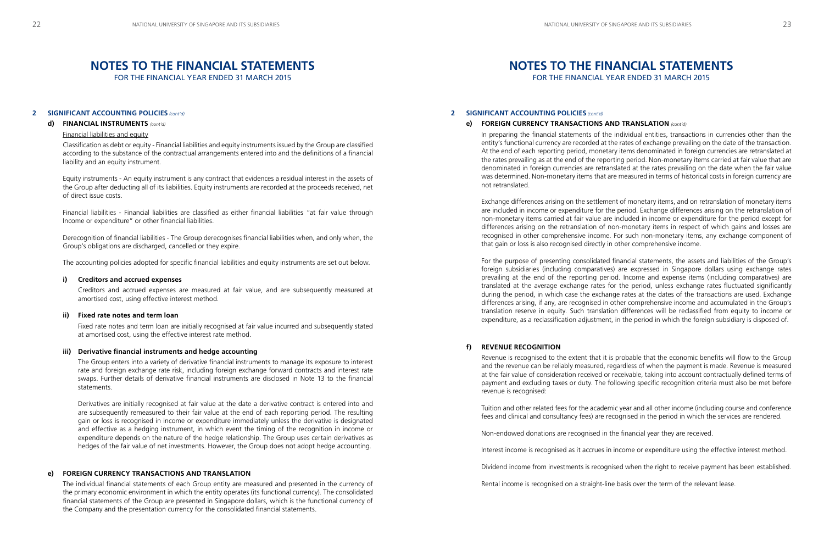FOR THE FINANCIAL YEAR ENDED 31 MARCH 2015

#### **2 SIGNIFICANT ACCOUNTING POLICIES** *(cont'd)*

#### **d) FINANCIAL INSTRUMENTS** *(cont'd)*

#### Financial liabilities and equity

 Classification as debt or equity - Financial liabilities and equity instruments issued by the Group are classified according to the substance of the contractual arrangements entered into and the definitions of a financial liability and an equity instrument.

 Equity instruments - An equity instrument is any contract that evidences a residual interest in the assets of the Group after deducting all of its liabilities. Equity instruments are recorded at the proceeds received, net of direct issue costs.

 Financial liabilities - Financial liabilities are classified as either financial liabilities "at fair value through Income or expenditure" or other financial liabilities.

 Derecognition of financial liabilities - The Group derecognises financial liabilities when, and only when, the Group's obligations are discharged, cancelled or they expire.

The accounting policies adopted for specific financial liabilities and equity instruments are set out below.

#### **i) Creditors and accrued expenses**

 Creditors and accrued expenses are measured at fair value, and are subsequently measured at amortised cost, using effective interest method.

#### **ii) Fixed rate notes and term loan**

 Fixed rate notes and term loan are initially recognised at fair value incurred and subsequently stated at amortised cost, using the effective interest rate method.

#### **iii) Derivative financial instruments and hedge accounting**

 The Group enters into a variety of derivative financial instruments to manage its exposure to interest rate and foreign exchange rate risk, including foreign exchange forward contracts and interest rate swaps. Further details of derivative financial instruments are disclosed in Note 13 to the financial statements.

 Derivatives are initially recognised at fair value at the date a derivative contract is entered into and are subsequently remeasured to their fair value at the end of each reporting period. The resulting gain or loss is recognised in income or expenditure immediately unless the derivative is designated and effective as a hedging instrument, in which event the timing of the recognition in income or expenditure depends on the nature of the hedge relationship. The Group uses certain derivatives as hedges of the fair value of net investments. However, the Group does not adopt hedge accounting.

#### **e) FOREIGN CURRENCY TRANSACTIONS AND TRANSLATION**

 The individual financial statements of each Group entity are measured and presented in the currency of the primary economic environment in which the entity operates (its functional currency). The consolidated financial statements of the Group are presented in Singapore dollars, which is the functional currency of the Company and the presentation currency for the consolidated financial statements.

### **NOTES TO THE FINANCIAL STATEMENTS** FOR THE FINANCIAL YEAR ENDED 31 MARCH 2015

#### **2 SIGNIFICANT ACCOUNTING POLICIES** *(cont'd)*

#### **e) FOREIGN CURRENCY TRANSACTIONS AND TRANSLATION** *(cont'd)*

 In preparing the financial statements of the individual entities, transactions in currencies other than the entity's functional currency are recorded at the rates of exchange prevailing on the date of the transaction. At the end of each reporting period, monetary items denominated in foreign currencies are retranslated at the rates prevailing as at the end of the reporting period. Non-monetary items carried at fair value that are denominated in foreign currencies are retranslated at the rates prevailing on the date when the fair value was determined. Non-monetary items that are measured in terms of historical costs in foreign currency are not retranslated.

 Exchange differences arising on the settlement of monetary items, and on retranslation of monetary items are included in income or expenditure for the period. Exchange differences arising on the retranslation of non-monetary items carried at fair value are included in income or expenditure for the period except for differences arising on the retranslation of non-monetary items in respect of which gains and losses are recognised in other comprehensive income. For such non-monetary items, any exchange component of that gain or loss is also recognised directly in other comprehensive income.

 For the purpose of presenting consolidated financial statements, the assets and liabilities of the Group's foreign subsidiaries (including comparatives) are expressed in Singapore dollars using exchange rates prevailing at the end of the reporting period. Income and expense items (including comparatives) are translated at the average exchange rates for the period, unless exchange rates fluctuated significantly during the period, in which case the exchange rates at the dates of the transactions are used. Exchange differences arising, if any, are recognised in other comprehensive income and accumulated in the Group's translation reserve in equity. Such translation differences will be reclassified from equity to income or expenditure, as a reclassification adjustment, in the period in which the foreign subsidiary is disposed of.

#### **f) REVENUE RECOGNITION**

 Revenue is recognised to the extent that it is probable that the economic benefits will flow to the Group and the revenue can be reliably measured, regardless of when the payment is made. Revenue is measured at the fair value of consideration received or receivable, taking into account contractually defined terms of payment and excluding taxes or duty. The following specific recognition criteria must also be met before revenue is recognised:

 Tuition and other related fees for the academic year and all other income (including course and conference fees and clinical and consultancy fees) are recognised in the period in which the services are rendered.

Non-endowed donations are recognised in the financial year they are received.

Interest income is recognised as it accrues in income or expenditure using the effective interest method.

Dividend income from investments is recognised when the right to receive payment has been established.

Rental income is recognised on a straight-line basis over the term of the relevant lease.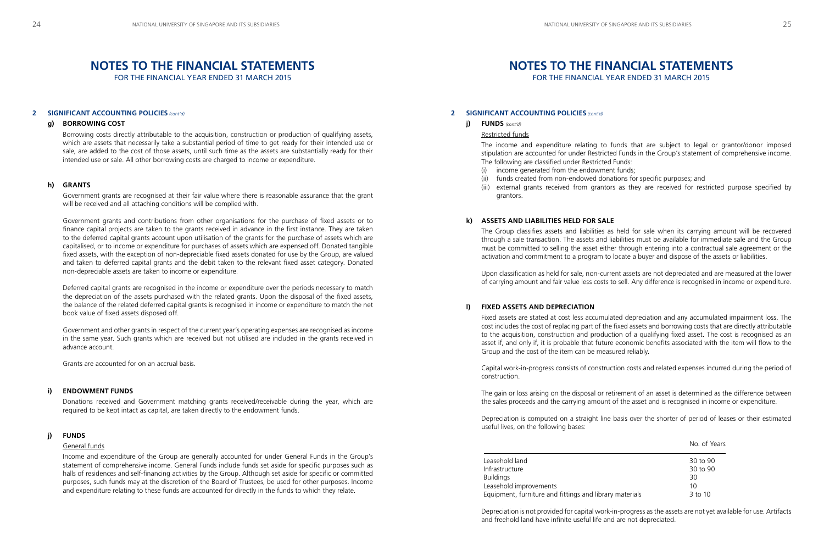FOR THE FINANCIAL YEAR ENDED 31 MARCH 2015

#### **2 SIGNIFICANT ACCOUNTING POLICIES** *(cont'd)*

#### **g) BORROWING COST**

 Borrowing costs directly attributable to the acquisition, construction or production of qualifying assets, which are assets that necessarily take a substantial period of time to get ready for their intended use or sale, are added to the cost of those assets, until such time as the assets are substantially ready for their intended use or sale. All other borrowing costs are charged to income or expenditure.

#### **h) GRANTS**

 Government grants are recognised at their fair value where there is reasonable assurance that the grant will be received and all attaching conditions will be complied with.

 Government grants and contributions from other organisations for the purchase of fixed assets or to finance capital projects are taken to the grants received in advance in the first instance. They are taken to the deferred capital grants account upon utilisation of the grants for the purchase of assets which are capitalised, or to income or expenditure for purchases of assets which are expensed off. Donated tangible fixed assets, with the exception of non-depreciable fixed assets donated for use by the Group, are valued and taken to deferred capital grants and the debit taken to the relevant fixed asset category. Donated non-depreciable assets are taken to income or expenditure.

 Deferred capital grants are recognised in the income or expenditure over the periods necessary to match the depreciation of the assets purchased with the related grants. Upon the disposal of the fixed assets, the balance of the related deferred capital grants is recognised in income or expenditure to match the net book value of fixed assets disposed off.

 Government and other grants in respect of the current year's operating expenses are recognised as income in the same year. Such grants which are received but not utilised are included in the grants received in advance account.

Grants are accounted for on an accrual basis.

#### **i) ENDOWMENT FUNDS**

 Donations received and Government matching grants received/receivable during the year, which are required to be kept intact as capital, are taken directly to the endowment funds.

#### **j) FUNDS**

#### General funds

 Income and expenditure of the Group are generally accounted for under General Funds in the Group's statement of comprehensive income. General Funds include funds set aside for specific purposes such as halls of residences and self-financing activities by the Group. Although set aside for specific or committed purposes, such funds may at the discretion of the Board of Trustees, be used for other purposes. Income and expenditure relating to these funds are accounted for directly in the funds to which they relate.

### **NOTES TO THE FINANCIAL STATEMENTS** FOR THE FINANCIAL YEAR ENDED 31 MARCH 2015

#### **2 SIGNIFICANT ACCOUNTING POLICIES** *(cont'd)*

**j) FUNDS** *(cont'd)*

#### Restricted funds

 The income and expenditure relating to funds that are subject to legal or grantor/donor imposed stipulation are accounted for under Restricted Funds in the Group's statement of comprehensive income. The following are classified under Restricted Funds:

- (i) income generated from the endowment funds;
- (ii) funds created from non-endowed donations for specific purposes; and
- (iii) external grants received from grantors as they are received for restricted purpose specified by grantors.

#### **k) ASSETS AND LIABILITIES HELD FOR SALE**

 The Group classifies assets and liabilities as held for sale when its carrying amount will be recovered through a sale transaction. The assets and liabilities must be available for immediate sale and the Group must be committed to selling the asset either through entering into a contractual sale agreement or the activation and commitment to a program to locate a buyer and dispose of the assets or liabilities.

 Upon classification as held for sale, non-current assets are not depreciated and are measured at the lower of carrying amount and fair value less costs to sell. Any difference is recognised in income or expenditure.

#### **l) FIXED ASSETS AND DEPRECIATION**

 Fixed assets are stated at cost less accumulated depreciation and any accumulated impairment loss. The cost includes the cost of replacing part of the fixed assets and borrowing costs that are directly attributable to the acquisition, construction and production of a qualifying fixed asset. The cost is recognised as an asset if, and only if, it is probable that future economic benefits associated with the item will flow to the Group and the cost of the item can be measured reliably.

 Capital work-in-progress consists of construction costs and related expenses incurred during the period of construction.

 The gain or loss arising on the disposal or retirement of an asset is determined as the difference between the sales proceeds and the carrying amount of the asset and is recognised in income or expenditure.

 Depreciation is computed on a straight line basis over the shorter of period of leases or their estimated useful lives, on the following bases:

|                                                         | No. of Years |
|---------------------------------------------------------|--------------|
| Leasehold land                                          | 30 to 90     |
| Infrastructure                                          | 30 to 90     |
| <b>Buildings</b>                                        | 30           |
| Leasehold improvements                                  | 10           |
| Equipment, furniture and fittings and library materials | 3 to 10      |

 Depreciation is not provided for capital work-in-progress as the assets are not yet available for use. Artifacts and freehold land have infinite useful life and are not depreciated.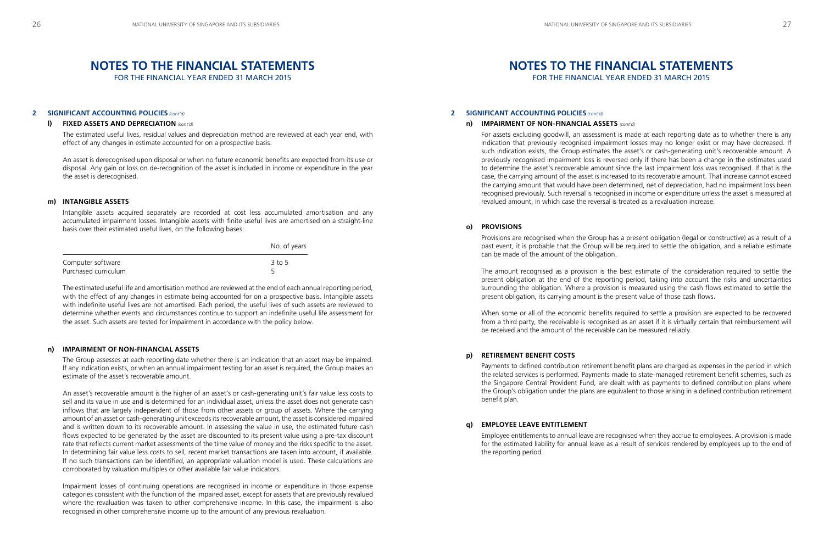FOR THE FINANCIAL YEAR ENDED 31 MARCH 2015

#### **2 SIGNIFICANT ACCOUNTING POLICIES** *(cont'd)*

#### **l) FIXED ASSETS AND DEPRECIATION** *(cont'd)*

 The estimated useful lives, residual values and depreciation method are reviewed at each year end, with effect of any changes in estimate accounted for on a prospective basis.

 An asset is derecognised upon disposal or when no future economic benefits are expected from its use or disposal. Any gain or loss on de-recognition of the asset is included in income or expenditure in the year the asset is derecognised.

#### **m) INTANGIBLE ASSETS**

 Intangible assets acquired separately are recorded at cost less accumulated amortisation and any accumulated impairment losses. Intangible assets with finite useful lives are amortised on a straight-line basis over their estimated useful lives, on the following bases:

|                      | No. of years |
|----------------------|--------------|
| Computer software    | 3 to 5       |
| Purchased curriculum |              |

 The estimated useful life and amortisation method are reviewed at the end of each annual reporting period, with the effect of any changes in estimate being accounted for on a prospective basis. Intangible assets with indefinite useful lives are not amortised. Each period, the useful lives of such assets are reviewed to determine whether events and circumstances continue to support an indefinite useful life assessment for the asset. Such assets are tested for impairment in accordance with the policy below.

#### **n) IMPAIRMENT OF NON-FINANCIAL ASSETS**

 The Group assesses at each reporting date whether there is an indication that an asset may be impaired. If any indication exists, or when an annual impairment testing for an asset is required, the Group makes an estimate of the asset's recoverable amount.

 An asset's recoverable amount is the higher of an asset's or cash-generating unit's fair value less costs to sell and its value in use and is determined for an individual asset, unless the asset does not generate cash inflows that are largely independent of those from other assets or group of assets. Where the carrying amount of an asset or cash-generating unit exceeds its recoverable amount, the asset is considered impaired and is written down to its recoverable amount. In assessing the value in use, the estimated future cash flows expected to be generated by the asset are discounted to its present value using a pre-tax discount rate that reflects current market assessments of the time value of money and the risks specific to the asset. In determining fair value less costs to sell, recent market transactions are taken into account, if available. If no such transactions can be identified, an appropriate valuation model is used. These calculations are corroborated by valuation multiples or other available fair value indicators.

 Impairment losses of continuing operations are recognised in income or expenditure in those expense categories consistent with the function of the impaired asset, except for assets that are previously revalued where the revaluation was taken to other comprehensive income. In this case, the impairment is also recognised in other comprehensive income up to the amount of any previous revaluation.

### **NOTES TO THE FINANCIAL STATEMENTS** FOR THE FINANCIAL YEAR ENDED 31 MARCH 2015

#### **2 SIGNIFICANT ACCOUNTING POLICIES** *(cont'd)*

#### **n) IMPAIRMENT OF NON-FINANCIAL ASSETS** *(cont'd)*

 For assets excluding goodwill, an assessment is made at each reporting date as to whether there is any indication that previously recognised impairment losses may no longer exist or may have decreased. If such indication exists, the Group estimates the asset's or cash-generating unit's recoverable amount. A previously recognised impairment loss is reversed only if there has been a change in the estimates used to determine the asset's recoverable amount since the last impairment loss was recognised. If that is the case, the carrying amount of the asset is increased to its recoverable amount. That increase cannot exceed the carrying amount that would have been determined, net of depreciation, had no impairment loss been recognised previously. Such reversal is recognised in income or expenditure unless the asset is measured at revalued amount, in which case the reversal is treated as a revaluation increase.

#### **o) PROVISIONS**

 Provisions are recognised when the Group has a present obligation (legal or constructive) as a result of a past event, it is probable that the Group will be required to settle the obligation, and a reliable estimate can be made of the amount of the obligation.

 The amount recognised as a provision is the best estimate of the consideration required to settle the present obligation at the end of the reporting period, taking into account the risks and uncertainties surrounding the obligation. Where a provision is measured using the cash flows estimated to settle the present obligation, its carrying amount is the present value of those cash flows.

 When some or all of the economic benefits required to settle a provision are expected to be recovered from a third party, the receivable is recognised as an asset if it is virtually certain that reimbursement will be received and the amount of the receivable can be measured reliably.

#### **p) RETIREMENT BENEFIT COSTS**

 Payments to defined contribution retirement benefit plans are charged as expenses in the period in which the related services is performed. Payments made to state-managed retirement benefit schemes, such as the Singapore Central Provident Fund, are dealt with as payments to defined contribution plans where the Group's obligation under the plans are equivalent to those arising in a defined contribution retirement benefit plan.

#### **q) EMPLOYEE LEAVE ENTITLEMENT**

 Employee entitlements to annual leave are recognised when they accrue to employees. A provision is made for the estimated liability for annual leave as a result of services rendered by employees up to the end of the reporting period.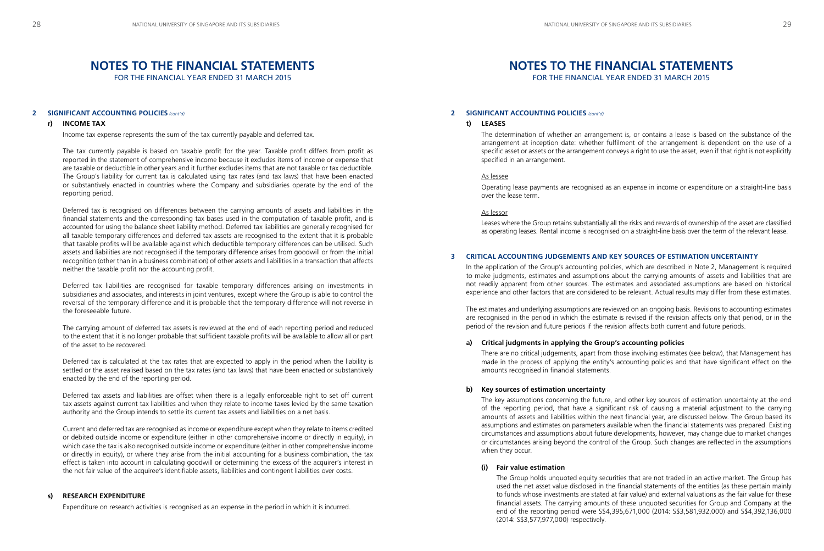FOR THE FINANCIAL YEAR ENDED 31 MARCH 2015

#### **2 SIGNIFICANT ACCOUNTING POLICIES** *(cont'd)*

#### **r) INCOME TAX**

Income tax expense represents the sum of the tax currently payable and deferred tax.

 The tax currently payable is based on taxable profit for the year. Taxable profit differs from profit as reported in the statement of comprehensive income because it excludes items of income or expense that are taxable or deductible in other years and it further excludes items that are not taxable or tax deductible. The Group's liability for current tax is calculated using tax rates (and tax laws) that have been enacted or substantively enacted in countries where the Company and subsidiaries operate by the end of the reporting period.

 Deferred tax is recognised on differences between the carrying amounts of assets and liabilities in the financial statements and the corresponding tax bases used in the computation of taxable profit, and is accounted for using the balance sheet liability method. Deferred tax liabilities are generally recognised for all taxable temporary differences and deferred tax assets are recognised to the extent that it is probable that taxable profits will be available against which deductible temporary differences can be utilised. Such assets and liabilities are not recognised if the temporary difference arises from goodwill or from the initial recognition (other than in a business combination) of other assets and liabilities in a transaction that affects neither the taxable profit nor the accounting profit.

 Deferred tax liabilities are recognised for taxable temporary differences arising on investments in subsidiaries and associates, and interests in joint ventures, except where the Group is able to control the reversal of the temporary difference and it is probable that the temporary difference will not reverse in the foreseeable future.

 The carrying amount of deferred tax assets is reviewed at the end of each reporting period and reduced to the extent that it is no longer probable that sufficient taxable profits will be available to allow all or part of the asset to be recovered.

 Deferred tax is calculated at the tax rates that are expected to apply in the period when the liability is settled or the asset realised based on the tax rates (and tax laws) that have been enacted or substantively enacted by the end of the reporting period.

 Deferred tax assets and liabilities are offset when there is a legally enforceable right to set off current tax assets against current tax liabilities and when they relate to income taxes levied by the same taxation authority and the Group intends to settle its current tax assets and liabilities on a net basis.

 Current and deferred tax are recognised as income or expenditure except when they relate to items credited or debited outside income or expenditure (either in other comprehensive income or directly in equity), in which case the tax is also recognised outside income or expenditure (either in other comprehensive income or directly in equity), or where they arise from the initial accounting for a business combination, the tax effect is taken into account in calculating goodwill or determining the excess of the acquirer's interest in the net fair value of the acquiree's identifiable assets, liabilities and contingent liabilities over costs.

#### **s) RESEARCH EXPENDITURE**

Expenditure on research activities is recognised as an expense in the period in which it is incurred.

### **NOTES TO THE FINANCIAL STATEMENTS** FOR THE FINANCIAL YEAR ENDED 31 MARCH 2015

#### **2 SIGNIFICANT ACCOUNTING POLICIES** *(cont'd)*

#### **t) LEASES**

 The determination of whether an arrangement is, or contains a lease is based on the substance of the arrangement at inception date: whether fulfilment of the arrangement is dependent on the use of a specific asset or assets or the arrangement conveys a right to use the asset, even if that right is not explicitly specified in an arrangement.

#### As lessee

 Operating lease payments are recognised as an expense in income or expenditure on a straight-line basis over the lease term.

#### As lessor

 Leases where the Group retains substantially all the risks and rewards of ownership of the asset are classified as operating leases. Rental income is recognised on a straight-line basis over the term of the relevant lease.

#### **3 CRITICAL ACCOUNTING JUDGEMENTS AND KEY SOURCES OF ESTIMATION UNCERTAINTY**

 In the application of the Group's accounting policies, which are described in Note 2, Management is required to make judgments, estimates and assumptions about the carrying amounts of assets and liabilities that are not readily apparent from other sources. The estimates and associated assumptions are based on historical experience and other factors that are considered to be relevant. Actual results may differ from these estimates.

 The estimates and underlying assumptions are reviewed on an ongoing basis. Revisions to accounting estimates are recognised in the period in which the estimate is revised if the revision affects only that period, or in the period of the revision and future periods if the revision affects both current and future periods.

#### **a) Critical judgments in applying the Group's accounting policies**

 There are no critical judgements, apart from those involving estimates (see below), that Management has made in the process of applying the entity's accounting policies and that have significant effect on the amounts recognised in financial statements.

#### **b) Key sources of estimation uncertainty**

 The key assumptions concerning the future, and other key sources of estimation uncertainty at the end of the reporting period, that have a significant risk of causing a material adjustment to the carrying amounts of assets and liabilities within the next financial year, are discussed below. The Group based its assumptions and estimates on parameters available when the financial statements was prepared. Existing circumstances and assumptions about future developments, however, may change due to market changes or circumstances arising beyond the control of the Group. Such changes are reflected in the assumptions when they occur.

#### **(i) Fair value estimation**

 The Group holds unquoted equity securities that are not traded in an active market. The Group has used the net asset value disclosed in the financial statements of the entities (as these pertain mainly to funds whose investments are stated at fair value) and external valuations as the fair value for these financial assets. The carrying amounts of these unquoted securities for Group and Company at the end of the reporting period were S\$4,395,671,000 (2014: S\$3,581,932,000) and S\$4,392,136,000 (2014: S\$3,577,977,000) respectively.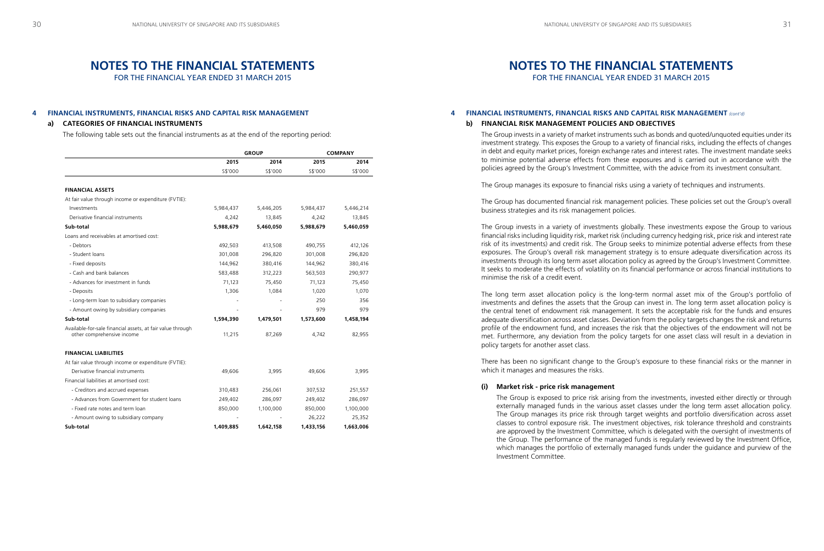FOR THE FINANCIAL YEAR ENDED 31 MARCH 2015

#### **4 FINANCIAL INSTRUMENTS, FINANCIAL RISKS AND CAPITAL RISK MANAGEMENT**

#### **a) CATEGORIES OF FINANCIAL INSTRUMENTS**

The following table sets out the financial instruments as at the end of the reporting period:

|                                                                                          |           | <b>GROUP</b> | <b>COMPANY</b> |           |  |
|------------------------------------------------------------------------------------------|-----------|--------------|----------------|-----------|--|
|                                                                                          | 2015      | 2014         | 2015           | 2014      |  |
|                                                                                          | S\$'000   | S\$'000      | S\$'000        | S\$'000   |  |
| <b>FINANCIAL ASSETS</b>                                                                  |           |              |                |           |  |
| At fair value through income or expenditure (FVTIE):                                     |           |              |                |           |  |
| Investments                                                                              | 5,984,437 | 5,446,205    | 5,984,437      | 5,446,214 |  |
| Derivative financial instruments                                                         | 4,242     | 13,845       | 4,242          | 13,845    |  |
| Sub-total                                                                                | 5,988,679 | 5,460,050    | 5,988,679      | 5,460,059 |  |
| Loans and receivables at amortised cost:                                                 |           |              |                |           |  |
| - Debtors                                                                                | 492,503   | 413,508      | 490,755        | 412,126   |  |
| - Student loans                                                                          | 301,008   | 296,820      | 301,008        | 296,820   |  |
| - Fixed deposits                                                                         | 144,962   | 380,416      | 144,962        | 380,416   |  |
| - Cash and bank balances                                                                 | 583,488   | 312,223      | 563,503        | 290,977   |  |
| - Advances for investment in funds                                                       | 71,123    | 75,450       | 71,123         | 75,450    |  |
| - Deposits                                                                               | 1,306     | 1,084        | 1,020          | 1,070     |  |
| - Long-term loan to subsidiary companies                                                 |           |              | 250            | 356       |  |
| - Amount owing by subsidiary companies                                                   |           |              | 979            | 979       |  |
| Sub-total                                                                                | 1,594,390 | 1,479,501    | 1,573,600      | 1,458,194 |  |
| Available-for-sale financial assets, at fair value through<br>other comprehensive income | 11,215    | 87,269       | 4.742          | 82,955    |  |
| <b>FINANCIAL LIABILITIES</b>                                                             |           |              |                |           |  |
| At fair value through income or expenditure (FVTIE):                                     |           |              |                |           |  |
| Derivative financial instruments                                                         | 49,606    | 3,995        | 49,606         | 3,995     |  |
| Financial liabilities at amortised cost:                                                 |           |              |                |           |  |
| - Creditors and accrued expenses                                                         | 310,483   | 256,061      | 307,532        | 251,557   |  |
| - Advances from Government for student loans                                             | 249,402   | 286,097      | 249,402        | 286,097   |  |
| - Fixed rate notes and term loan                                                         | 850,000   | 1,100,000    | 850,000        | 1,100,000 |  |
| - Amount owing to subsidiary company                                                     |           |              | 26,222         | 25,352    |  |
| Sub-total                                                                                | 1,409,885 | 1,642,158    | 1,433,156      | 1,663,006 |  |

### **NOTES TO THE FINANCIAL STATEMENTS** FOR THE FINANCIAL YEAR ENDED 31 MARCH 2015

#### **4 FINANCIAL INSTRUMENTS, FINANCIAL RISKS AND CAPITAL RISK MANAGEMENT** *(cont'd)*

#### **b) FINANCIAL RISK MANAGEMENT POLICIES AND OBJECTIVES**

 The Group invests in a variety of market instruments such as bonds and quoted/unquoted equities under its investment strategy. This exposes the Group to a variety of financial risks, including the effects of changes in debt and equity market prices, foreign exchange rates and interest rates. The investment mandate seeks to minimise potential adverse effects from these exposures and is carried out in accordance with the policies agreed by the Group's Investment Committee, with the advice from its investment consultant.

The Group manages its exposure to financial risks using a variety of techniques and instruments.

 The Group has documented financial risk management policies. These policies set out the Group's overall business strategies and its risk management policies.

 The Group invests in a variety of investments globally. These investments expose the Group to various financial risks including liquidity risk, market risk (including currency hedging risk, price risk and interest rate risk of its investments) and credit risk. The Group seeks to minimize potential adverse effects from these exposures. The Group's overall risk management strategy is to ensure adequate diversification across its investments through its long term asset allocation policy as agreed by the Group's Investment Committee. It seeks to moderate the effects of volatility on its financial performance or across financial institutions to minimise the risk of a credit event.

 The long term asset allocation policy is the long-term normal asset mix of the Group's portfolio of investments and defines the assets that the Group can invest in. The long term asset allocation policy is the central tenet of endowment risk management. It sets the acceptable risk for the funds and ensures adequate diversification across asset classes. Deviation from the policy targets changes the risk and returns profile of the endowment fund, and increases the risk that the objectives of the endowment will not be met. Furthermore, any deviation from the policy targets for one asset class will result in a deviation in policy targets for another asset class.

 There has been no significant change to the Group's exposure to these financial risks or the manner in which it manages and measures the risks.

#### **(i) Market risk - price risk management**

 The Group is exposed to price risk arising from the investments, invested either directly or through externally managed funds in the various asset classes under the long term asset allocation policy. The Group manages its price risk through target weights and portfolio diversification across asset classes to control exposure risk. The investment objectives, risk tolerance threshold and constraints are approved by the Investment Committee, which is delegated with the oversight of investments of the Group. The performance of the managed funds is regularly reviewed by the Investment Office, which manages the portfolio of externally managed funds under the guidance and purview of the Investment Committee.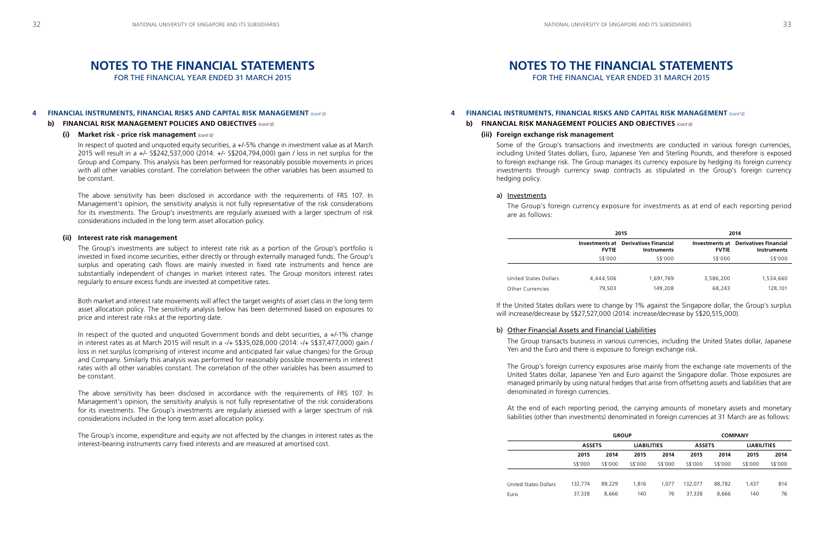FOR THE FINANCIAL YEAR ENDED 31 MARCH 2015

#### **4 FINANCIAL INSTRUMENTS, FINANCIAL RISKS AND CAPITAL RISK MANAGEMENT** *(cont'd)*

#### **b) FINANCIAL RISK MANAGEMENT POLICIES AND OBJECTIVES** *(cont'd)*

#### **(i) Market risk - price risk management** *(cont'd)*

In respect of quoted and unquoted equity securities, a +/-5% change in investment value as at March 2015 will result in a +/- S\$242,537,000 (2014: +/- S\$204,794,000) gain / loss in net surplus for the Group and Company. This analysis has been performed for reasonably possible movements in prices with all other variables constant. The correlation between the other variables has been assumed to be constant.

 The above sensitivity has been disclosed in accordance with the requirements of FRS 107. In Management's opinion, the sensitivity analysis is not fully representative of the risk considerations for its investments. The Group's investments are regularly assessed with a larger spectrum of risk considerations included in the long term asset allocation policy.

#### **(ii) Interest rate risk management**

The Group's investments are subject to interest rate risk as a portion of the Group's portfolio is invested in fixed income securities, either directly or through externally managed funds. The Group's surplus and operating cash flows are mainly invested in fixed rate instruments and hence are substantially independent of changes in market interest rates. The Group monitors interest rates regularly to ensure excess funds are invested at competitive rates.

 Both market and interest rate movements will affect the target weights of asset class in the long term asset allocation policy. The sensitivity analysis below has been determined based on exposures to price and interest rate risks at the reporting date.

 In respect of the quoted and unquoted Government bonds and debt securities, a +/-1% change in interest rates as at March 2015 will result in a -/+ S\$35,028,000 (2014: -/+ S\$37,477,000) gain / loss in net surplus (comprising of interest income and anticipated fair value changes) for the Group and Company. Similarly this analysis was performed for reasonably possible movements in interest rates with all other variables constant. The correlation of the other variables has been assumed to be constant.

 The above sensitivity has been disclosed in accordance with the requirements of FRS 107. In Management's opinion, the sensitivity analysis is not fully representative of the risk considerations for its investments. The Group's investments are regularly assessed with a larger spectrum of risk considerations included in the long term asset allocation policy.

 The Group's income, expenditure and equity are not affected by the changes in interest rates as the interest-bearing instruments carry fixed interests and are measured at amortised cost.

# **NOTES TO THE FINANCIAL STATEMENTS**

FOR THE FINANCIAL YEAR ENDED 31 MARCH 2015

#### **4 FINANCIAL INSTRUMENTS, FINANCIAL RISKS AND CAPITAL RISK MANAGEMENT** *(cont'd)*

#### **b) FINANCIAL RISK MANAGEMENT POLICIES AND OBJECTIVES** *(cont'd)*

#### **(iii) Foreign exchange risk management**

 Some of the Group's transactions and investments are conducted in various foreign currencies, including United States dollars, Euro, Japanese Yen and Sterling Pounds, and therefore is exposed to foreign exchange risk. The Group manages its currency exposure by hedging its foreign currency investments through currency swap contracts as stipulated in the Group's foreign currency hedging policy.

#### a) Investments

 The Group's foreign currency exposure for investments as at end of each reporting period are as follows:

|                         |              | 2015                                                              | 2014         |                                                                   |  |
|-------------------------|--------------|-------------------------------------------------------------------|--------------|-------------------------------------------------------------------|--|
|                         | <b>FVTIE</b> | <b>Investments at Derivatives Financial</b><br><b>Instruments</b> | <b>FVTIE</b> | <b>Investments at Derivatives Financial</b><br><b>Instruments</b> |  |
|                         | S\$'000      | S\$'000                                                           | S\$'000      | S\$'000                                                           |  |
| United States Dollars   | 4,444,506    | 1.691.769                                                         | 3,586,200    | 1,534,660                                                         |  |
| <b>Other Currencies</b> | 79,503       | 149,208                                                           | 68,243       | 128,101                                                           |  |

 If the United States dollars were to change by 1% against the Singapore dollar, the Group's surplus will increase/decrease by S\$27,527,000 (2014: increase/decrease by S\$20,515,000).

#### b) Other Financial Assets and Financial Liabilities

 The Group transacts business in various currencies, including the United States dollar, Japanese Yen and the Euro and there is exposure to foreign exchange risk.

 The Group's foreign currency exposures arise mainly from the exchange rate movements of the United States dollar, Japanese Yen and Euro against the Singapore dollar. Those exposures are managed primarily by using natural hedges that arise from offsetting assets and liabilities that are denominated in foreign currencies.

 At the end of each reporting period, the carrying amounts of monetary assets and monetary liabilities (other than investments) denominated in foreign currencies at 31 March are as follows:

|                              | <b>GROUP</b>  |         |                    |         | <b>COMPANY</b> |         |                    |         |
|------------------------------|---------------|---------|--------------------|---------|----------------|---------|--------------------|---------|
|                              | <b>ASSETS</b> |         | <b>LIABILITIES</b> |         | <b>ASSETS</b>  |         | <b>LIABILITIES</b> |         |
|                              | 2015          | 2014    | 2015               | 2014    | 2015           | 2014    | 2015               | 2014    |
|                              | S\$'000       | S\$'000 | S\$'000            | S\$'000 | S\$'000        | S\$'000 | S\$'000            | S\$'000 |
| <b>United States Dollars</b> | 132,774       | 89,229  | 1.816              | 1.077   | 132.077        | 88,782  | 1.437              | 814     |
| Euro                         | 37,338        | 8,666   | 140                | 76      | 37,338         | 8,666   | 140                | 76      |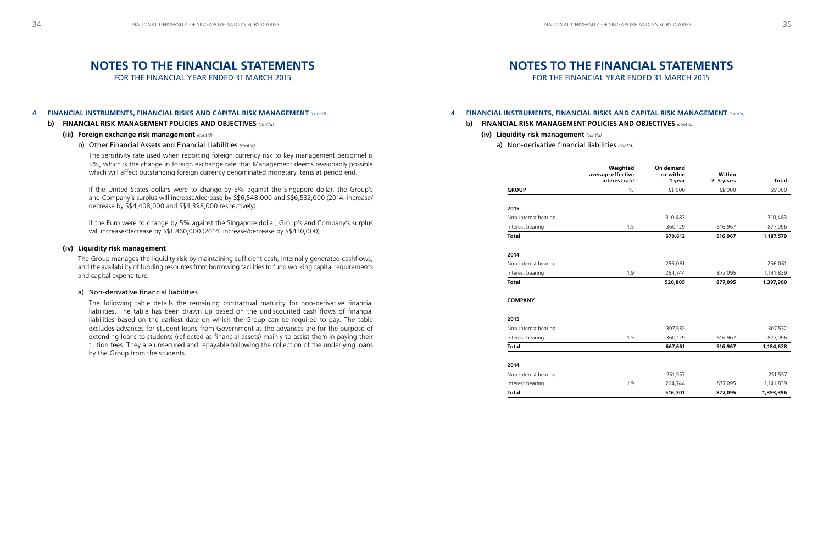FOR THE FINANCIAL YEAR ENDED 31 MARCH 2015

#### **4 FINANCIAL INSTRUMENTS, FINANCIAL RISKS AND CAPITAL RISK MANAGEMENT** *(cont'd)*

#### **b) FINANCIAL RISK MANAGEMENT POLICIES AND OBJECTIVES** *(cont'd)*

#### **(iii) Foreign exchange risk management** *(cont'd)*

#### b) Other Financial Assets and Financial Liabilities *(cont'd)*

 The sensitivity rate used when reporting foreign currency risk to key management personnel is 5%, which is the change in foreign exchange rate that Management deems reasonably possible which will affect outstanding foreign currency denominated monetary items at period end.

 If the United States dollars were to change by 5% against the Singapore dollar, the Group's and Company's surplus will increase/decrease by S\$6,548,000 and S\$6,532,000 (2014: increase/ decrease by S\$4,408,000 and S\$4,398,000 respectively).

 If the Euro were to change by 5% against the Singapore dollar, Group's and Company's surplus will increase/decrease by S\$1,860,000 (2014: increase/decrease by S\$430,000).

#### **(iv) Liquidity risk management**

 The Group manages the liquidity risk by maintaining sufficient cash, internally generated cashflows, and the availability of funding resources from borrowing facilities to fund working capital requirements and capital expenditure.

#### a) Non-derivative financial liabilities

 The following table details the remaining contractual maturity for non-derivative financial liabilities. The table has been drawn up based on the undiscounted cash flows of financial liabilities based on the earliest date on which the Group can be required to pay. The table excludes advances for student loans from Government as the advances are for the purpose of extending loans to students (reflected as financial assets) mainly to assist them in paying their tuition fees. They are unsecured and repayable following the collection of the underlying loans by the Group from the students.

# **NOTES TO THE FINANCIAL STATEMENTS**

FOR THE FINANCIAL YEAR ENDED 31 MARCH 2015

#### **4 FINANCIAL INSTRUMENTS, FINANCIAL RISKS AND CAPITAL RISK MANAGEMENT** *(cont'd)*

#### **b) FINANCIAL RISK MANAGEMENT POLICIES AND OBJECTIVES** *(cont'd)*

 **(iv) Liquidity risk management** *(cont'd)*

#### a) Non-derivative financial liabilities *(cont'd)*

|                      | Weighted<br>average effective<br>interest rate | On demand<br>or within<br>1 year | Within<br>2-5 years | <b>Total</b> |
|----------------------|------------------------------------------------|----------------------------------|---------------------|--------------|
| <b>GROUP</b>         | $\%$                                           | S\$'000                          | S\$'000             | S\$'000      |
| 2015                 |                                                |                                  |                     |              |
| Non-interest bearing |                                                | 310,483                          |                     | 310,483      |
| Interest bearing     | 1.5                                            | 360,129                          | 516,967             | 877,096      |
| <b>Total</b>         |                                                | 670,612                          | 516,967             | 1,187,579    |
| 2014                 |                                                |                                  |                     |              |
| Non-interest bearing |                                                | 256,061                          |                     | 256,061      |
| Interest bearing     | 1.9                                            | 264,744                          | 877,095             | 1,141,839    |
| Total                |                                                | 520,805                          | 877,095             | 1,397,900    |
| <b>COMPANY</b>       |                                                |                                  |                     |              |
| 2015                 |                                                |                                  |                     |              |
| Non-interest bearing |                                                | 307,532                          |                     | 307,532      |
| Interest bearing     | 1.5                                            | 360,129                          | 516,967             | 877,096      |
| <b>Total</b>         |                                                | 667,661                          | 516,967             | 1,184,628    |
| 2014                 |                                                |                                  |                     |              |
| Non-interest bearing |                                                | 251,557                          |                     | 251,557      |
| Interest bearing     | 1.9                                            | 264,744                          | 877,095             | 1,141,839    |
| <b>Total</b>         |                                                | 516,301                          | 877,095             | 1,393,396    |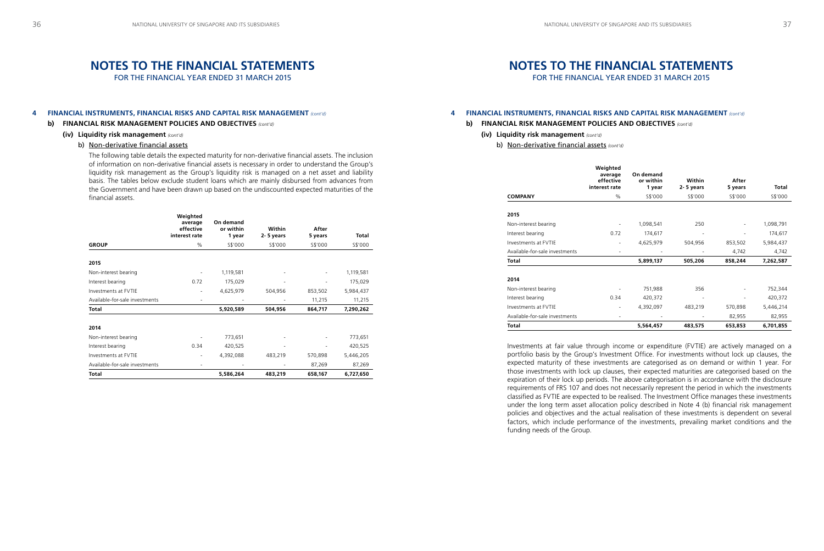FOR THE FINANCIAL YEAR ENDED 31 MARCH 2015

#### **4 FINANCIAL INSTRUMENTS, FINANCIAL RISKS AND CAPITAL RISK MANAGEMENT** *(cont'd)*

#### **b) FINANCIAL RISK MANAGEMENT POLICIES AND OBJECTIVES** *(cont'd)*

#### **(iv) Liquidity risk management** *(cont'd)*

#### b) Non-derivative financial assets

 The following table details the expected maturity for non-derivative financial assets. The inclusion of information on non-derivative financial assets is necessary in order to understand the Group's liquidity risk management as the Group's liquidity risk is managed on a net asset and liability basis. The tables below exclude student loans which are mainly disbursed from advances from the Government and have been drawn up based on the undiscounted expected maturities of the financial assets.

|                                | Weighted<br>average<br>effective<br>interest rate | On demand<br>or within<br>1 year | Within<br>2-5 years | After<br>5 years | Total     |
|--------------------------------|---------------------------------------------------|----------------------------------|---------------------|------------------|-----------|
| <b>GROUP</b>                   | $\%$                                              | S\$'000                          | S\$'000             | S\$'000          | S\$'000   |
| 2015                           |                                                   |                                  |                     |                  |           |
| Non-interest bearing           |                                                   | 1,119,581                        |                     |                  | 1,119,581 |
| Interest bearing               | 0.72                                              | 175,029                          |                     |                  | 175,029   |
| Investments at FVTIE           |                                                   | 4,625,979                        | 504,956             | 853,502          | 5,984,437 |
| Available-for-sale investments |                                                   |                                  |                     | 11,215           | 11,215    |
| Total                          |                                                   | 5,920,589                        | 504,956             | 864,717          | 7,290,262 |
| 2014                           |                                                   |                                  |                     |                  |           |
| Non-interest bearing           |                                                   | 773,651                          |                     |                  | 773,651   |
| Interest bearing               | 0.34                                              | 420,525                          |                     |                  | 420,525   |
| Investments at FVTIE           |                                                   | 4,392,088                        | 483,219             | 570,898          | 5,446,205 |
| Available-for-sale investments |                                                   |                                  |                     | 87,269           | 87,269    |
| Total                          |                                                   | 5,586,264                        | 483,219             | 658,167          | 6,727,650 |

# **NOTES TO THE FINANCIAL STATEMENTS**

FOR THE FINANCIAL YEAR ENDED 31 MARCH 2015

#### **4 FINANCIAL INSTRUMENTS, FINANCIAL RISKS AND CAPITAL RISK MANAGEMENT** *(cont'd)*

#### **b) FINANCIAL RISK MANAGEMENT POLICIES AND OBJECTIVES** *(cont'd)*

 **(iv) Liquidity risk management** *(cont'd)*

#### b) Non-derivative financial assets *(cont'd)*

|                                | Weighted<br>average<br>effective<br>interest rate | On demand<br>or within<br>1 year | Within<br>2-5 years | After<br>5 years         | Total     |
|--------------------------------|---------------------------------------------------|----------------------------------|---------------------|--------------------------|-----------|
| <b>COMPANY</b>                 | %                                                 | S\$'000                          | S\$'000             | S\$'000                  | S\$'000   |
| 2015                           |                                                   |                                  |                     |                          |           |
| Non-interest bearing           |                                                   | 1,098,541                        | 250                 |                          | 1,098,791 |
| Interest bearing               | 0.72                                              | 174,617                          | ٠                   | $\overline{\phantom{a}}$ | 174,617   |
| Investments at FVTIE           | ٠                                                 | 4,625,979                        | 504,956             | 853,502                  | 5,984,437 |
| Available-for-sale investments |                                                   |                                  |                     | 4,742                    | 4,742     |
| Total                          |                                                   | 5,899,137                        | 505,206             | 858,244                  | 7,262,587 |
| 2014                           |                                                   |                                  |                     |                          |           |
| Non-interest bearing           |                                                   | 751,988                          | 356                 |                          | 752,344   |
| Interest bearing               | 0.34                                              | 420,372                          |                     |                          | 420,372   |
| Investments at FVTIE           | ٠                                                 | 4,392,097                        | 483,219             | 570,898                  | 5,446,214 |
| Available-for-sale investments | ٠                                                 |                                  | ٠                   | 82,955                   | 82,955    |
| Total                          |                                                   | 5,564,457                        | 483,575             | 653,853                  | 6,701,855 |

 Investments at fair value through income or expenditure (FVTIE) are actively managed on a portfolio basis by the Group's Investment Office. For investments without lock up clauses, the expected maturity of these investments are categorised as on demand or within 1 year. For those investments with lock up clauses, their expected maturities are categorised based on the expiration of their lock up periods. The above categorisation is in accordance with the disclosure requirements of FRS 107 and does not necessarily represent the period in which the investments classified as FVTIE are expected to be realised. The Investment Office manages these investments under the long term asset allocation policy described in Note 4 (b) financial risk management policies and objectives and the actual realisation of these investments is dependent on several factors, which include performance of the investments, prevailing market conditions and the funding needs of the Group.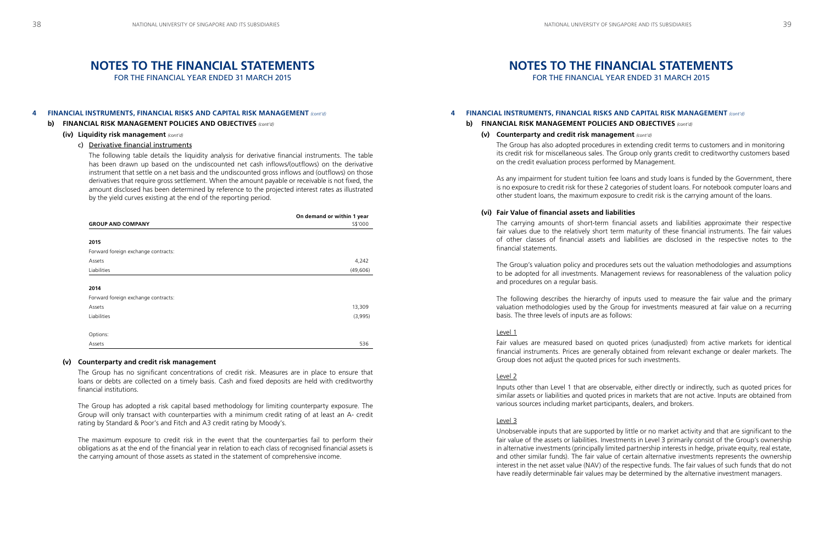FOR THE FINANCIAL YEAR ENDED 31 MARCH 2015

#### **4 FINANCIAL INSTRUMENTS, FINANCIAL RISKS AND CAPITAL RISK MANAGEMENT** *(cont'd)*

#### **b) FINANCIAL RISK MANAGEMENT POLICIES AND OBJECTIVES** *(cont'd)*

#### **(iv) Liquidity risk management** *(cont'd)*

#### c) Derivative financial instruments

 The following table details the liquidity analysis for derivative financial instruments. The table has been drawn up based on the undiscounted net cash inflows/(outflows) on the derivative instrument that settle on a net basis and the undiscounted gross inflows and (outflows) on those derivatives that require gross settlement. When the amount payable or receivable is not fixed, the amount disclosed has been determined by reference to the projected interest rates as illustrated by the yield curves existing at the end of the reporting period.

|                                     | On demand or within 1 year |
|-------------------------------------|----------------------------|
| <b>GROUP AND COMPANY</b>            | S\$'000                    |
|                                     |                            |
| 2015                                |                            |
| Forward foreign exchange contracts: |                            |
| Assets                              | 4,242                      |
| Liabilities                         | (49,606)                   |
|                                     |                            |
| 2014                                |                            |
| Forward foreign exchange contracts: |                            |
| Assets                              | 13,309                     |
| Liabilities                         | (3,995)                    |
|                                     |                            |
| Options:                            |                            |
| Assets                              | 536                        |

#### **(v) Counterparty and credit risk management**

 The Group has no significant concentrations of credit risk. Measures are in place to ensure that loans or debts are collected on a timely basis. Cash and fixed deposits are held with creditworthy financial institutions.

 The Group has adopted a risk capital based methodology for limiting counterparty exposure. The Group will only transact with counterparties with a minimum credit rating of at least an A- credit rating by Standard & Poor's and Fitch and A3 credit rating by Moody's.

 The maximum exposure to credit risk in the event that the counterparties fail to perform their obligations as at the end of the financial year in relation to each class of recognised financial assets is the carrying amount of those assets as stated in the statement of comprehensive income.

# **NOTES TO THE FINANCIAL STATEMENTS**

FOR THE FINANCIAL YEAR ENDED 31 MARCH 2015

#### **4 FINANCIAL INSTRUMENTS, FINANCIAL RISKS AND CAPITAL RISK MANAGEMENT** *(cont'd)*

#### **b) FINANCIAL RISK MANAGEMENT POLICIES AND OBJECTIVES** *(cont'd)*

#### **(v) Counterparty and credit risk management** *(cont'd)*

The Group has also adopted procedures in extending credit terms to customers and in monitoring its credit risk for miscellaneous sales. The Group only grants credit to creditworthy customers based on the credit evaluation process performed by Management.

 As any impairment for student tuition fee loans and study loans is funded by the Government, there is no exposure to credit risk for these 2 categories of student loans. For notebook computer loans and other student loans, the maximum exposure to credit risk is the carrying amount of the loans.

#### **(vi) Fair Value of financial assets and liabilities**

 The carrying amounts of short-term financial assets and liabilities approximate their respective fair values due to the relatively short term maturity of these financial instruments. The fair values of other classes of financial assets and liabilities are disclosed in the respective notes to the financial statements.

 The Group's valuation policy and procedures sets out the valuation methodologies and assumptions to be adopted for all investments. Management reviews for reasonableness of the valuation policy and procedures on a regular basis.

 The following describes the hierarchy of inputs used to measure the fair value and the primary valuation methodologies used by the Group for investments measured at fair value on a recurring basis. The three levels of inputs are as follows:

#### Level 1

 Fair values are measured based on quoted prices (unadjusted) from active markets for identical financial instruments. Prices are generally obtained from relevant exchange or dealer markets. The Group does not adjust the quoted prices for such investments.

#### Level 2

 Inputs other than Level 1 that are observable, either directly or indirectly, such as quoted prices for similar assets or liabilities and quoted prices in markets that are not active. Inputs are obtained from various sources including market participants, dealers, and brokers.

#### Level 3

 Unobservable inputs that are supported by little or no market activity and that are significant to the fair value of the assets or liabilities. Investments in Level 3 primarily consist of the Group's ownership in alternative investments (principally limited partnership interests in hedge, private equity, real estate, and other similar funds). The fair value of certain alternative investments represents the ownership interest in the net asset value (NAV) of the respective funds. The fair values of such funds that do not have readily determinable fair values may be determined by the alternative investment managers.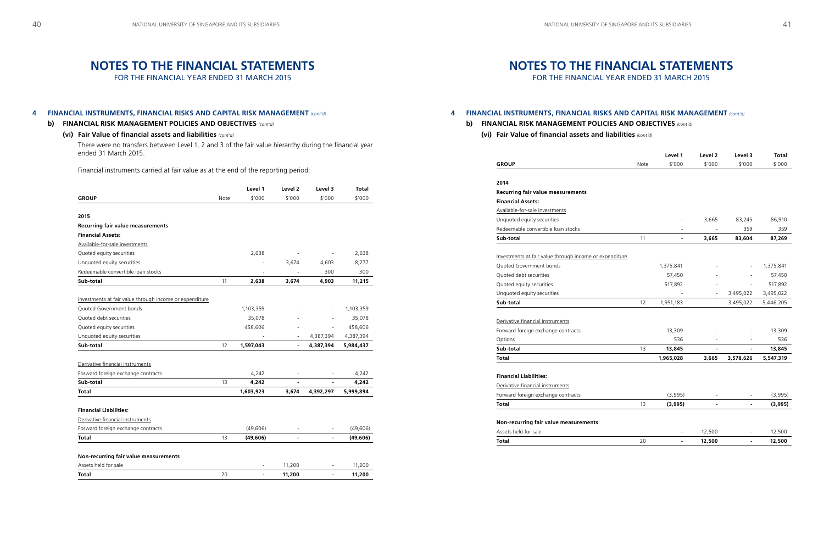FOR THE FINANCIAL YEAR ENDED 31 MARCH 2015

#### **4 FINANCIAL INSTRUMENTS, FINANCIAL RISKS AND CAPITAL RISK MANAGEMENT** *(cont'd)*

#### **b) FINANCIAL RISK MANAGEMENT POLICIES AND OBJECTIVES** *(cont'd)*

#### **(vi) Fair Value of financial assets and liabilities** *(cont'd)*

 There were no transfers between Level 1, 2 and 3 of the fair value hierarchy during the financial year ended 31 March 2015.

Financial instruments carried at fair value as at the end of the reporting period:

|                                                         |      | Level 1   | Level 2 | Level 3   | <b>Total</b> |
|---------------------------------------------------------|------|-----------|---------|-----------|--------------|
| <b>GROUP</b>                                            | Note | \$'000    | \$'000  | \$'000    | \$'000       |
| 2015                                                    |      |           |         |           |              |
| <b>Recurring fair value measurements</b>                |      |           |         |           |              |
| <b>Financial Assets:</b>                                |      |           |         |           |              |
| Available-for-sale investments                          |      |           |         |           |              |
| Quoted equity securities                                |      | 2,638     |         |           | 2,638        |
| Unquoted equity securities                              |      |           | 3,674   | 4,603     | 8,277        |
| Redeemable convertible loan stocks                      |      |           |         | 300       | 300          |
| Sub-total                                               | 11   | 2,638     | 3,674   | 4,903     | 11,215       |
| Investments at fair value through income or expenditure |      |           |         |           |              |
| Quoted Government bonds                                 |      | 1,103,359 |         |           | 1,103,359    |
| Quoted debt securities                                  |      | 35,078    |         |           | 35,078       |
| Quoted equity securities                                |      | 458,606   |         |           | 458,606      |
| Unquoted equity securities                              |      |           |         | 4,387,394 | 4,387,394    |
| Sub-total                                               | 12   | 1,597,043 |         | 4,387,394 | 5,984,437    |
|                                                         |      |           |         |           |              |
| Derivative financial instruments                        |      |           |         |           |              |
| Forward foreign exchange contracts                      |      | 4,242     |         |           | 4,242        |
| Sub-total                                               | 13   | 4,242     |         |           | 4,242        |
| Total                                                   |      | 1,603,923 | 3,674   | 4,392,297 | 5,999,894    |
| <b>Financial Liabilities:</b>                           |      |           |         |           |              |
| Derivative financial instruments                        |      |           |         |           |              |
| Forward foreign exchange contracts                      |      | (49,606)  |         |           | (49,606)     |
| <b>Total</b>                                            | 13   | (49,606)  |         | ä,        | (49, 606)    |
| Non-recurring fair value measurements                   |      |           |         |           |              |
| Assets held for sale                                    |      |           | 11,200  |           | 11,200       |
| Total                                                   | 20   | ۰         | 11,200  | ä,        | 11,200       |
|                                                         |      |           |         |           |              |

# **NOTES TO THE FINANCIAL STATEMENTS**

FOR THE FINANCIAL YEAR ENDED 31 MARCH 2015

#### **4 FINANCIAL INSTRUMENTS, FINANCIAL RISKS AND CAPITAL RISK MANAGEMENT** *(cont'd)*

#### **b) FINANCIAL RISK MANAGEMENT POLICIES AND OBJECTIVES** *(cont'd)*

 **(vi) Fair Value of financial assets and liabilities** *(cont'd)* 

|                                                         |      | Level 1   | Level 2        | Level 3        | <b>Total</b> |
|---------------------------------------------------------|------|-----------|----------------|----------------|--------------|
| <b>GROUP</b>                                            | Note | \$'000    | \$'000         | \$'000         | \$'000       |
| 2014                                                    |      |           |                |                |              |
| <b>Recurring fair value measurements</b>                |      |           |                |                |              |
| <b>Financial Assets:</b>                                |      |           |                |                |              |
|                                                         |      |           |                |                |              |
| Available-for-sale investments                          |      |           |                |                |              |
| Unquoted equity securities                              |      |           | 3,665          | 83,245         | 86,910       |
| Redeemable convertible loan stocks                      |      |           |                | 359            | 359          |
| Sub-total                                               | 11   |           | 3,665          | 83,604         | 87,269       |
| Investments at fair value through income or expenditure |      |           |                |                |              |
| Quoted Government bonds                                 |      | 1,375,841 |                |                | 1,375,841    |
| Quoted debt securities                                  |      | 57,450    |                |                | 57,450       |
| Quoted equity securities                                |      | 517,892   |                |                | 517,892      |
| Unquoted equity securities                              |      |           |                | 3,495,022      | 3,495,022    |
| Sub-total                                               | 12   | 1,951,183 |                | 3,495,022      | 5,446,205    |
|                                                         |      |           |                |                |              |
| Derivative financial instruments                        |      |           |                |                |              |
| Forward foreign exchange contracts                      |      | 13,309    |                |                | 13,309       |
| Options                                                 |      | 536       |                |                | 536          |
| Sub-total                                               | 13   | 13,845    | $\blacksquare$ | $\blacksquare$ | 13,845       |
| <b>Total</b>                                            |      | 1,965,028 | 3,665          | 3,578,626      | 5,547,319    |
| <b>Financial Liabilities:</b>                           |      |           |                |                |              |
| Derivative financial instruments                        |      |           |                |                |              |
| Forward foreign exchange contracts                      |      | (3,995)   |                |                | (3,995)      |
|                                                         |      |           |                |                |              |
| <b>Total</b>                                            | 13   | (3,995)   | ۰              | $\overline{a}$ | (3,995)      |
| Non-recurring fair value measurements                   |      |           |                |                |              |
| Assets held for sale                                    |      |           | 12,500         |                | 12,500       |
| Total                                                   | 20   | ä,        | 12,500         |                | 12,500       |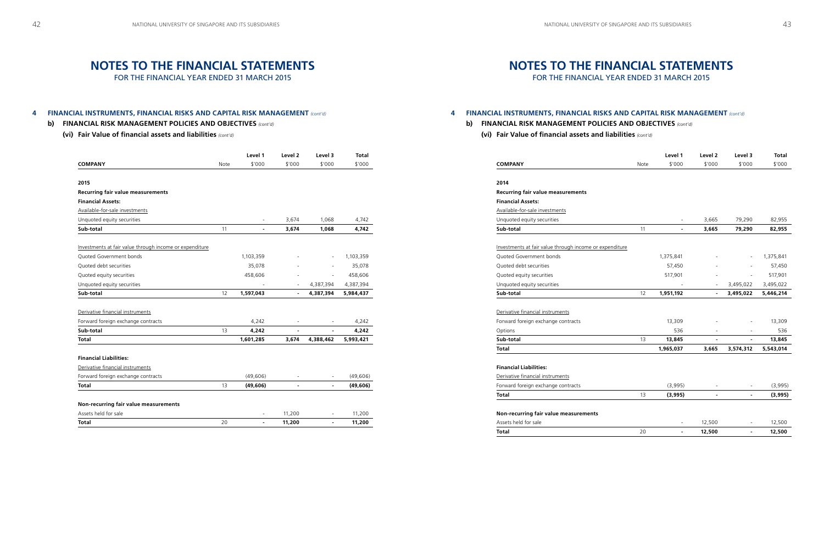FOR THE FINANCIAL YEAR ENDED 31 MARCH 2015

#### **4 FINANCIAL INSTRUMENTS, FINANCIAL RISKS AND CAPITAL RISK MANAGEMENT** *(cont'd)*

#### **b) FINANCIAL RISK MANAGEMENT POLICIES AND OBJECTIVES** *(cont'd)*

 **(vi) Fair Value of financial assets and liabilities** *(cont'd)* 

|                                                         |      | Level 1                      | Level 2                  | Level 3        | Total     |
|---------------------------------------------------------|------|------------------------------|--------------------------|----------------|-----------|
| <b>COMPANY</b>                                          | Note | \$'000                       | \$'000                   | \$'000         | \$'000    |
| 2015                                                    |      |                              |                          |                |           |
| <b>Recurring fair value measurements</b>                |      |                              |                          |                |           |
| <b>Financial Assets:</b>                                |      |                              |                          |                |           |
| Available-for-sale investments                          |      |                              |                          |                |           |
| Unquoted equity securities                              |      | $\frac{1}{2}$                | 3,674                    | 1,068          | 4,742     |
| Sub-total                                               | 11   | $\qquad \qquad \blacksquare$ | 3,674                    | 1,068          | 4,742     |
| Investments at fair value through income or expenditure |      |                              |                          |                |           |
| <b>Ouoted Government bonds</b>                          |      | 1,103,359                    |                          |                | 1,103,359 |
| Quoted debt securities                                  |      | 35,078                       |                          |                | 35,078    |
| Quoted equity securities                                |      | 458,606                      |                          |                | 458,606   |
| Unquoted equity securities                              |      | $\overline{\phantom{m}}$     | $\overline{\phantom{a}}$ | 4,387,394      | 4,387,394 |
| Sub-total                                               | 12   | 1,597,043                    |                          | 4,387,394      | 5,984,437 |
| Derivative financial instruments                        |      |                              |                          |                |           |
| Forward foreign exchange contracts                      |      | 4,242                        |                          |                | 4,242     |
| Sub-total                                               | 13   | 4,242                        |                          |                | 4,242     |
| Total                                                   |      | 1,601,285                    | 3,674                    | 4,388,462      | 5,993,421 |
| <b>Financial Liabilities:</b>                           |      |                              |                          |                |           |
| Derivative financial instruments                        |      |                              |                          |                |           |
| Forward foreign exchange contracts                      |      | (49,606)                     |                          | ٠              | (49,606)  |
| <b>Total</b>                                            | 13   | (49,606)                     |                          |                | (49,606)  |
| Non-recurring fair value measurements                   |      |                              |                          |                |           |
| Assets held for sale                                    |      |                              | 11,200                   |                | 11,200    |
| Total                                                   | 20   | $\blacksquare$               | 11,200                   | $\overline{a}$ | 11,200    |

# **NOTES TO THE FINANCIAL STATEMENTS**

FOR THE FINANCIAL YEAR ENDED 31 MARCH 2015

#### **4 FINANCIAL INSTRUMENTS, FINANCIAL RISKS AND CAPITAL RISK MANAGEMENT** *(cont'd)*

#### **b) FINANCIAL RISK MANAGEMENT POLICIES AND OBJECTIVES** *(cont'd)*

 **(vi) Fair Value of financial assets and liabilities** *(cont'd)* 

|                                                         |      | Level 1   | Level 2                  | Level 3                  | Total     |
|---------------------------------------------------------|------|-----------|--------------------------|--------------------------|-----------|
| <b>COMPANY</b>                                          | Note | \$'000    | \$'000                   | \$'000                   | \$'000    |
| 2014                                                    |      |           |                          |                          |           |
| <b>Recurring fair value measurements</b>                |      |           |                          |                          |           |
| <b>Financial Assets:</b>                                |      |           |                          |                          |           |
| Available-for-sale investments                          |      |           |                          |                          |           |
| Unquoted equity securities                              |      | ÷,        | 3,665                    | 79,290                   | 82,955    |
| Sub-total                                               | 11   | ÷,        | 3,665                    | 79,290                   | 82,955    |
| Investments at fair value through income or expenditure |      |           |                          |                          |           |
| <b>Ouoted Government bonds</b>                          |      | 1,375,841 |                          |                          | 1,375,841 |
| Quoted debt securities                                  |      | 57,450    |                          |                          | 57,450    |
| Quoted equity securities                                |      | 517,901   |                          |                          | 517,901   |
| Unquoted equity securities                              |      |           |                          | 3,495,022                | 3,495,022 |
| Sub-total                                               | 12   | 1,951,192 | $\blacksquare$           | 3,495,022                | 5,446,214 |
| Derivative financial instruments                        |      |           |                          |                          |           |
| Forward foreign exchange contracts                      |      | 13,309    |                          |                          | 13,309    |
| Options                                                 |      | 536       | $\overline{\phantom{a}}$ | $\frac{1}{2}$            | 536       |
| Sub-total                                               | 13   | 13,845    |                          | ä,                       | 13,845    |
| Total                                                   |      | 1,965,037 | 3,665                    | 3,574,312                | 5,543,014 |
|                                                         |      |           |                          |                          |           |
| <b>Financial Liabilities:</b>                           |      |           |                          |                          |           |
| Derivative financial instruments                        |      |           |                          |                          |           |
| Forward foreign exchange contracts                      |      | (3,995)   |                          |                          | (3,995)   |
| <b>Total</b>                                            | 13   | (3,995)   | -                        | $\overline{\phantom{a}}$ | (3,995)   |
| Non-recurring fair value measurements                   |      |           |                          |                          |           |
| Assets held for sale                                    |      |           | 12,500                   |                          | 12,500    |
| Total                                                   | 20   | ÷,        | 12,500                   | ä,                       | 12,500    |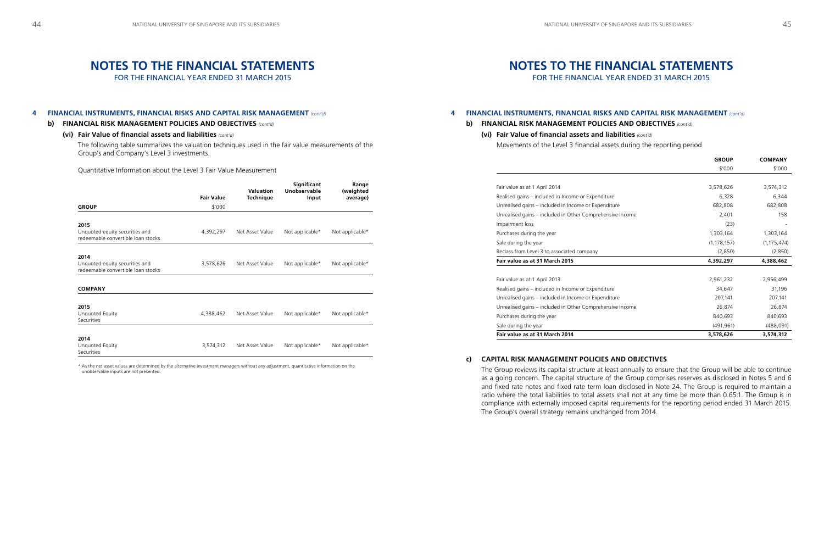FOR THE FINANCIAL YEAR ENDED 31 MARCH 2015

#### **4 FINANCIAL INSTRUMENTS, FINANCIAL RISKS AND CAPITAL RISK MANAGEMENT** *(cont'd)*

#### **b) FINANCIAL RISK MANAGEMENT POLICIES AND OBJECTIVES** *(cont'd)*

#### **(vi) Fair Value of financial assets and liabilities** *(cont'd)*

 The following table summarizes the valuation techniques used in the fair value measurements of the Group's and Company's Level 3 investments.

Quantitative Information about the Level 3 Fair Value Measurement

|                                                                              | <b>Fair Value</b> | Valuation<br><b>Technique</b> | Significant<br>Unobservable<br>Input | Range<br>(weighted<br>average) |
|------------------------------------------------------------------------------|-------------------|-------------------------------|--------------------------------------|--------------------------------|
| <b>GROUP</b>                                                                 | \$'000            |                               |                                      |                                |
| 2015<br>Unquoted equity securities and<br>redeemable convertible loan stocks | 4,392,297         | Net Asset Value               | Not applicable*                      | Not applicable*                |
| 2014<br>Unquoted equity securities and<br>redeemable convertible loan stocks | 3,578,626         | Net Asset Value               | Not applicable*                      | Not applicable*                |
| <b>COMPANY</b>                                                               |                   |                               |                                      |                                |
| 2015<br>Unquoted Equity<br><b>Securities</b>                                 | 4,388,462         | Net Asset Value               | Not applicable*                      | Not applicable*                |
| 2014<br>Unquoted Equity<br><b>Securities</b>                                 | 3,574,312         | Net Asset Value               | Not applicable*                      | Not applicable*                |

\* As the net asset values are determined by the alternative investment managers without any adjustment, quantitative information on the unobservable inputs are not presented.

### **NOTES TO THE FINANCIAL STATEMENTS** FOR THE FINANCIAL YEAR ENDED 31 MARCH 2015

#### **4 FINANCIAL INSTRUMENTS, FINANCIAL RISKS AND CAPITAL RISK MANAGEMENT** *(cont'd)*

#### **b) FINANCIAL RISK MANAGEMENT POLICIES AND OBJECTIVES** *(cont'd)*

#### **(vi) Fair Value of financial assets and liabilities** *(cont'd)*

Movements of the Level 3 financial assets during the reporting period

|                                                           | <b>GROUP</b>  | <b>COMPANY</b> |
|-----------------------------------------------------------|---------------|----------------|
|                                                           | \$'000        | \$'000         |
|                                                           |               |                |
| Fair value as at 1 April 2014                             | 3,578,626     | 3,574,312      |
| Realised gains – included in Income or Expenditure        | 6,328         | 6,344          |
| Unrealised gains – included in Income or Expenditure      | 682.808       | 682.808        |
| Unrealised gains – included in Other Comprehensive Income | 2,401         | 158            |
| Impairment loss                                           | (23)          |                |
| Purchases during the year                                 | 1,303,164     | 1,303,164      |
| Sale during the year                                      | (1, 178, 157) | (1, 175, 474)  |
| Reclass from Level 3 to associated company                | (2,850)       | (2,850)        |
| Fair value as at 31 March 2015                            | 4,392,297     | 4,388,462      |
|                                                           |               |                |
| Fair value as at 1 April 2013                             | 2,961,232     | 2,956,499      |
| Realised gains – included in Income or Expenditure        | 34,647        | 31,196         |
| Unrealised gains - included in Income or Expenditure      | 207,141       | 207,141        |
| Unrealised gains – included in Other Comprehensive Income | 26,874        | 26,874         |
| Purchases during the year                                 | 840,693       | 840,693        |
| Sale during the year                                      | (491, 961)    | (488,091)      |
| Fair value as at 31 March 2014                            | 3,578,626     | 3,574,312      |

#### **c) CAPITAL RISK MANAGEMENT POLICIES AND OBJECTIVES**

 The Group reviews its capital structure at least annually to ensure that the Group will be able to continue as a going concern. The capital structure of the Group comprises reserves as disclosed in Notes 5 and 6 and fixed rate notes and fixed rate term loan disclosed in Note 24. The Group is required to maintain a ratio where the total liabilities to total assets shall not at any time be more than 0.65:1. The Group is in compliance with externally imposed capital requirements for the reporting period ended 31 March 2015. The Group's overall strategy remains unchanged from 2014.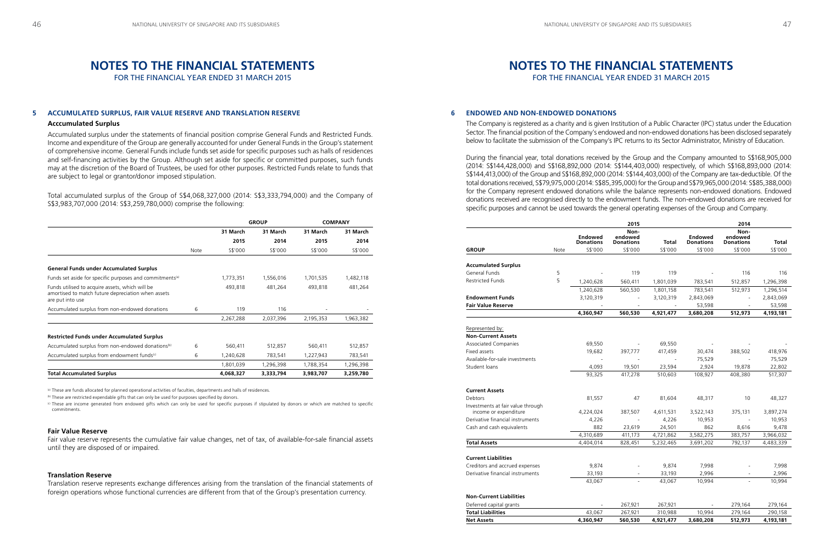FOR THE FINANCIAL YEAR ENDED 31 MARCH 2015

#### **5 ACCUMULATED SURPLUS, FAIR VALUE RESERVE AND TRANSLATION RESERVE**

#### **Acccumulated Surplus**

Accumulated surplus under the statements of financial position comprise General Funds and Restricted Funds. Income and expenditure of the Group are generally accounted for under General Funds in the Group's statement of comprehensive income. General Funds include funds set aside for specific purposes such as halls of residences and self-financing activities by the Group. Although set aside for specific or committed purposes, such funds may at the discretion of the Board of Trustees, be used for other purposes. Restricted Funds relate to funds that are subject to legal or grantor/donor imposed stipulation.

 Total accumulated surplus of the Group of S\$4,068,327,000 (2014: S\$3,333,794,000) and the Company of S\$3,983,707,000 (2014: S\$3,259,780,000) comprise the following:

|                                                                                                                           |             |           | <b>GROUP</b> |           | <b>COMPANY</b> |
|---------------------------------------------------------------------------------------------------------------------------|-------------|-----------|--------------|-----------|----------------|
|                                                                                                                           |             | 31 March  | 31 March     | 31 March  | 31 March       |
|                                                                                                                           |             | 2015      | 2014         | 2015      | 2014           |
|                                                                                                                           | <b>Note</b> | S\$'000   | S\$'000      | S\$'000   | S\$'000        |
| <b>General Funds under Accumulated Surplus</b>                                                                            |             |           |              |           |                |
| Funds set aside for specific purposes and commitments <sup>(a)</sup>                                                      |             | 1,773,351 | 1,556,016    | 1,701,535 | 1,482,118      |
| Funds utilised to acquire assets, which will be<br>amortised to match future depreciation when assets<br>are put into use |             | 493,818   | 481,264      | 493,818   | 481,264        |
| Accumulated surplus from non-endowed donations                                                                            | 6           | 119       | 116          | ٠         |                |
|                                                                                                                           |             | 2,267,288 | 2,037,396    | 2,195,353 | 1,963,382      |
| <b>Restricted Funds under Accumulated Surplus</b>                                                                         |             |           |              |           |                |
| Accumulated surplus from non-endowed donations <sup>(b)</sup>                                                             | 6           | 560,411   | 512,857      | 560,411   | 512,857        |
| Accumulated surplus from endowment funds <sup>(c)</sup>                                                                   | 6           | 1,240,628 | 783,541      | 1,227,943 | 783,541        |
|                                                                                                                           |             | 1,801,039 | 1,296,398    | 1,788,354 | 1,296,398      |
| <b>Total Accumulated Surplus</b>                                                                                          |             | 4,068,327 | 3,333,794    | 3,983,707 | 3,259,780      |

(a) These are funds allocated for planned operational activities of faculties, departments and halls of residences.

(b) These are restricted expendable gifts that can only be used for purposes specified by donors.

(c) These are income generated from endowed gifts which can only be used for specific purposes if stipulated by donors or which are matched to specific commitments.

#### **Fair Value Reserve**

Fair value reserve represents the cumulative fair value changes, net of tax, of available-for-sale financial assets until they are disposed of or impaired.

#### **Translation Reserve**

Translation reserve represents exchange differences arising from the translation of the financial statements of foreign operations whose functional currencies are different from that of the Group's presentation currency.

### **NOTES TO THE FINANCIAL STATEMENTS** FOR THE FINANCIAL YEAR ENDED 31 MARCH 2015

#### **6 ENDOWED AND NON-ENDOWED DONATIONS**

 The Company is registered as a charity and is given Institution of a Public Character (IPC) status under the Education Sector. The financial position of the Company's endowed and non-endowed donations has been disclosed separately below to facilitate the submission of the Company's IPC returns to its Sector Administrator, Ministry of Education.

 During the financial year, total donations received by the Group and the Company amounted to S\$168,905,000 (2014: S\$144,428,000) and S\$168,892,000 (2014: S\$144,403,000) respectively, of which S\$168,893,000 (2014: S\$144,413,000) of the Group and S\$168,892,000 (2014: S\$144,403,000) of the Company are tax-deductible. Of the total donations received, S\$79,975,000 (2014: S\$85,395,000) for the Group and S\$79,965,000 (2014: S\$85,388,000) for the Company represent endowed donations while the balance represents non-endowed donations. Endowed donations received are recognised directly to the endowment funds. The non-endowed donations are received for specific purposes and cannot be used towards the general operating expenses of the Group and Company.

|                                   |      |                                    | 2015                                |           |                                    | 2014                                |           |
|-----------------------------------|------|------------------------------------|-------------------------------------|-----------|------------------------------------|-------------------------------------|-----------|
|                                   |      | <b>Endowed</b><br><b>Donations</b> | Non-<br>endowed<br><b>Donations</b> | Total     | <b>Endowed</b><br><b>Donations</b> | Non-<br>endowed<br><b>Donations</b> | Total     |
| <b>GROUP</b>                      | Note | S\$'000                            | S\$'000                             | S\$'000   | S\$'000                            | S\$'000                             | S\$'000   |
| <b>Accumulated Surplus</b>        |      |                                    |                                     |           |                                    |                                     |           |
| General Funds                     | 5    |                                    | 119                                 | 119       |                                    | 116                                 | 116       |
| <b>Restricted Funds</b>           | 5    |                                    |                                     |           | 783,541                            |                                     |           |
|                                   |      | 1,240,628                          | 560,411                             | 1,801,039 |                                    | 512,857                             | 1,296,398 |
|                                   |      | 1,240,628                          | 560,530                             | 1,801,158 | 783,541                            | 512,973                             | 1,296,514 |
| <b>Endowment Funds</b>            |      | 3,120,319                          |                                     | 3,120,319 | 2,843,069                          |                                     | 2,843,069 |
| <b>Fair Value Reserve</b>         |      |                                    |                                     |           | 53,598                             |                                     | 53,598    |
|                                   |      | 4,360,947                          | 560,530                             | 4,921,477 | 3,680,208                          | 512,973                             | 4,193,181 |
| Represented by:                   |      |                                    |                                     |           |                                    |                                     |           |
| <b>Non-Current Assets</b>         |      |                                    |                                     |           |                                    |                                     |           |
| <b>Associated Companies</b>       |      | 69,550                             |                                     | 69,550    |                                    |                                     |           |
| Fixed assets                      |      | 19,682                             | 397,777                             | 417,459   | 30,474                             | 388,502                             | 418,976   |
| Available-for-sale investments    |      | $\bar{a}$                          |                                     | $\sim$    | 75,529                             |                                     | 75,529    |
| Student loans                     |      | 4.093                              | 19,501                              | 23,594    | 2,924                              | 19,878                              | 22,802    |
|                                   |      | 93,325                             | 417,278                             | 510,603   | 108,927                            | 408,380                             | 517,307   |
| <b>Current Assets</b>             |      |                                    |                                     |           |                                    |                                     |           |
| Debtors                           |      | 81,557                             | 47                                  | 81,604    | 48,317                             | 10                                  | 48,327    |
| Investments at fair value through |      |                                    |                                     |           |                                    |                                     |           |
| income or expenditure             |      | 4,224,024                          | 387,507                             | 4,611,531 | 3,522,143                          | 375,131                             | 3,897,274 |
| Derivative financial instruments  |      | 4,226                              |                                     | 4,226     | 10,953                             | $\overline{\phantom{a}}$            | 10,953    |
| Cash and cash equivalents         |      | 882                                | 23,619                              | 24,501    | 862                                | 8,616                               | 9,478     |
|                                   |      | 4,310,689                          | 411,173                             | 4,721,862 | 3,582,275                          | 383,757                             | 3,966,032 |
| <b>Total Assets</b>               |      | 4,404,014                          | 828,451                             | 5,232,465 | 3,691,202                          | 792,137                             | 4,483,339 |
| <b>Current Liabilities</b>        |      |                                    |                                     |           |                                    |                                     |           |
| Creditors and accrued expenses    |      | 9,874                              |                                     | 9,874     | 7,998                              |                                     | 7,998     |
| Derivative financial instruments  |      | 33,193                             |                                     | 33,193    | 2,996                              |                                     | 2,996     |
|                                   |      | 43,067                             |                                     | 43,067    | 10,994                             |                                     | 10,994    |
| <b>Non-Current Liabilities</b>    |      |                                    |                                     |           |                                    |                                     |           |
| Deferred capital grants           |      |                                    | 267,921                             | 267,921   | ÷,                                 | 279,164                             | 279,164   |
| <b>Total Liabilities</b>          |      | 43.067                             | 267,921                             | 310,988   | 10.994                             | 279,164                             | 290,158   |
| <b>Net Assets</b>                 |      | 4,360,947                          | 560,530                             | 4,921,477 | 3,680,208                          | 512,973                             | 4,193,181 |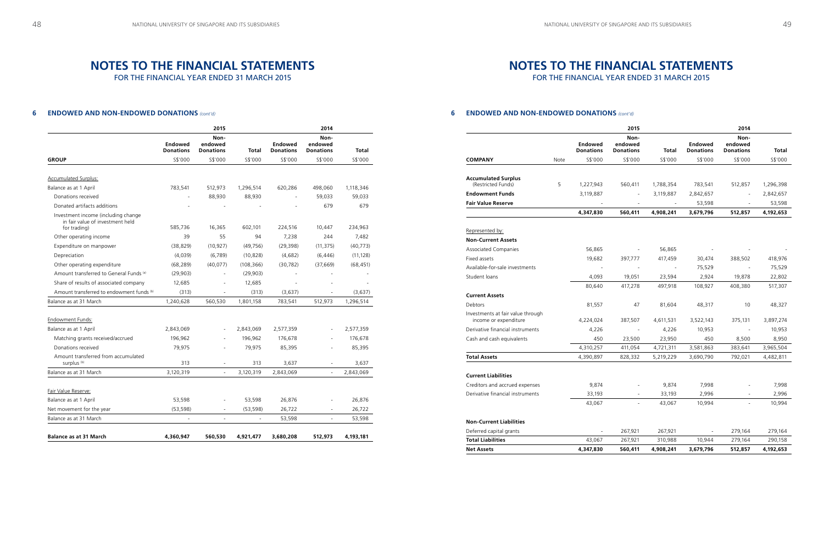FOR THE FINANCIAL YEAR ENDED 31 MARCH 2015

# **NOTES TO THE FINANCIAL STATEMENTS**

FOR THE FINANCIAL YEAR ENDED 31 MARCH 2015

#### **6 ENDOWED AND NON-ENDOWED DONATIONS** *(cont'd)* **6 ENDOWED AND NON-ENDOWED DONATIONS** *(cont'd)*

|                                                                                         |                             | 2015                                |            |                             | 2014                                |           |
|-----------------------------------------------------------------------------------------|-----------------------------|-------------------------------------|------------|-----------------------------|-------------------------------------|-----------|
|                                                                                         | Endowed<br><b>Donations</b> | Non-<br>endowed<br><b>Donations</b> | Total      | Endowed<br><b>Donations</b> | Non-<br>endowed<br><b>Donations</b> | Total     |
| <b>GROUP</b>                                                                            | S\$'000                     | S\$'000                             | S\$'000    | S\$'000                     | S\$'000                             | S\$'000   |
|                                                                                         |                             |                                     |            |                             |                                     |           |
| <b>Accumulated Surplus:</b>                                                             |                             |                                     |            |                             |                                     |           |
| Balance as at 1 April                                                                   | 783,541                     | 512,973                             | 1,296,514  | 620,286                     | 498,060                             | 1,118,346 |
| Donations received                                                                      |                             | 88,930                              | 88,930     |                             | 59,033                              | 59,033    |
| Donated artifacts additions                                                             |                             |                                     |            |                             | 679                                 | 679       |
| Investment income (including change<br>in fair value of investment held<br>for trading) | 585,736                     | 16,365                              | 602,101    | 224,516                     | 10,447                              | 234,963   |
| Other operating income                                                                  | 39                          | 55                                  | 94         | 7.238                       | 244                                 | 7,482     |
| Expenditure on manpower                                                                 | (38, 829)                   | (10, 927)                           | (49, 756)  | (29, 398)                   | (11, 375)                           | (40, 773) |
| Depreciation                                                                            | (4,039)                     | (6,789)                             | (10, 828)  | (4,682)                     | (6, 446)                            | (11, 128) |
| Other operating expenditure                                                             | (68, 289)                   | (40,077)                            | (108, 366) | (30, 782)                   | (37,669)                            | (68, 451) |
| Amount transferred to General Funds (a)                                                 | (29,903)                    |                                     | (29,903)   |                             |                                     |           |
| Share of results of associated company                                                  | 12,685                      |                                     | 12,685     |                             |                                     |           |
| Amount transferred to endowment funds (b)                                               | (313)                       | ÷,                                  | (313)      | (3,637)                     |                                     | (3,637)   |
| Balance as at 31 March                                                                  | 1,240,628                   | 560,530                             | 1,801,158  | 783,541                     | 512,973                             | 1,296,514 |
| Endowment Funds:                                                                        |                             |                                     |            |                             |                                     |           |
| Balance as at 1 April                                                                   | 2,843,069                   | ٠                                   | 2,843,069  | 2,577,359                   |                                     | 2,577,359 |
| Matching grants received/accrued                                                        | 196,962                     |                                     | 196,962    | 176,678                     |                                     | 176,678   |
| Donations received                                                                      | 79,975                      |                                     | 79,975     | 85,395                      |                                     | 85,395    |
| Amount transferred from accumulated<br>surplus <sup>(b)</sup>                           | 313                         | ä,                                  | 313        | 3.637                       |                                     | 3,637     |
| Balance as at 31 March                                                                  | 3,120,319                   | ÷,                                  | 3,120,319  | 2,843,069                   | ä,                                  | 2,843,069 |
|                                                                                         |                             |                                     |            |                             |                                     |           |
| Fair Value Reserve:                                                                     |                             |                                     |            |                             |                                     |           |
| Balance as at 1 April                                                                   | 53,598                      | ä,                                  | 53,598     | 26,876                      | ä,                                  | 26,876    |
| Net movement for the year                                                               | (53, 598)                   | $\blacksquare$                      | (53, 598)  | 26,722                      |                                     | 26,722    |
| Balance as at 31 March                                                                  |                             |                                     |            | 53,598                      |                                     | 53,598    |
| <b>Balance as at 31 March</b>                                                           | 4,360,947                   | 560,530                             | 4,921,477  | 3,680,208                   | 512,973                             | 4,193,181 |

|                                                            |      |                             | 2015                                |           |                                    | 2014                                |           |
|------------------------------------------------------------|------|-----------------------------|-------------------------------------|-----------|------------------------------------|-------------------------------------|-----------|
|                                                            |      | Endowed<br><b>Donations</b> | Non-<br>endowed<br><b>Donations</b> | Total     | <b>Endowed</b><br><b>Donations</b> | Non-<br>endowed<br><b>Donations</b> | Total     |
| <b>COMPANY</b>                                             | Note | S\$'000                     | S\$'000                             | S\$'000   | S\$'000                            | S\$'000                             | S\$'000   |
| <b>Accumulated Surplus</b><br>(Restricted Funds)           | 5.   | 1,227,943                   | 560,411                             | 1,788,354 | 783,541                            | 512,857                             | 1,296,398 |
| <b>Endowment Funds</b>                                     |      | 3,119,887                   |                                     | 3,119,887 | 2,842,657                          |                                     | 2,842,657 |
| <b>Fair Value Reserve</b>                                  |      |                             |                                     |           | 53,598                             |                                     | 53,598    |
|                                                            |      | 4,347,830                   | 560,411                             | 4,908,241 | 3,679,796                          | 512,857                             | 4,192,653 |
| Represented by:                                            |      |                             |                                     |           |                                    |                                     |           |
| <b>Non-Current Assets</b>                                  |      |                             |                                     |           |                                    |                                     |           |
| <b>Associated Companies</b>                                |      | 56,865                      | $\overline{\phantom{a}}$            | 56,865    |                                    |                                     |           |
| Fixed assets                                               |      | 19,682                      | 397,777                             | 417,459   | 30,474                             | 388,502                             | 418,976   |
| Available-for-sale investments                             |      | ÷,                          |                                     | $\sim$    | 75,529                             | ÷,                                  | 75,529    |
| Student loans                                              |      | 4,093                       | 19,051                              | 23,594    | 2,924                              | 19,878                              | 22,802    |
|                                                            |      | 80,640                      | 417,278                             | 497,918   | 108,927                            | 408,380                             | 517,307   |
| <b>Current Assets</b>                                      |      |                             |                                     |           |                                    |                                     |           |
| Debtors                                                    |      | 81,557                      | 47                                  | 81,604    | 48,317                             | 10                                  | 48,327    |
| Investments at fair value through<br>income or expenditure |      | 4,224,024                   | 387,507                             | 4,611,531 | 3,522,143                          | 375,131                             | 3,897,274 |
| Derivative financial instruments                           |      | 4,226                       |                                     | 4,226     | 10,953                             | ÷,                                  | 10,953    |
| Cash and cash equivalents                                  |      | 450                         | 23,500                              | 23,950    | 450                                | 8,500                               | 8,950     |
|                                                            |      | 4,310,257                   | 411,054                             | 4,721,311 | 3,581,863                          | 383,641                             | 3,965,504 |
| <b>Total Assets</b>                                        |      | 4,390,897                   | 828,332                             | 5,219,229 | 3,690,790                          | 792,021                             | 4,482,811 |
| <b>Current Liabilities</b>                                 |      |                             |                                     |           |                                    |                                     |           |
| Creditors and accrued expenses                             |      | 9,874                       |                                     | 9.874     | 7,998                              |                                     | 7,998     |
| Derivative financial instruments                           |      | 33,193                      |                                     | 33,193    | 2,996                              |                                     | 2,996     |
|                                                            |      | 43,067                      |                                     | 43,067    | 10,994                             |                                     | 10,994    |
| <b>Non-Current Liabilities</b>                             |      |                             |                                     |           |                                    |                                     |           |
| Deferred capital grants                                    |      | $\overline{\phantom{a}}$    | 267,921                             | 267,921   |                                    | 279,164                             | 279,164   |
| <b>Total Liabilities</b>                                   |      | 43,067                      | 267,921                             | 310,988   | 10,944                             | 279,164                             | 290,158   |
| <b>Net Assets</b>                                          |      | 4,347,830                   | 560,411                             | 4,908,241 | 3,679,796                          | 512,857                             | 4,192,653 |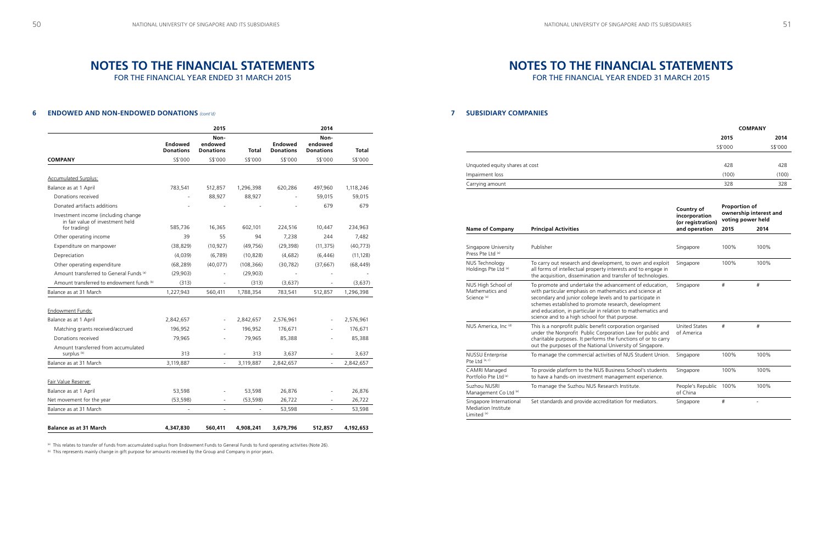FOR THE FINANCIAL YEAR ENDED 31 MARCH 2015

# **NOTES TO THE FINANCIAL STATEMENTS**

FOR THE FINANCIAL YEAR ENDED 31 MARCH 2015

#### **6 ENDOWED AND NON-ENDOWED DONATIONS** *(cont'd)*

|                                                                                         |                                    | 2015                                |                          |                                    | 2014                                |           |
|-----------------------------------------------------------------------------------------|------------------------------------|-------------------------------------|--------------------------|------------------------------------|-------------------------------------|-----------|
|                                                                                         | <b>Endowed</b><br><b>Donations</b> | Non-<br>endowed<br><b>Donations</b> | Total                    | <b>Endowed</b><br><b>Donations</b> | Non-<br>endowed<br><b>Donations</b> | Total     |
| <b>COMPANY</b>                                                                          | S\$'000                            | S\$'000                             | S\$'000                  | S\$'000                            | S\$'000                             | S\$'000   |
|                                                                                         |                                    |                                     |                          |                                    |                                     |           |
| <b>Accumulated Surplus:</b>                                                             |                                    |                                     |                          |                                    |                                     |           |
| Balance as at 1 April                                                                   | 783,541                            | 512,857                             | 1,296,398                | 620,286                            | 497,960                             | 1,118,246 |
| Donations received                                                                      |                                    | 88,927                              | 88,927                   |                                    | 59,015                              | 59,015    |
| Donated artifacts additions                                                             |                                    |                                     |                          |                                    | 679                                 | 679       |
| Investment income (including change<br>in fair value of investment held<br>for trading) | 585.736                            | 16,365                              | 602,101                  | 224,516                            | 10,447                              | 234,963   |
| Other operating income                                                                  | 39                                 | 55                                  | 94                       | 7.238                              | 244                                 | 7,482     |
| Expenditure on manpower                                                                 | (38, 829)                          | (10, 927)                           | (49, 756)                | (29, 398)                          | (11, 375)                           | (40, 773) |
| Depreciation                                                                            | (4,039)                            | (6,789)                             | (10, 828)                | (4,682)                            | (6, 446)                            | (11, 128) |
| Other operating expenditure                                                             | (68, 289)                          | (40,077)                            | (108, 366)               | (30, 782)                          | (37, 667)                           | (68, 449) |
| Amount transferred to General Funds (a)                                                 | (29,903)                           | $\frac{1}{2}$                       | (29,903)                 |                                    |                                     |           |
| Amount transferred to endowment funds (b)                                               | (313)                              |                                     | (313)                    | (3,637)                            |                                     | (3,637)   |
| Balance as at 31 March                                                                  | 1,227,943                          | 560,411                             | 1,788,354                | 783,541                            | 512,857                             | 1,296,398 |
| <b>Endowment Funds:</b>                                                                 |                                    |                                     |                          |                                    |                                     |           |
| Balance as at 1 April                                                                   | 2,842,657                          |                                     | 2,842,657                | 2,576,961                          |                                     | 2,576,961 |
| Matching grants received/accrued                                                        | 196,952                            |                                     | 196,952                  | 176,671                            |                                     | 176,671   |
| Donations received                                                                      | 79,965                             |                                     | 79,965                   | 85,388                             |                                     | 85,388    |
| Amount transferred from accumulated<br>surplus <sup>(b)</sup>                           | 313                                |                                     | 313                      | 3,637                              |                                     | 3,637     |
| Balance as at 31 March                                                                  | 3,119,887                          | ÷,                                  | 3,119,887                | 2,842,657                          | ÷,                                  | 2,842,657 |
|                                                                                         |                                    |                                     |                          |                                    |                                     |           |
| Fair Value Reserve:                                                                     |                                    |                                     |                          |                                    |                                     |           |
| Balance as at 1 April                                                                   | 53,598                             |                                     | 53,598                   | 26,876                             |                                     | 26,876    |
| Net movement for the year                                                               | (53, 598)                          |                                     | (53, 598)                | 26,722                             |                                     | 26,722    |
| Balance as at 31 March                                                                  | $\frac{1}{2}$                      | $\overline{\phantom{m}}$            | $\overline{\phantom{a}}$ | 53,598                             | $\overline{\phantom{m}}$            | 53,598    |
| <b>Balance as at 31 March</b>                                                           | 4,347,830                          | 560,411                             | 4,908,241                | 3,679,796                          | 512,857                             | 4,192,653 |

(a) This relates to transfer of funds from accumulated suplus from Endowment Funds to General Funds to fund operating activities (Note 26).

(b) This represents mainly change in gift purpose for amounts received by the Group and Company in prior years.

#### **7 SUBSIDIARY COMPANIES**

|                                |         | <b>COMPANY</b> |
|--------------------------------|---------|----------------|
|                                | 2015    | 2014           |
|                                | S\$'000 | S\$'000        |
| Unquoted equity shares at cost | 428     | 428            |
| Impairment loss                | (100)   | (100)          |
| Carrying amount                | 328     | 328            |

|                                                                          |                                                                                                                                                                                                                                                                                                                                                        | Country of<br>incorporation<br>(or registration) | <b>Proportion of</b><br>ownership interest and<br>voting power held |      |  |
|--------------------------------------------------------------------------|--------------------------------------------------------------------------------------------------------------------------------------------------------------------------------------------------------------------------------------------------------------------------------------------------------------------------------------------------------|--------------------------------------------------|---------------------------------------------------------------------|------|--|
| <b>Name of Company</b>                                                   | <b>Principal Activities</b>                                                                                                                                                                                                                                                                                                                            | and operation                                    | 2015                                                                | 2014 |  |
| Singapore University<br>Press Pte Ltd (a)                                | Publisher                                                                                                                                                                                                                                                                                                                                              | Singapore                                        | 100%                                                                | 100% |  |
| NUS Technology<br>Holdings Pte Ltd (a)                                   | To carry out research and development, to own and exploit<br>all forms of intellectual property interests and to engage in<br>the acquisition, dissemination and transfer of technologies.                                                                                                                                                             | Singapore                                        | 100%                                                                | 100% |  |
| NUS High School of<br>Mathematics and<br>Science <sup>(a)</sup>          | To promote and undertake the advancement of education,<br>with particular emphasis on mathematics and science at<br>secondary and junior college levels and to participate in<br>schemes established to promote research, development<br>and education, in particular in relation to mathematics and<br>science and to a high school for that purpose. | Singapore                                        | #                                                                   | #    |  |
| NUS America, Inc (d)                                                     | This is a nonprofit public benefit corporation organised<br>under the Nonprofit Public Corporation Law for public and<br>charitable purposes. It performs the functions of or to carry<br>out the purposes of the National University of Singapore.                                                                                                    | <b>United States</b><br>of America               | #                                                                   | #    |  |
| <b>NUSSU Enterprise</b><br>Pte Ltd (a, c)                                | To manage the commercial activities of NUS Student Union.                                                                                                                                                                                                                                                                                              | Singapore                                        | 100%                                                                | 100% |  |
| <b>CAMRI Managed</b><br>Portfolio Pte Ltd <sup>(a)</sup>                 | To provide platform to the NUS Business School's students<br>to have a hands-on investment management experience.                                                                                                                                                                                                                                      | Singapore                                        | 100%                                                                | 100% |  |
| Suzhou NUSRI<br>Management Co Ltd (e)                                    | To manage the Suzhou NUS Research Institute.                                                                                                                                                                                                                                                                                                           | People's Republic<br>of China                    | 100%                                                                | 100% |  |
| Singapore International<br>Mediation Institute<br>Limited <sup>(a)</sup> | Set standards and provide accreditation for mediators.                                                                                                                                                                                                                                                                                                 | Singapore                                        | #                                                                   |      |  |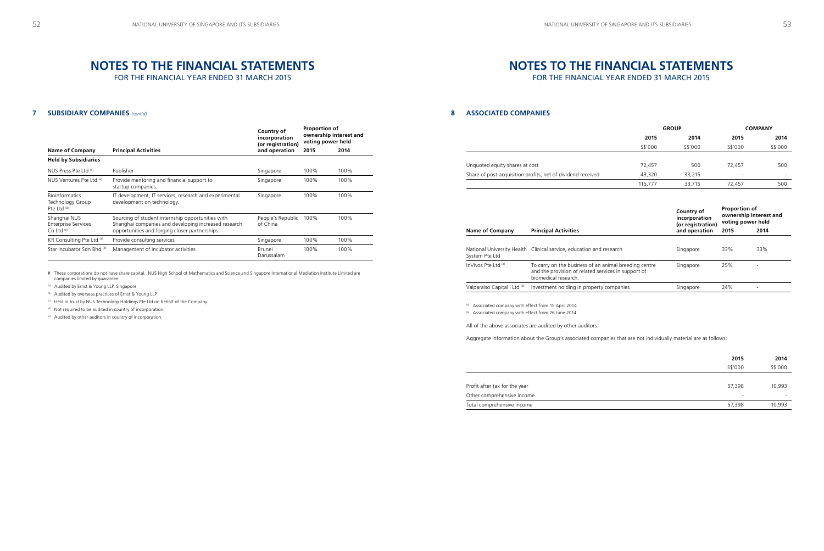FOR THE FINANCIAL YEAR ENDED 31 MARCH 2015

# **NOTES TO THE FINANCIAL STATEMENTS**

FOR THE FINANCIAL YEAR ENDED 31 MARCH 2015

#### **7 SUBSIDIARY COMPANIES** *(cont'd)* **8 ASSOCIATED COMPANIES**

|                                                                     |                                                                                                                                                             | Country of<br>incorporation<br>(or registration) | <b>Proportion of</b><br>ownership interest and<br>voting power held |      |  |
|---------------------------------------------------------------------|-------------------------------------------------------------------------------------------------------------------------------------------------------------|--------------------------------------------------|---------------------------------------------------------------------|------|--|
| <b>Name of Company</b>                                              | <b>Principal Activities</b>                                                                                                                                 | and operation                                    | 2015                                                                | 2014 |  |
| <b>Held by Subsidiaries</b>                                         |                                                                                                                                                             |                                                  |                                                                     |      |  |
| NUS Press Pte Ltd (a)                                               | Publisher                                                                                                                                                   | Singapore                                        | 100%                                                                | 100% |  |
| NUS Ventures Pte Ltd (a)                                            | Provide mentoring and financial support to<br>startup companies.                                                                                            | Singapore                                        | 100%                                                                | 100% |  |
| <b>Bioinformatics</b><br>Technology Group<br>Pte Ltd <sup>(a)</sup> | IT development, IT services, research and experimental<br>development on technology.                                                                        | Singapore                                        | 100%                                                                | 100% |  |
| Shanghai NUS<br><b>Enterprise Services</b><br>Co Ltd <sup>(e)</sup> | Sourcing of student internship opportunities with<br>Shanghai companies and developing increased research<br>opportunities and forging closer partnerships. | People's Republic 100%<br>of China               |                                                                     | 100% |  |
| KR Consulting Pte Ltd (a)                                           | Provide consulting services                                                                                                                                 | Singapore                                        | 100%                                                                | 100% |  |
| Star Incubator Sdn Bhd (b)                                          | Management of incubator activities                                                                                                                          | Brunei<br>Darussalam                             | 100%                                                                | 100% |  |

# These corporations do not have share capital. NUS High School of Mathematics and Science and Singapore International Mediation Institute Limited are companies limited by guarantee.

(a) Audited by Ernst & Young LLP, Singapore

(b) Audited by overseas practices of Ernst & Young LLP

(c) Held in trust by NUS Technology Holdings Pte Ltd on behalf of the Company.

(d) Not required to be audited in country of incorporation.

(e) Audited by other auditors in country of incorporation.

|                                                             | <b>GROUP</b> |         | <b>COMPANY</b> |         |
|-------------------------------------------------------------|--------------|---------|----------------|---------|
|                                                             | 2015         | 2014    | 2015           | 2014    |
|                                                             | S\$'000      | S\$'000 | S\$'000        | S\$'000 |
|                                                             |              |         |                |         |
| Unquoted equity shares at cost                              | 72,457       | 500     | 72.457         | 500     |
| Share of post-acquisition profits, net of dividend received | 43,320       | 33,215  | ٠              | $\sim$  |
|                                                             | 115,777      | 33,715  | 72.457         | 500     |

|                              |                                                                                                                                      | Country of<br>incorporation<br>(or registration) | <b>Proportion of</b><br>ownership interest and<br>voting power held |                          |
|------------------------------|--------------------------------------------------------------------------------------------------------------------------------------|--------------------------------------------------|---------------------------------------------------------------------|--------------------------|
| Name of Company              | <b>Principal Activities</b>                                                                                                          | and operation                                    | 2015                                                                | 2014                     |
| System Pte Ltd               | National University Health Clinical service, education and research                                                                  | Singapore                                        | 33%                                                                 | 33%                      |
| InVivos Pte Ltd (a)          | To carry on the business of an animal breeding centre<br>and the provision of related services in support of<br>biomedical research. | Singapore                                        | 25%                                                                 |                          |
| Valparaiso Capital I Ltd (b) | Investment holding in property companies                                                                                             | Singapore                                        | 24%                                                                 | $\overline{\phantom{a}}$ |

(a) Associated company with effect from 15 April 2014

(b) Associated company with effect from 26 June 2014

All of the above associates are audited by other auditors.

Aggregate information about the Group's associated companies that are not individually material are as follows:

|                               | 2015                     | 2014    |
|-------------------------------|--------------------------|---------|
|                               | S\$'000                  | S\$'000 |
|                               |                          |         |
| Profit after tax for the year | 57,398                   | 10.993  |
| Other comprehensive income    | $\overline{\phantom{a}}$ | $\sim$  |
| Total comprehensive income    | 57,398                   | 10.993  |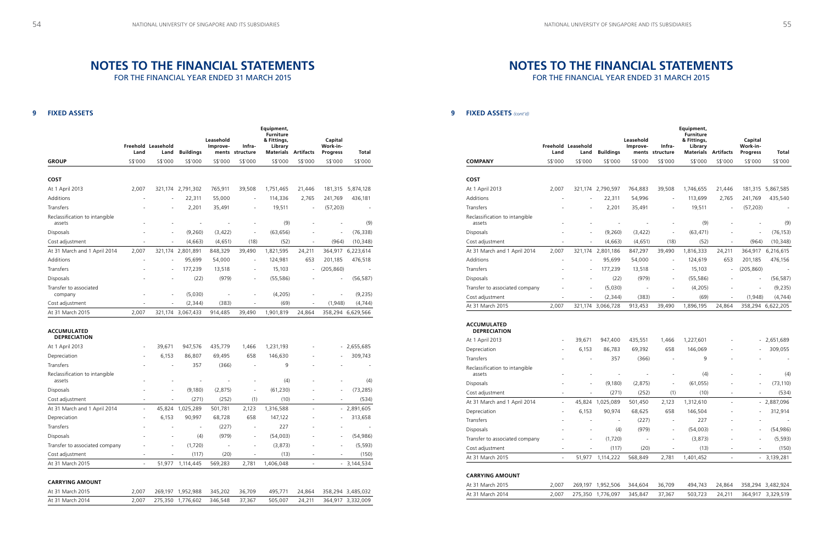FOR THE FINANCIAL YEAR ENDED 31 MARCH 2015

# **NOTES TO THE FINANCIAL STATEMENTS**

FOR THE FINANCIAL YEAR ENDED 31 MARCH 2015

#### **9 FIXED ASSETS 9 FIXED ASSETS** *(cont'd)*

|                                          | Land                     | Freehold Leasehold<br>Land | <b>Buildings</b>         | Leasehold<br>Improve- | Infra-<br>ments structure | Equipment,<br><b>Furniture</b><br>& Fittings,<br>Library<br>Materials | <b>Artifacts</b>         | Capital<br>Work-in-<br><b>Progress</b> | Total             |
|------------------------------------------|--------------------------|----------------------------|--------------------------|-----------------------|---------------------------|-----------------------------------------------------------------------|--------------------------|----------------------------------------|-------------------|
| <b>GROUP</b>                             | S\$'000                  | S\$'000                    | S\$'000                  | S\$'000               | S\$'000                   | S\$'000                                                               | S\$'000                  | S\$'000                                | S\$'000           |
|                                          |                          |                            |                          |                       |                           |                                                                       |                          |                                        |                   |
| <b>COST</b>                              |                          |                            |                          |                       |                           |                                                                       |                          |                                        |                   |
| At 1 April 2013                          | 2,007                    |                            | 321,174 2,791,302        | 765,911               | 39,508                    | 1,751,465                                                             | 21,446                   | 181,315                                | 5,874,128         |
| Additions                                |                          |                            | 22,311                   | 55,000                | ä,                        | 114,336                                                               | 2,765                    | 241,769                                | 436,181           |
| Transfers                                |                          |                            | 2,201                    | 35,491                |                           | 19,511                                                                | ÷,                       | (57, 203)                              |                   |
| Reclassification to intangible<br>assets |                          |                            | $\overline{\phantom{a}}$ |                       |                           | (9)                                                                   |                          |                                        | (9)               |
| Disposals                                |                          |                            | (9,260)                  | (3, 422)              | ÷,                        | (63, 656)                                                             |                          | ÷,                                     | (76, 338)         |
| Cost adjustment                          |                          | ä,                         | (4,663)                  | (4,651)               | (18)                      | (52)                                                                  |                          | (964)                                  | (10, 348)         |
| At 31 March and 1 April 2014             | 2,007                    |                            | 321,174 2,801,891        | 848,329               | 39,490                    | 1,821,595                                                             | 24,211                   | 364,917                                | 6,223,614         |
| Additions                                |                          | ÷,                         | 95,699                   | 54,000                | $\overline{\phantom{a}}$  | 124,981                                                               | 653                      | 201,185                                | 476,518           |
| Transfers                                |                          |                            | 177,239                  | 13,518                | ÷,                        | 15,103                                                                | ä,                       | (205, 860)                             |                   |
| <b>Disposals</b>                         |                          |                            | (22)                     | (979)                 |                           | (55, 586)                                                             |                          |                                        | (56, 587)         |
| Transfer to associated<br>company        |                          |                            | (5,030)                  |                       |                           | (4, 205)                                                              |                          | ł,                                     | (9,235)           |
| Cost adjustment                          |                          |                            | (2, 344)                 | (383)                 |                           | (69)                                                                  |                          | (1,948)                                | (4, 744)          |
| At 31 March 2015                         | 2,007                    |                            | 321,174 3,067,433        | 914,485               | 39,490                    | 1,901,819                                                             | 24,864                   |                                        | 358,294 6,629,566 |
| ACCUMULATED<br>DEPRECIATION              |                          |                            |                          |                       |                           |                                                                       |                          |                                        |                   |
| At 1 April 2013                          |                          | 39,671                     | 947,576                  | 435,779               | 1,466                     | 1,231,193                                                             |                          |                                        | 2,655,685         |
| Depreciation                             |                          | 6,153                      | 86,807                   | 69,495                | 658                       | 146,630                                                               |                          |                                        | 309,743           |
| Transfers                                |                          |                            | 357                      | (366)                 | ÷,                        | 9                                                                     |                          |                                        |                   |
| Reclassification to intangible<br>assets |                          |                            | J.                       |                       |                           | (4)                                                                   |                          |                                        | (4)               |
| Disposals                                |                          |                            | (9,180)                  | (2,875)               | ä,                        | (61, 230)                                                             |                          | ä,                                     | (73, 285)         |
| Cost adjustment                          | $\overline{\phantom{a}}$ | $\overline{\phantom{a}}$   | (271)                    | (252)                 | (1)                       | (10)                                                                  | $\overline{\phantom{m}}$ | $\overline{\phantom{a}}$               | (534)             |
| At 31 March and 1 April 2014             | ÷,                       |                            | 45,824 1,025,289         | 501,781               | 2,123                     | 1,316,588                                                             | ä,                       | $\overline{\phantom{a}}$               | 2,891,605         |
| Depreciation                             |                          | 6,153                      | 90,997                   | 68,728                | 658                       | 147,122                                                               |                          |                                        | 313,658           |
| Transfers                                |                          | $\overline{a}$             | $\sim$                   | (227)                 | ÷.                        | 227                                                                   |                          |                                        |                   |
| Disposals                                |                          |                            | (4)                      | (979)                 |                           | (54,003)                                                              |                          |                                        | (54, 986)         |
| Transfer to associated company           |                          | ٠                          | (1,720)                  | ä,                    | ä,                        | (3,873)                                                               |                          | ä,                                     | (5, 593)          |
| Cost adjustment                          | $\sim$                   | ÷,                         | (117)                    | (20)                  | ÷,                        | (13)                                                                  | ÷,                       | $\overline{\phantom{a}}$               | (150)             |
| At 31 March 2015                         | ÷,                       | 51.977                     | 1,114,445                | 569.283               | 2,781                     | 1,406,048                                                             | ÷,                       | ÷,                                     | 3,144,534         |
| <b>CARRYING AMOUNT</b>                   |                          |                            |                          |                       |                           |                                                                       |                          |                                        |                   |
| At 31 March 2015                         | 2,007                    |                            | 269,197 1,952,988        | 345,202               | 36,709                    | 495,771                                                               | 24,864                   |                                        | 358,294 3,485,032 |

At 31 March 2014 2,007 275,350 1,776,602 346,548 37,367 505,007 24,211 364,917 3,332,009

|                                                       | Land           | Freehold Leasehold<br>Land | <b>Buildings</b>         | Leasehold<br>Improve- | Infra-<br>ments structure | Equipment,<br><b>Furniture</b><br>& Fittings,<br>Library<br>Materials | <b>Artifacts</b> | Capital<br>Work-in-<br><b>Progress</b> | <b>Total</b>      |
|-------------------------------------------------------|----------------|----------------------------|--------------------------|-----------------------|---------------------------|-----------------------------------------------------------------------|------------------|----------------------------------------|-------------------|
| <b>COMPANY</b>                                        | S\$'000        | S\$'000                    | S\$'000                  | S\$'000               | S\$'000                   | S\$'000                                                               | S\$'000          | S\$'000                                | S\$'000           |
|                                                       |                |                            |                          |                       |                           |                                                                       |                  |                                        |                   |
| <b>COST</b>                                           |                |                            |                          |                       |                           |                                                                       |                  |                                        |                   |
| At 1 April 2013                                       | 2,007          |                            | 321,174 2,790,597        | 764,883               | 39,508                    | 1,746,655                                                             | 21,446           |                                        | 181,315 5,867,585 |
| Additions                                             |                |                            | 22,311                   | 54,996                | ä,                        | 113,699                                                               | 2,765            | 241,769                                | 435,540           |
| Transfers                                             |                |                            | 2,201                    | 35,491                | ä,                        | 19,511                                                                | $\frac{1}{2}$    | (57, 203)                              |                   |
| Reclassification to intangible<br>assets              |                | ÷.                         | ÷,                       | ÷,                    | ä,                        | (9)                                                                   | ä,               |                                        | (9)               |
| Disposals                                             |                | ä,                         | (9,260)                  | (3, 422)              | ä,                        | (63, 471)                                                             |                  | ÷,                                     | (76, 153)         |
| Cost adjustment                                       |                |                            | (4,663)                  | (4,651)               | (18)                      | (52)                                                                  |                  | (964)                                  | (10, 348)         |
| At 31 March and 1 April 2014                          | 2,007          | 321,174                    | 2,801,186                | 847,297               | 39,490                    | 1,816,333                                                             | 24,211           |                                        | 364,917 6,216,615 |
| Additions                                             |                |                            | 95,699                   | 54,000                | ä,                        | 124,619                                                               | 653              | 201,185                                | 476,156           |
| Transfers                                             |                |                            | 177,239                  | 13,518                | ÷,                        | 15,103                                                                | ÷,               | (205, 860)                             |                   |
| <b>Disposals</b>                                      |                | ä,                         | (22)                     | (979)                 | ä,                        | (55, 586)                                                             | ä,               | ÷,                                     | (56, 587)         |
| Transfer to associated company                        |                | ä,                         | (5,030)                  |                       |                           | (4,205)                                                               |                  | ÷,                                     | (9, 235)          |
| Cost adjustment                                       |                |                            | (2, 344)                 | (383)                 |                           | (69)                                                                  |                  | (1,948)                                | (4, 744)          |
| At 31 March 2015                                      | 2,007          |                            | 321,174 3,066,728        | 913,453               | 39,490                    | 1,896,195                                                             | 24,864           |                                        | 358,294 6,622,205 |
| <b>ACCUMULATED</b><br>DEPRECIATION<br>At 1 April 2013 |                | 39,671                     | 947,400                  | 435,551               | 1,466                     | 1,227,601                                                             |                  |                                        | 2,651,689         |
| Depreciation                                          |                | 6,153                      | 86,783                   | 69,392                | 658                       | 146,069                                                               |                  |                                        | 309,055           |
| Transfers                                             |                |                            | 357                      | (366)                 | ÷,                        | 9                                                                     |                  |                                        |                   |
| Reclassification to intangible<br>assets              |                | ä,                         | $\overline{\phantom{a}}$ | ä,                    | ä,                        | (4)                                                                   |                  |                                        | (4)               |
| <b>Disposals</b>                                      |                | ÷.                         | (9,180)                  | (2,875)               | L,                        | (61, 055)                                                             |                  |                                        | (73, 110)         |
| Cost adjustment                                       | $\overline{a}$ | L.                         | (271)                    | (252)                 | (1)                       | (10)                                                                  | ä,               | J.                                     | (534)             |
| At 31 March and 1 April 2014                          |                | 45,824                     | 1,025,089                | 501,450               | 2,123                     | 1,312,610                                                             |                  | ÷,                                     | 2,887,096         |
| Depreciation                                          |                | 6,153                      | 90,974                   | 68,625                | 658                       | 146,504                                                               |                  |                                        | 312,914           |
| Transfers                                             |                | ä,                         | ÷,                       | (227)                 |                           | 227                                                                   |                  |                                        |                   |
| <b>Disposals</b>                                      |                | ä,                         | (4)                      | (979)                 | ä,                        | (54,003)                                                              |                  |                                        | (54, 986)         |
| Transfer to associated company                        |                |                            | (1,720)                  |                       |                           | (3,873)                                                               |                  |                                        | (5, 593)          |
| Cost adjustment                                       |                | ä,                         | (117)                    | (20)                  |                           | (13)                                                                  |                  |                                        | (150)             |
| At 31 March 2015                                      |                | 51,977                     | 1,114,222                | 568,849               | 2,781                     | 1,401,452                                                             |                  |                                        | 3,139,281         |
| <b>CARRYING AMOUNT</b><br>At 31 March 2015            | 2,007          |                            | 269,197 1,952,506        | 344,604               | 36,709                    | 494,743                                                               | 24,864           |                                        | 358,294 3,482,924 |
| At 31 March 2014                                      | 2,007          | 275,350                    | 1,776,097                | 345,847               | 37,367                    | 503,723                                                               | 24,211           |                                        | 364,917 3,329,519 |
|                                                       |                |                            |                          |                       |                           |                                                                       |                  |                                        |                   |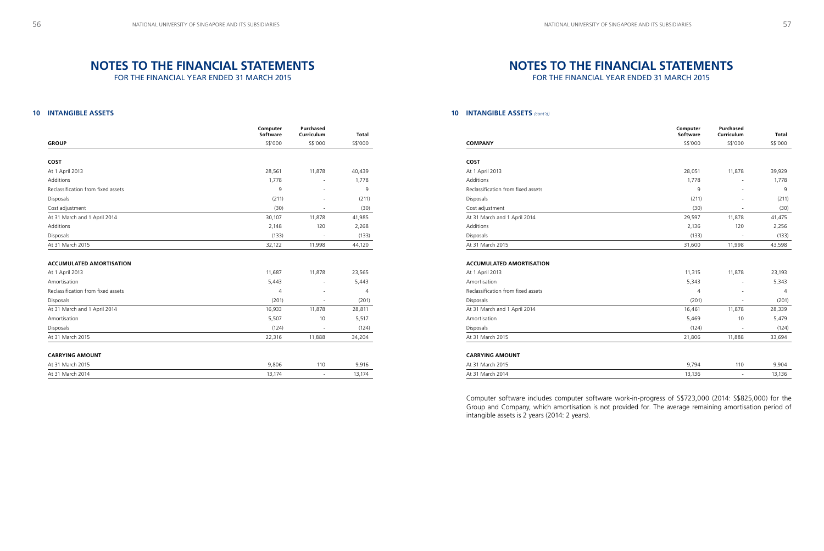FOR THE FINANCIAL YEAR ENDED 31 MARCH 2015

|                                    | Computer<br>Software | <b>Purchased</b><br>Curriculum | <b>Total</b> |
|------------------------------------|----------------------|--------------------------------|--------------|
| <b>GROUP</b>                       | S\$'000              | S\$'000                        | S\$'000      |
| <b>COST</b>                        |                      |                                |              |
| At 1 April 2013                    | 28,561               | 11,878                         | 40,439       |
| Additions                          | 1,778                |                                | 1,778        |
| Reclassification from fixed assets | 9                    |                                | 9            |
| Disposals                          | (211)                |                                | (211)        |
| Cost adjustment                    | (30)                 | $\overline{\phantom{a}}$       | (30)         |
| At 31 March and 1 April 2014       | 30,107               | 11,878                         | 41,985       |
| Additions                          | 2,148                | 120                            | 2,268        |
| Disposals                          | (133)                | ÷,                             | (133)        |
| At 31 March 2015                   | 32,122               | 11,998                         | 44,120       |
| <b>ACCUMULATED AMORTISATION</b>    |                      |                                |              |
| At 1 April 2013                    | 11,687               | 11,878                         | 23,565       |
| Amortisation                       | 5,443                |                                | 5,443        |
| Reclassification from fixed assets | $\overline{4}$       |                                | 4            |
| Disposals                          | (201)                |                                | (201)        |
| At 31 March and 1 April 2014       | 16,933               | 11,878                         | 28,811       |
| Amortisation                       | 5,507                | 10                             | 5,517        |
| Disposals                          | (124)                |                                | (124)        |
| At 31 March 2015                   | 22,316               | 11,888                         | 34,204       |
| <b>CARRYING AMOUNT</b>             |                      |                                |              |
| At 31 March 2015                   | 9,806                | 110                            | 9,916        |
| At 31 March 2014                   | 13,174               | ÷.                             | 13,174       |
|                                    |                      |                                |              |

# **NOTES TO THE FINANCIAL STATEMENTS**

FOR THE FINANCIAL YEAR ENDED 31 MARCH 2015

#### **10 INTANGIBLE ASSETS 10 INTANGIBLE ASSETS** *(cont'd)*

|                                    | Computer<br>Software | Purchased<br>Curriculum  | <b>Total</b> |
|------------------------------------|----------------------|--------------------------|--------------|
| <b>COMPANY</b>                     | S\$'000              | S\$'000                  | S\$'000      |
|                                    |                      |                          |              |
| <b>COST</b>                        |                      |                          |              |
| At 1 April 2013                    | 28,051               | 11,878                   | 39,929       |
| Additions                          | 1,778                |                          | 1,778        |
| Reclassification from fixed assets | 9                    |                          | 9            |
| Disposals                          | (211)                |                          | (211)        |
| Cost adjustment                    | (30)                 | $\overline{a}$           | (30)         |
| At 31 March and 1 April 2014       | 29,597               | 11,878                   | 41,475       |
| Additions                          | 2,136                | 120                      | 2,256        |
| Disposals                          | (133)                | $\overline{a}$           | (133)        |
| At 31 March 2015                   | 31,600               | 11,998                   | 43,598       |
| <b>ACCUMULATED AMORTISATION</b>    |                      |                          |              |
| At 1 April 2013                    | 11,315               | 11,878                   | 23,193       |
| Amortisation                       | 5,343                |                          | 5,343        |
| Reclassification from fixed assets | 4                    |                          | 4            |
| Disposals                          | (201)                | $\overline{a}$           | (201)        |
| At 31 March and 1 April 2014       | 16,461               | 11,878                   | 28,339       |
| Amortisation                       | 5,469                | 10                       | 5,479        |
| Disposals                          | (124)                | $\overline{\phantom{a}}$ | (124)        |
| At 31 March 2015                   | 21,806               | 11,888                   | 33,694       |
| <b>CARRYING AMOUNT</b>             |                      |                          |              |
| At 31 March 2015                   | 9,794                | 110                      | 9,904        |
| At 31 March 2014                   | 13,136               | $\overline{a}$           | 13,136       |
|                                    |                      |                          |              |

Computer software includes computer software work-in-progress of S\$723,000 (2014: S\$825,000) for the Group and Company, which amortisation is not provided for. The average remaining amortisation period of intangible assets is 2 years (2014: 2 years).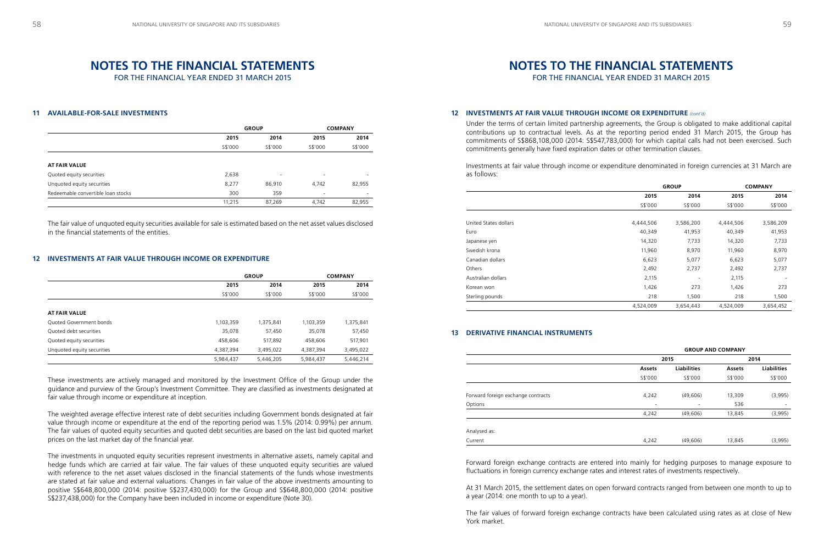FOR THE FINANCIAL YEAR ENDED 31 MARCH 2015

#### **11 AVAILABLE-FOR-SALE INVESTMENTS**

|                                    |         | <b>GROUP</b> |                          | <b>COMPANY</b>           |
|------------------------------------|---------|--------------|--------------------------|--------------------------|
|                                    | 2015    | 2014         | 2015                     | 2014                     |
|                                    | S\$'000 | S\$'000      | S\$'000                  | S\$'000                  |
| AT FAIR VALUE                      |         |              |                          |                          |
| Quoted equity securities           | 2,638   | ۰            | $\overline{\phantom{a}}$ | $\overline{\phantom{a}}$ |
| Unquoted equity securities         | 8,277   | 86,910       | 4,742                    | 82,955                   |
| Redeemable convertible loan stocks | 300     | 359          | ۰                        | ٠                        |
|                                    | 11,215  | 87,269       | 4,742                    | 82,955                   |

The fair value of unquoted equity securities available for sale is estimated based on the net asset values disclosed in the financial statements of the entities.

#### **12 INVESTMENTS AT FAIR VALUE THROUGH INCOME OR EXPENDITURE**

|                                | <b>GROUP</b> |           | <b>COMPANY</b> |           |
|--------------------------------|--------------|-----------|----------------|-----------|
|                                | 2015         | 2014      | 2015           | 2014      |
|                                | S\$'000      | S\$'000   | S\$'000        | S\$'000   |
| <b>AT FAIR VALUE</b>           |              |           |                |           |
| <b>Ouoted Government bonds</b> | 1,103,359    | 1.375.841 | 1,103,359      | 1,375,841 |
| Ouoted debt securities         | 35,078       | 57,450    | 35,078         | 57,450    |
| Quoted equity securities       | 458,606      | 517,892   | 458,606        | 517,901   |
| Unquoted equity securities     | 4,387,394    | 3,495,022 | 4,387,394      | 3,495,022 |
|                                | 5,984,437    | 5,446,205 | 5,984,437      | 5,446,214 |

These investments are actively managed and monitored by the Investment Office of the Group under the guidance and purview of the Group's Investment Committee. They are classified as investments designated at fair value through income or expenditure at inception.

The weighted average effective interest rate of debt securities including Government bonds designated at fair value through income or expenditure at the end of the reporting period was 1.5% (2014: 0.99%) per annum. The fair values of quoted equity securities and quoted debt securities are based on the last bid quoted market prices on the last market day of the financial year.

The investments in unquoted equity securities represent investments in alternative assets, namely capital and hedge funds which are carried at fair value. The fair values of these unquoted equity securities are valued with reference to the net asset values disclosed in the financial statements of the funds whose investments are stated at fair value and external valuations. Changes in fair value of the above investments amounting to positive S\$648,800,000 (2014: positive S\$237,430,000) for the Group and S\$648,800,000 (2014: positive S\$237,438,000) for the Company have been included in income or expenditure (Note 30).

### **NOTES TO THE FINANCIAL STATEMENTS** FOR THE FINANCIAL YEAR ENDED 31 MARCH 2015

#### **12 INVESTMENTS AT FAIR VALUE THROUGH INCOME OR EXPENDITURE** *(cont'd)*

Under the terms of certain limited partnership agreements, the Group is obligated to make additional capital contributions up to contractual levels. As at the reporting period ended 31 March 2015, the Group has commitments of S\$868,108,000 (2014: S\$547,783,000) for which capital calls had not been exercised. Such commitments generally have fixed expiration dates or other termination clauses.

 Investments at fair value through income or expenditure denominated in foreign currencies at 31 March are as follows:

|                       | <b>GROUP</b> |           | <b>COMPANY</b> |           |
|-----------------------|--------------|-----------|----------------|-----------|
|                       | 2015         | 2014      | 2015           | 2014      |
|                       | S\$'000      | S\$'000   | S\$'000        | S\$'000   |
| United States dollars | 4,444,506    | 3,586,200 | 4,444,506      | 3,586,209 |
| Euro                  | 40,349       | 41,953    | 40,349         | 41,953    |
| Japanese yen          | 14,320       | 7,733     | 14,320         | 7,733     |
| Swedish krona         | 11,960       | 8,970     | 11,960         | 8,970     |
| Canadian dollars      | 6,623        | 5,077     | 6,623          | 5,077     |
| Others                | 2,492        | 2,737     | 2,492          | 2,737     |
| Australian dollars    | 2,115        | ٠         | 2,115          |           |
| Korean won            | 1,426        | 273       | 1,426          | 273       |
| Sterling pounds       | 218          | 1,500     | 218            | 1,500     |
|                       | 4,524,009    | 3,654,443 | 4,524,009      | 3,654,452 |

#### **13 DERIVATIVE FINANCIAL INSTRUMENTS**

| <b>GROUP AND COMPANY</b> |                    |               |                          |
|--------------------------|--------------------|---------------|--------------------------|
|                          |                    |               | 2014                     |
| <b>Assets</b>            | <b>Liabilities</b> | <b>Assets</b> | <b>Liabilities</b>       |
| S\$'000                  | S\$'000            | S\$'000       | S\$'000                  |
| 4,242                    | (49,606)           | 13,309        | (3,995)                  |
| ۰                        | ٠                  | 536           | $\overline{\phantom{a}}$ |
| 4,242                    | (49,606)           | 13,845        | (3,995)                  |
|                          |                    |               |                          |
| 4,242                    | (49,606)           | 13,845        | (3,995)                  |
|                          |                    | 2015          |                          |

 Forward foreign exchange contracts are entered into mainly for hedging purposes to manage exposure to fluctuations in foreign currency exchange rates and interest rates of investments respectively.

 At 31 March 2015, the settlement dates on open forward contracts ranged from between one month to up to a year (2014: one month to up to a year).

 The fair values of forward foreign exchange contracts have been calculated using rates as at close of New York market.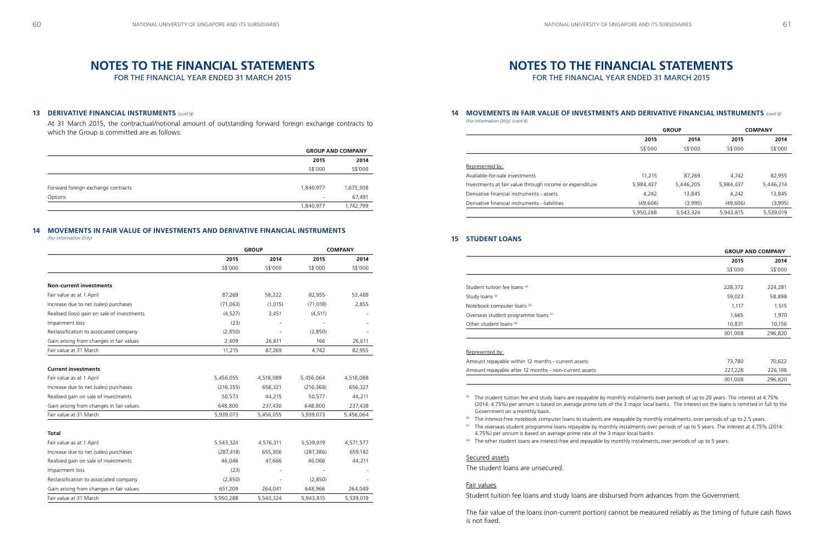FOR THE FINANCIAL YEAR ENDED 31 MARCH 2015

# **NOTES TO THE FINANCIAL STATEMENTS**

FOR THE FINANCIAL YEAR ENDED 31 MARCH 2015

#### **13 DERIVATIVE FINANCIAL INSTRUMENTS** *(cont'd)*

 At 31 March 2015, the contractual/notional amount of outstanding forward foreign exchange contracts to which the Group is committed are as follows:

|                                    |                          | <b>GROUP AND COMPANY</b> |
|------------------------------------|--------------------------|--------------------------|
|                                    | 2015                     | 2014                     |
|                                    | S\$'000                  | S\$'000                  |
|                                    |                          |                          |
| Forward foreign exchange contracts | 1,840,977                | 1,675,308                |
| Options                            | $\overline{\phantom{a}}$ | 67,491                   |
|                                    | 1,840,977                | 1,742,799                |
|                                    |                          |                          |

#### **14 MOVEMENTS IN FAIR VALUE OF INVESTMENTS AND DERIVATIVE FINANCIAL INSTRUMENTS**

*(For Information Only)*

|                                             | <b>GROUP</b> |           | <b>COMPANY</b> |           |
|---------------------------------------------|--------------|-----------|----------------|-----------|
|                                             | 2015         | 2014      | 2015           | 2014      |
|                                             | S\$'000      | S\$'000   | S\$'000        | S\$'000   |
| <b>Non-current investments</b>              |              |           |                |           |
| Fair value as at 1 April                    | 87,269       | 58,222    | 82,955         | 53,489    |
| Increase due to net (sales) purchases       | (71,063)     | (1,015)   | (71, 018)      | 2,855     |
| Realised (loss) gain on sale of investments | (4,527)      | 3,451     | (4, 511)       |           |
| Impairment loss                             | (23)         |           |                |           |
| Reclassification to associated company      | (2,850)      |           | (2,850)        |           |
| Gain arising from changes in fair values    | 2,409        | 26,611    | 166            | 26,611    |
| Fair value at 31 March                      | 11,215       | 87,269    | 4,742          | 82,955    |
| <b>Current investments</b>                  |              |           |                |           |
| Fair value as at 1 April                    | 5,456,055    | 4,518,089 | 5,456,064      | 4,518,088 |
| Increase due to net (sales) purchases       | (216, 355)   | 656,321   | (216, 368)     | 656,327   |
| Realised gain on sale of investments        | 50,573       | 44,215    | 50,577         | 44,211    |
| Gain arising from changes in fair values    | 648,800      | 237,430   | 648,800        | 237,438   |
| Fair value at 31 March                      | 5,939,073    | 5,456,055 | 5,939,073      | 5,456,064 |
| <b>Total</b>                                |              |           |                |           |
| Fair value as at 1 April                    | 5,543,324    | 4,576,311 | 5,539,019      | 4,571,577 |
| Increase due to net (sales) purchases       | (287, 418)   | 655,306   | (287, 386)     | 659,182   |
| Realised gain on sale of investments        | 46,046       | 47,666    | 46,066         | 44,211    |
| Impairment loss                             | (23)         |           |                |           |
| Reclassification to associated company      | (2,850)      |           | (2,850)        |           |
| Gain arising from changes in fair values    | 651,209      | 264,041   | 648,966        | 264,049   |
| Fair value at 31 March                      | 5,950,288    | 5,543,324 | 5,943,815      | 5,539,019 |

#### **14 MOVEMENTS IN FAIR VALUE OF INVESTMENTS AND DERIVATIVE FINANCIAL INSTRUMENTS** *(cont'd) (For Information Only) (cont'd)*

|                                                         |           | <b>GROUP</b> |           | <b>COMPANY</b> |
|---------------------------------------------------------|-----------|--------------|-----------|----------------|
|                                                         | 2015      | 2014         | 2015      | 2014           |
|                                                         | S\$'000   | S\$'000      | S\$'000   | S\$'000        |
|                                                         |           |              |           |                |
| Represented by:                                         |           |              |           |                |
| Available-for-sale investments                          | 11,215    | 87.269       | 4.742     | 82,955         |
| Investments at fair value through income or expenditure | 5,984,437 | 5,446,205    | 5,984,437 | 5,446,214      |
| Derivative financial instruments - assets               | 4.242     | 13,845       | 4.242     | 13,845         |
| Derivative financial instruments - liabilities          | (49,606)  | (3,995)      | (49,606)  | (3,995)        |
|                                                         | 5,950,288 | 5,543,324    | 5,943,815 | 5,539,019      |
|                                                         |           |              |           |                |

#### **15 STUDENT LOANS**

|                                                       |         | <b>GROUP AND COMPANY</b> |
|-------------------------------------------------------|---------|--------------------------|
|                                                       | 2015    | 2014                     |
|                                                       | S\$'000 | S\$'000                  |
| Student tuition fee loans (a)                         | 228,372 | 224,281                  |
| Study loans (a)                                       | 59,023  | 58,898                   |
| Notebook computer loans (b)                           | 1,117   | 1,515                    |
| Overseas student programme loans (c)                  | 1,665   | 1,970                    |
| Other student loans (d)                               | 10,831  | 10,156                   |
|                                                       | 301,008 | 296,820                  |
| Represented by:                                       |         |                          |
| Amount repayable within 12 months - current assets    | 73,780  | 70,622                   |
| Amount repayable after 12 months - non-current assets | 227,228 | 226,198                  |
|                                                       | 301,008 | 296,820                  |

(a) The student tuition fee and study loans are repayable by monthly instalments over periods of up to 20 years. The interest at 4.75% (2014: 4.75%) per annum is based on average prime rate of the 3 major local banks. The interest on the loans is remitted in full to the Government on a monthly basis.

(b) The interest-free notebook computer loans to students are repayable by monthly instalments, over periods of up to 2.5 years.

 $\degree$  The overseas student programme loans repayable by monthly instalments over periods of up to 5 years. The interest at 4.75% (2014: 4.75%) per annum is based on average prime rate of the 3 major local banks.

(d) The other student loans are interest-free and repayable by monthly instalments, over periods of up to 5 years.

#### Secured assets

The student loans are unsecured.

#### Fair values

Student tuition fee loans and study loans are disbursed from advances from the Government.

 The fair value of the loans (non-current portion) cannot be measured reliably as the timing of future cash flows is not fixed.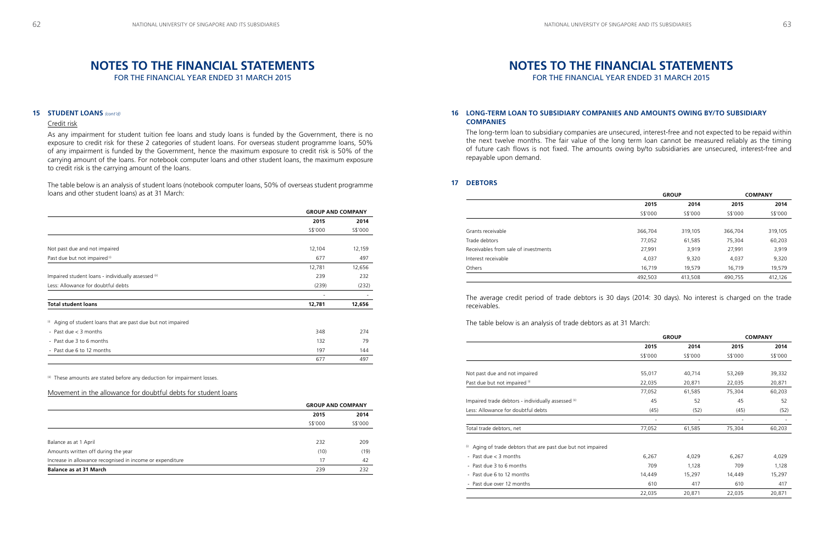FOR THE FINANCIAL YEAR ENDED 31 MARCH 2015

#### **15 STUDENT LOANS** *(cont'd)*

#### Credit risk

 As any impairment for student tuition fee loans and study loans is funded by the Government, there is no exposure to credit risk for these 2 categories of student loans. For overseas student programme loans, 50% of any impairment is funded by the Government, hence the maximum exposure to credit risk is 50% of the carrying amount of the loans. For notebook computer loans and other student loans, the maximum exposure to credit risk is the carrying amount of the loans.

 The table below is an analysis of student loans (notebook computer loans, 50% of overseas student programme loans and other student loans) as at 31 March:

|                                                               | <b>GROUP AND COMPANY</b> |         |
|---------------------------------------------------------------|--------------------------|---------|
|                                                               | 2015                     | 2014    |
|                                                               | S\$'000                  | S\$'000 |
| Not past due and not impaired                                 | 12,104                   | 12,159  |
| Past due but not impaired <sup>(i)</sup>                      | 677                      | 497     |
|                                                               | 12,781                   | 12,656  |
| Impaired student loans - individually assessed (ii)           | 239                      | 232     |
| Less: Allowance for doubtful debts                            | (239)                    | (232)   |
|                                                               | ٠                        |         |
| <b>Total student loans</b>                                    | 12,781                   | 12,656  |
| (i) Aging of student loans that are past due but not impaired |                          |         |
| - Past due $<$ 3 months                                       | 348                      | 274     |
| - Past due 3 to 6 months                                      | 132                      | 79      |
| - Past due 6 to 12 months                                     | 197                      | 144     |
|                                                               | 677                      | 497     |

(ii) These amounts are stated before any deduction for impairment losses.

#### Movement in the allowance for doubtful debts for student loans

|                                                           |         | <b>GROUP AND COMPANY</b> |  |  |
|-----------------------------------------------------------|---------|--------------------------|--|--|
|                                                           | 2015    | 2014                     |  |  |
|                                                           | S\$'000 | S\$'000                  |  |  |
| Balance as at 1 April                                     | 232     | 209                      |  |  |
| Amounts written off during the year                       | (10)    | (19)                     |  |  |
| Increase in allowance recognised in income or expenditure | 17      | 42                       |  |  |
| <b>Balance as at 31 March</b>                             | 239     | 232                      |  |  |

## **NOTES TO THE FINANCIAL STATEMENTS**

FOR THE FINANCIAL YEAR ENDED 31 MARCH 2015

#### **16 LONG-TERM LOAN TO SUBSIDIARY COMPANIES AND AMOUNTS OWING BY/TO SUBSIDIARY COMPANIES**

 The long-term loan to subsidiary companies are unsecured, interest-free and not expected to be repaid within the next twelve months. The fair value of the long term loan cannot be measured reliably as the timing of future cash flows is not fixed. The amounts owing by/to subsidiaries are unsecured, interest-free and repayable upon demand.

#### **17 DEBTORS**

|                                      | <b>GROUP</b> |         | <b>COMPANY</b> |         |
|--------------------------------------|--------------|---------|----------------|---------|
|                                      | 2015         | 2014    | 2015           | 2014    |
|                                      | S\$'000      | S\$'000 | S\$'000        | S\$'000 |
| Grants receivable                    | 366,704      | 319,105 | 366,704        | 319,105 |
| Trade debtors                        | 77,052       | 61,585  | 75,304         | 60,203  |
| Receivables from sale of investments | 27,991       | 3,919   | 27,991         | 3,919   |
| Interest receivable                  | 4,037        | 9,320   | 4,037          | 9,320   |
| Others                               | 16,719       | 19,579  | 16,719         | 19,579  |
|                                      | 492,503      | 413,508 | 490,755        | 412,126 |

 The average credit period of trade debtors is 30 days (2014: 30 days). No interest is charged on the trade receivables.

#### The table below is an analysis of trade debtors as at 31 March:

|                                                                  | <b>GROUP</b> |         | <b>COMPANY</b> |         |
|------------------------------------------------------------------|--------------|---------|----------------|---------|
|                                                                  | 2015         | 2014    | 2015           | 2014    |
|                                                                  | S\$'000      | S\$'000 | S\$'000        | S\$'000 |
| Not past due and not impaired                                    | 55,017       | 40,714  | 53,269         | 39,332  |
| Past due but not impaired (i)                                    | 22,035       | 20,871  | 22,035         | 20,871  |
|                                                                  | 77,052       | 61,585  | 75,304         | 60,203  |
| Impaired trade debtors - individually assessed (ii)              | 45           | 52      | 45             | 52      |
| Less: Allowance for doubtful debts                               | (45)         | (52)    | (45)           | (52)    |
|                                                                  |              |         |                |         |
| Total trade debtors, net                                         | 77,052       | 61,585  | 75,304         | 60,203  |
| Aging of trade debtors that are past due but not impaired<br>(i) |              |         |                |         |
| - Past due $<$ 3 months                                          | 6,267        | 4,029   | 6,267          | 4,029   |
| - Past due 3 to 6 months                                         | 709          | 1,128   | 709            | 1,128   |
| - Past due 6 to 12 months                                        | 14,449       | 15,297  | 14,449         | 15,297  |
| - Past due over 12 months                                        | 610          | 417     | 610            | 417     |
|                                                                  | 22,035       | 20,871  | 22,035         | 20,871  |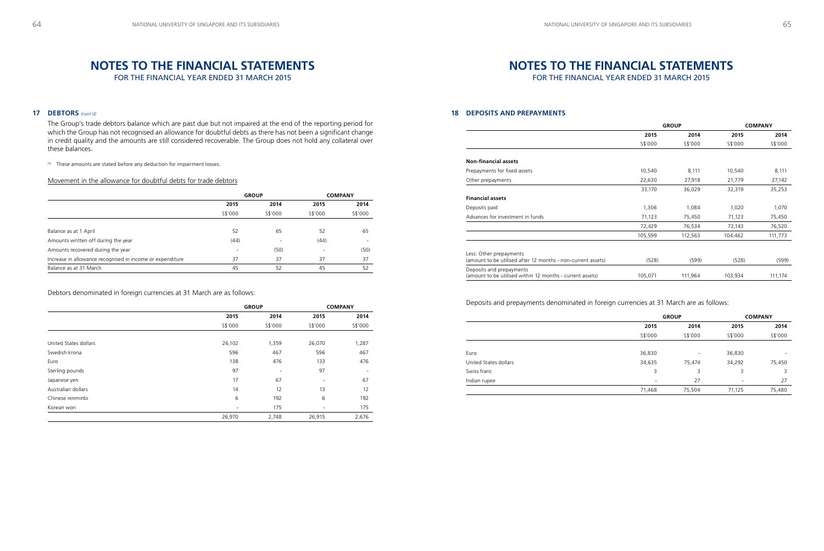FOR THE FINANCIAL YEAR ENDED 31 MARCH 2015

#### **17 DEBTORS** *(cont'd)*

 The Group's trade debtors balance which are past due but not impaired at the end of the reporting period for which the Group has not recognised an allowance for doubtful debts as there has not been a significant change in credit quality and the amounts are still considered recoverable. The Group does not hold any collateral over these balances.

(ii) These amounts are stated before any deduction for impairment losses.

Movement in the allowance for doubtful debts for trade debtors

|                                                           | <b>GROUP</b> |                          | <b>COMPANY</b>           |         |
|-----------------------------------------------------------|--------------|--------------------------|--------------------------|---------|
|                                                           | 2015         | 2014                     | 2015                     | 2014    |
|                                                           | S\$'000      | S\$'000                  | S\$'000                  | S\$'000 |
| Balance as at 1 April                                     | 52           | 65                       | 52                       | 65      |
| Amounts written off during the year                       | (44)         | $\overline{\phantom{a}}$ | (44)                     |         |
| Amounts recovered during the year                         | -            | (50)                     | $\overline{\phantom{a}}$ | (50)    |
| Increase in allowance recognised in income or expenditure | 37           | 37                       | 37                       | 37      |
| Balance as at 31 March                                    | 45           | 52                       | 45                       | 52      |

Debtors denominated in foreign currencies at 31 March are as follows:

|                       |         | <b>GROUP</b> |         | <b>COMPANY</b>           |
|-----------------------|---------|--------------|---------|--------------------------|
|                       | 2015    | 2014         | 2015    | 2014                     |
|                       | S\$'000 | S\$'000      | S\$'000 | S\$'000                  |
| United States dollars | 26,102  | 1,359        | 26,070  | 1,287                    |
| Swedish krona         | 596     | 467          | 596     | 467                      |
| Euro                  | 138     | 476          | 133     | 476                      |
| Sterling pounds       | 97      | ٠            | 97      | $\overline{\phantom{a}}$ |
| Japanese yen          | 17      | 67           | ٠       | 67                       |
| Australian dollars    | 14      | 12           | 13      | 12                       |
| Chinese renminbi      | 6       | 192          | 6       | 192                      |
| Korean won            | ٠       | 175          | ٠       | 175                      |
|                       | 26,970  | 2,748        | 26,915  | 2,676                    |

# **NOTES TO THE FINANCIAL STATEMENTS**

FOR THE FINANCIAL YEAR ENDED 31 MARCH 2015

#### **18 DEPOSITS AND PREPAYMENTS**

|                                                                                         | <b>GROUP</b> |         | <b>COMPANY</b> |         |
|-----------------------------------------------------------------------------------------|--------------|---------|----------------|---------|
|                                                                                         | 2015         | 2014    | 2015           | 2014    |
|                                                                                         | S\$'000      | S\$'000 | S\$'000        | S\$'000 |
| <b>Non-financial assets</b>                                                             |              |         |                |         |
| Prepayments for fixed assets                                                            | 10,540       | 8,111   | 10,540         | 8,111   |
| Other prepayments                                                                       | 22,630       | 27,918  | 21,779         | 27,142  |
|                                                                                         | 33,170       | 36,029  | 32,319         | 35,253  |
| <b>Financial assets</b>                                                                 |              |         |                |         |
| Deposits paid                                                                           | 1,306        | 1,084   | 1,020          | 1,070   |
| Advances for investment in funds                                                        | 71,123       | 75,450  | 71,123         | 75,450  |
|                                                                                         | 72,429       | 76,534  | 72,143         | 76,520  |
|                                                                                         | 105,599      | 112,563 | 104,462        | 111,773 |
| Less: Other prepayments<br>(amount to be utilised after 12 months - non-current assets) | (528)        | (599)   | (528)          | (599)   |
| Deposits and prepayments<br>(amount to be utilised within 12 months - current assets)   | 105,071      | 111,964 | 103,934        | 111,174 |

Deposits and prepayments denominated in foreign currencies at 31 March are as follows:

|                       | <b>GROUP</b> |         | <b>COMPANY</b> |         |
|-----------------------|--------------|---------|----------------|---------|
|                       | 2015         | 2014    | 2015           | 2014    |
|                       | S\$'000      | S\$'000 | S\$'000        | S\$'000 |
|                       |              |         |                |         |
| Euro                  | 36,830       | ٠       | 36,830         |         |
| United States dollars | 34,635       | 75,474  | 34,292         | 75,450  |
| Swiss franc           | 3            | 3       | 3              | 3       |
| Indian rupee          | ٠            | 27      | ٠              | 27      |
|                       | 71,468       | 75,504  | 71,125         | 75,480  |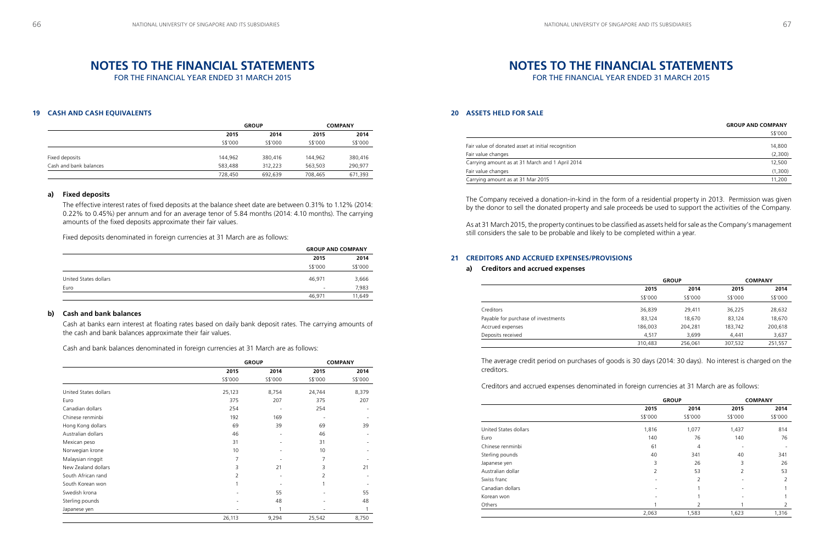FOR THE FINANCIAL YEAR ENDED 31 MARCH 2015

#### **19 CASH AND CASH EQUIVALENTS**

|                        | <b>GROUP</b> |         | <b>COMPANY</b> |         |
|------------------------|--------------|---------|----------------|---------|
|                        | 2015         | 2014    | 2015           | 2014    |
|                        | S\$'000      | S\$'000 | S\$'000        | S\$'000 |
| Fixed deposits         | 144.962      | 380,416 | 144.962        | 380,416 |
| Cash and bank balances | 583,488      | 312.223 | 563,503        | 290,977 |
|                        | 728,450      | 692.639 | 708,465        | 671,393 |

#### **a) Fixed deposits**

 The effective interest rates of fixed deposits at the balance sheet date are between 0.31% to 1.12% (2014: 0.22% to 0.45%) per annum and for an average tenor of 5.84 months (2014: 4.10 months). The carrying amounts of the fixed deposits approximate their fair values.

Fixed deposits denominated in foreign currencies at 31 March are as follows:

|                       | <b>GROUP AND COMPANY</b> |         |
|-----------------------|--------------------------|---------|
|                       | 2015                     | 2014    |
|                       | S\$'000                  | S\$'000 |
| United States dollars | 46,971                   | 3,666   |
| Euro                  | $\sim$                   | 7,983   |
|                       | 46.971                   | 11.649  |

#### **b) Cash and bank balances**

 Cash at banks earn interest at floating rates based on daily bank deposit rates. The carrying amounts of the cash and bank balances approximate their fair values.

Cash and bank balances denominated in foreign currencies at 31 March are as follows:

|                       |         | <b>GROUP</b> |         | <b>COMPANY</b> |
|-----------------------|---------|--------------|---------|----------------|
|                       | 2015    | 2014         | 2015    | 2014           |
|                       | S\$'000 | S\$'000      | S\$'000 | S\$'000        |
| United States dollars | 25,123  | 8,754        | 24,744  | 8,379          |
| Euro                  | 375     | 207          | 375     | 207            |
| Canadian dollars      | 254     |              | 254     |                |
| Chinese renminbi      | 192     | 169          |         |                |
| Hong Kong dollars     | 69      | 39           | 69      | 39             |
| Australian dollars    | 46      |              | 46      |                |
| Mexican peso          | 31      |              | 31      |                |
| Norwegian krone       | 10      |              | 10      |                |
| Malaysian ringgit     | 7       |              | 7       |                |
| New Zealand dollars   | 3       | 21           | 3       | 21             |
| South African rand    | 2       |              | 2       |                |
| South Korean won      |         |              |         |                |
| Swedish krona         |         | 55           |         | 55             |
| Sterling pounds       |         | 48           |         | 48             |
| Japanese yen          |         | 1            |         |                |
|                       | 26,113  | 9,294        | 25,542  | 8,750          |

# **NOTES TO THE FINANCIAL STATEMENTS**

FOR THE FINANCIAL YEAR ENDED 31 MARCH 2015

#### **20 ASSETS HELD FOR SALE**

|                                                    | <b>SINOUL AND COMPANY</b> |
|----------------------------------------------------|---------------------------|
|                                                    | S\$'000                   |
| Fair value of donated asset at initial recognition | 14,800                    |
| Fair value changes                                 | (2,300)                   |
| Carrying amount as at 31 March and 1 April 2014    | 12,500                    |
| Fair value changes                                 | (1,300)                   |
| Carrying amount as at 31 Mar 2015                  | 11,200                    |
|                                                    |                           |

 The Company received a donation-in-kind in the form of a residential property in 2013. Permission was given by the donor to sell the donated property and sale proceeds be used to support the activities of the Company.

 As at 31 March 2015, the property continues to be classified as assets held for sale as the Company's management still considers the sale to be probable and likely to be completed within a year.

#### **21 CREDITORS AND ACCRUED EXPENSES/PROVISIONS**

#### **a) Creditors and accrued expenses**

|                                     | <b>GROUP</b> |         | <b>COMPANY</b> |         |
|-------------------------------------|--------------|---------|----------------|---------|
|                                     | 2015         | 2014    | 2015           | 2014    |
|                                     | S\$'000      | S\$'000 | S\$'000        | S\$'000 |
| Creditors                           | 36,839       | 29,411  | 36,225         | 28,632  |
| Payable for purchase of investments | 83,124       | 18,670  | 83,124         | 18,670  |
| Accrued expenses                    | 186,003      | 204,281 | 183.742        | 200,618 |
| Deposits received                   | 4,517        | 3.699   | 4.441          | 3,637   |
|                                     | 310,483      | 256.061 | 307.532        | 251,557 |

 The average credit period on purchases of goods is 30 days (2014: 30 days). No interest is charged on the creditors.

Creditors and accrued expenses denominated in foreign currencies at 31 March are as follows:

|                       | <b>GROUP</b>   |         |                          | <b>COMPANY</b> |
|-----------------------|----------------|---------|--------------------------|----------------|
|                       | 2015           | 2014    | 2015                     | 2014           |
|                       | S\$'000        | S\$'000 | S\$'000                  | S\$'000        |
| United States dollars | 1,816          | 1,077   | 1,437                    | 814            |
| Euro                  | 140            | 76      | 140                      | 76             |
| Chinese renminbi      | 61             | 4       |                          |                |
| Sterling pounds       | 40             | 341     | 40                       | 341            |
| Japanese yen          | 3              | 26      | 3                        | 26             |
| Australian dollar     | $\overline{2}$ | 53      | $\overline{2}$           | 53             |
| Swiss franc           |                | 2       | ٠                        | 2              |
| Canadian dollars      | -              |         | ۰                        |                |
| Korean won            |                |         | $\overline{\phantom{a}}$ |                |
| Others                |                | 2       |                          | 2              |
|                       | 2,063          | 1,583   | 1,623                    | 1,316          |

**GROUP AND COMPANY**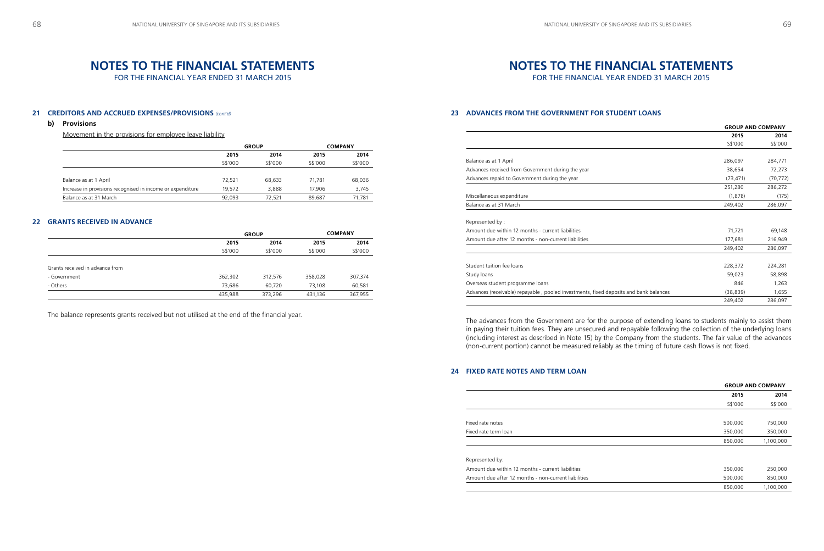FOR THE FINANCIAL YEAR ENDED 31 MARCH 2015

### **21 CREDITORS AND ACCRUED EXPENSES/PROVISIONS** *(cont'd)*

#### **b) Provisions**

Movement in the provisions for employee leave liability

|                                                            |         | <b>GROUP</b> | <b>COMPANY</b> |         |  |
|------------------------------------------------------------|---------|--------------|----------------|---------|--|
|                                                            | 2015    | 2014         | 2015           | 2014    |  |
|                                                            | S\$'000 | S\$'000      | S\$'000        | S\$'000 |  |
| Balance as at 1 April                                      | 72,521  | 68,633       | 71.781         | 68,036  |  |
| Increase in provisions recognised in income or expenditure | 19,572  | 3,888        | 17.906         | 3,745   |  |
| Balance as at 31 March                                     | 92.093  | 72.521       | 89.687         | 71,781  |  |

#### **22 GRANTS RECEIVED IN ADVANCE**

|                                 | <b>GROUP</b> |         | <b>COMPANY</b> |         |
|---------------------------------|--------------|---------|----------------|---------|
|                                 | 2015         | 2014    | 2015           | 2014    |
|                                 | S\$'000      | S\$'000 | S\$'000        | S\$'000 |
| Grants received in advance from |              |         |                |         |
| - Government                    | 362,302      | 312,576 | 358,028        | 307,374 |
| - Others                        | 73,686       | 60,720  | 73,108         | 60,581  |
|                                 | 435,988      | 373,296 | 431,136        | 367,955 |

The balance represents grants received but not utilised at the end of the financial year.

# **NOTES TO THE FINANCIAL STATEMENTS**

FOR THE FINANCIAL YEAR ENDED 31 MARCH 2015

#### **23 ADVANCES FROM THE GOVERNMENT FOR STUDENT LOANS**

|                                                                                       | <b>GROUP AND COMPANY</b> |           |
|---------------------------------------------------------------------------------------|--------------------------|-----------|
|                                                                                       | 2015                     | 2014      |
|                                                                                       | S\$'000                  | S\$'000   |
| Balance as at 1 April                                                                 | 286,097                  | 284,771   |
| Advances received from Government during the year                                     | 38,654                   | 72,273    |
| Advances repaid to Government during the year                                         | (73, 471)                | (70, 772) |
|                                                                                       | 251,280                  | 286,272   |
| Miscellaneous expenditure                                                             | (1,878)                  | (175)     |
| Balance as at 31 March                                                                | 249,402                  | 286,097   |
| Represented by:                                                                       |                          |           |
| Amount due within 12 months - current liabilities                                     | 71.721                   | 69,148    |
| Amount due after 12 months - non-current liabilities                                  | 177,681                  | 216,949   |
|                                                                                       | 249,402                  | 286,097   |
| Student tuition fee loans                                                             | 228,372                  | 224,281   |
| Study loans                                                                           | 59,023                   | 58,898    |
| Overseas student programme loans                                                      | 846                      | 1,263     |
| Advances (receivable) repayable, pooled investments, fixed deposits and bank balances | (38, 839)                | 1,655     |
|                                                                                       | 249,402                  | 286,097   |

 The advances from the Government are for the purpose of extending loans to students mainly to assist them in paying their tuition fees. They are unsecured and repayable following the collection of the underlying loans (including interest as described in Note 15) by the Company from the students. The fair value of the advances (non-current portion) cannot be measured reliably as the timing of future cash flows is not fixed.

#### **24 FIXED RATE NOTES AND TERM LOAN**

|                                                      | <b>GROUP AND COMPANY</b> |           |  |
|------------------------------------------------------|--------------------------|-----------|--|
|                                                      | 2015                     | 2014      |  |
|                                                      | S\$'000                  | S\$'000   |  |
|                                                      |                          |           |  |
| Fixed rate notes                                     | 500,000                  | 750,000   |  |
| Fixed rate term loan                                 | 350,000                  | 350,000   |  |
|                                                      | 850,000                  | 1,100,000 |  |
| Represented by:                                      |                          |           |  |
| Amount due within 12 months - current liabilities    | 350,000                  | 250,000   |  |
| Amount due after 12 months - non-current liabilities | 500,000                  | 850,000   |  |
|                                                      | 850,000                  | 1,100,000 |  |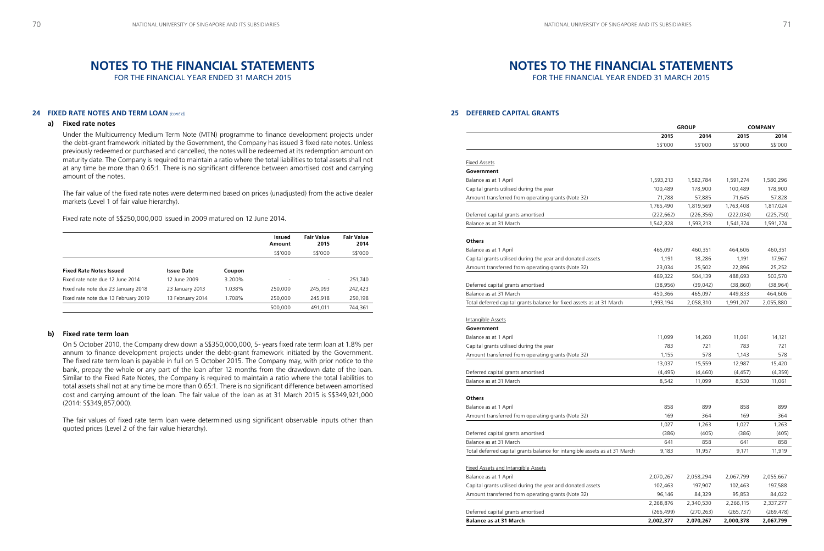FOR THE FINANCIAL YEAR ENDED 31 MARCH 2015

#### **24 FIXED RATE NOTES AND TERM LOAN** *(cont'd)*

#### **a) Fixed rate notes**

 Under the Multicurrency Medium Term Note (MTN) programme to finance development projects under the debt-grant framework initiated by the Government, the Company has issued 3 fixed rate notes. Unless previously redeemed or purchased and cancelled, the notes will be redeemed at its redemption amount on maturity date. The Company is required to maintain a ratio where the total liabilities to total assets shall not at any time be more than 0.65:1. There is no significant difference between amortised cost and carrying amount of the notes.

 The fair value of the fixed rate notes were determined based on prices (unadjusted) from the active dealer markets (Level 1 of fair value hierarchy).

Fixed rate note of S\$250,000,000 issued in 2009 matured on 12 June 2014.

|                                      |                   |        | Issued<br>Amount | <b>Fair Value</b><br>2015 | <b>Fair Value</b><br>2014 |
|--------------------------------------|-------------------|--------|------------------|---------------------------|---------------------------|
|                                      |                   |        | S\$'000          | S\$'000                   | S\$'000                   |
| <b>Fixed Rate Notes Issued</b>       | <b>Issue Date</b> | Coupon |                  |                           |                           |
| Fixed rate note due 12 June 2014     | 12 June 2009      | 3.200% | ۰                | ٠                         | 251,740                   |
| Fixed rate note due 23 January 2018  | 23 January 2013   | 1.038% | 250,000          | 245.093                   | 242,423                   |
| Fixed rate note due 13 February 2019 | 13 February 2014  | 1.708% | 250,000          | 245,918                   | 250,198                   |
|                                      |                   |        | 500,000          | 491.011                   | 744.361                   |

#### **b) Fixed rate term loan**

 On 5 October 2010, the Company drew down a S\$350,000,000, 5- years fixed rate term loan at 1.8% per annum to finance development projects under the debt-grant framework initiated by the Government. The fixed rate term loan is payable in full on 5 October 2015. The Company may, with prior notice to the bank, prepay the whole or any part of the loan after 12 months from the drawdown date of the loan. Similar to the Fixed Rate Notes, the Company is required to maintain a ratio where the total liabilities to total assets shall not at any time be more than 0.65:1. There is no significant difference between amortised cost and carrying amount of the loan. The fair value of the loan as at 31 March 2015 is S\$349,921,000 (2014: S\$349,857,000).

 The fair values of fixed rate term loan were determined using significant observable inputs other than quoted prices (Level 2 of the fair value hierarchy).

# **NOTES TO THE FINANCIAL STATEMENTS**

FOR THE FINANCIAL YEAR ENDED 31 MARCH 2015

#### **25 DEFERRED CAPITAL GRANTS**

|                                                                            | <b>GROUP</b> |            | <b>COMPANY</b> |            |
|----------------------------------------------------------------------------|--------------|------------|----------------|------------|
|                                                                            | 2015         | 2014       | 2015           | 2014       |
|                                                                            | S\$'000      | S\$'000    | S\$'000        | S\$'000    |
| <b>Fixed Assets</b>                                                        |              |            |                |            |
| Government                                                                 |              |            |                |            |
| Balance as at 1 April                                                      | 1,593,213    | 1,582,784  | 1,591,274      | 1,580,296  |
| Capital grants utilised during the year                                    | 100,489      | 178,900    | 100,489        | 178,900    |
| Amount transferred from operating grants (Note 32)                         | 71,788       | 57,885     | 71,645         | 57,828     |
|                                                                            | 1,765,490    | 1,819,569  | 1,763,408      | 1,817,024  |
| Deferred capital grants amortised                                          | (222, 662)   | (226, 356) | (222, 034)     | (225, 750) |
| Balance as at 31 March                                                     | 1,542,828    | 1,593,213  | 1,541,374      | 1,591,274  |
| <b>Others</b>                                                              |              |            |                |            |
| Balance as at 1 April                                                      | 465,097      | 460,351    | 464,606        | 460,351    |
| Capital grants utilised during the year and donated assets                 | 1,191        | 18,286     | 1,191          | 17,967     |
| Amount transferred from operating grants (Note 32)                         | 23,034       | 25,502     | 22,896         | 25,252     |
|                                                                            | 489,322      | 504,139    | 488,693        | 503,570    |
| Deferred capital grants amortised                                          | (38, 956)    | (39, 042)  | (38, 860)      | (38, 964)  |
| Balance as at 31 March                                                     | 450,366      | 465,097    | 449,833        | 464,606    |
| Total deferred capital grants balance for fixed assets as at 31 March      | 1,993,194    | 2,058,310  | 1,991,207      | 2,055,880  |
| <b>Intangible Assets</b>                                                   |              |            |                |            |
| Government                                                                 |              |            |                |            |
| Balance as at 1 April                                                      | 11,099       | 14,260     | 11,061         | 14,121     |
| Capital grants utilised during the year                                    | 783          | 721        | 783            | 721        |
| Amount transferred from operating grants (Note 32)                         | 1,155        | 578        | 1,143          | 578        |
|                                                                            | 13,037       | 15,559     | 12,987         | 15,420     |
| Deferred capital grants amortised                                          | (4, 495)     | (4, 460)   | (4, 457)       | (4,359)    |
| Balance as at 31 March                                                     | 8,542        | 11,099     | 8,530          | 11,061     |
| <b>Others</b>                                                              |              |            |                |            |
| Balance as at 1 April                                                      | 858          | 899        | 858            | 899        |
| Amount transferred from operating grants (Note 32)                         | 169          | 364        | 169            | 364        |
|                                                                            | 1,027        | 1,263      | 1,027          | 1,263      |
| Deferred capital grants amortised                                          | (386)        | (405)      | (386)          | (405)      |
| Balance as at 31 March                                                     | 641          | 858        | 641            | 858        |
| Total deferred capital grants balance for intangible assets as at 31 March | 9,183        | 11,957     | 9,171          | 11,919     |
| <b>Fixed Assets and Intangible Assets</b>                                  |              |            |                |            |
| Balance as at 1 April                                                      | 2,070,267    | 2,058,294  | 2,067,799      | 2,055,667  |
| Capital grants utilised during the year and donated assets                 | 102,463      | 197,907    | 102,463        | 197,588    |
| Amount transferred from operating grants (Note 32)                         | 96,146       | 84,329     | 95,853         | 84,022     |
|                                                                            | 2,268,876    | 2,340,530  | 2,266,115      | 2,337,277  |
| Deferred capital grants amortised                                          | (266, 499)   | (270,263)  | (265, 737)     | (269, 478) |
| <b>Balance as at 31 March</b>                                              | 2,002,377    | 2,070,267  | 2,000,378      | 2,067,799  |
|                                                                            |              |            |                |            |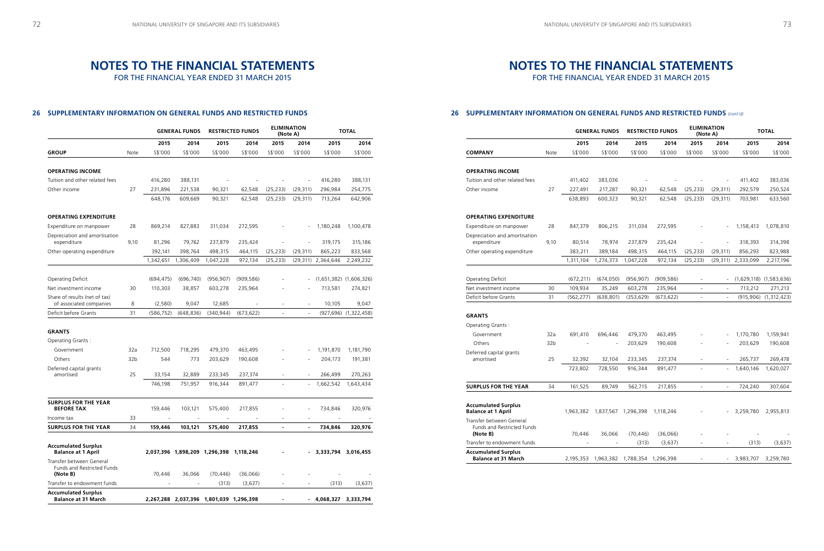FOR THE FINANCIAL YEAR ENDED 31 MARCH 2015

# **NOTES TO THE FINANCIAL STATEMENTS**

FOR THE FINANCIAL YEAR ENDED 31 MARCH 2015

#### **26 SUPPLEMENTARY INFORMATION ON GENERAL FUNDS AND RESTRICTED FUNDS**

|                                                                    |      |            | <b>GENERAL FUNDS</b> |                                         | <b>RESTRICTED FUNDS</b> |                | <b>ELIMINATION</b><br>(Note A) |                      | <b>TOTAL</b>                |
|--------------------------------------------------------------------|------|------------|----------------------|-----------------------------------------|-------------------------|----------------|--------------------------------|----------------------|-----------------------------|
|                                                                    |      | 2015       | 2014                 | 2015                                    | 2014                    | 2015           | 2014                           | 2015                 | 2014                        |
| <b>GROUP</b>                                                       | Note | S\$'000    | S\$'000              | S\$'000                                 | S\$'000                 | S\$'000        | S\$'000                        | S\$'000              | S\$'000                     |
| <b>OPERATING INCOME</b>                                            |      |            |                      |                                         |                         |                |                                |                      |                             |
| Tuition and other related fees                                     |      | 416,280    | 388,131              |                                         |                         |                |                                | 416,280              | 388,131                     |
| Other income                                                       | 27   | 231,896    | 221,538              | 90,321                                  | 62,548                  | (25, 233)      | (29, 311)                      | 296,984              |                             |
|                                                                    |      | 648,176    | 609,669              | 90,321                                  | 62,548                  | (25, 233)      | (29, 311)                      | 713,264              | 254,775<br>642,906          |
| <b>OPERATING EXPENDITURE</b>                                       |      |            |                      |                                         |                         |                |                                |                      |                             |
| Expenditure on manpower                                            | 28   | 869,214    | 827,883              | 311,034                                 | 272,595                 |                |                                | 1,180,248            | 1,100,478                   |
| Depreciation and amortisation<br>expenditure                       | 9,10 | 81,296     | 79,762               | 237,879                                 | 235,424                 |                |                                | 319,175              | 315,186                     |
| Other operating expenditure                                        |      | 392,141    | 398,764              | 498,315                                 | 464,115                 | (25, 233)      | (29, 311)                      | 865,223              | 833,568                     |
|                                                                    |      | 1,342,651  | 1,306,409            | 1,047,228                               | 972,134                 | (25, 233)      |                                | $(29,311)$ 2,364,646 | 2,249,232                   |
| Operating Deficit                                                  |      | (694, 475) | (696, 740)           | (956, 907)                              | (909, 586)              |                |                                |                      | $(1,651,382)$ $(1,606,326)$ |
| Net investment income                                              | 30   | 110,303    | 38,857               | 603,278                                 | 235,964                 |                |                                | 713,581              | 274,821                     |
| Share of results (net of tax)                                      |      |            |                      |                                         |                         |                |                                |                      |                             |
| of associated companies                                            | 8    | (2,580)    | 9,047                | 12,685                                  |                         | ä,             |                                | 10,105               | 9,047                       |
| Deficit before Grants                                              | 31   | (586, 752) | (648, 836)           | (340, 944)                              | (673, 622)              | ä,             | ä,                             |                      | $(927,696)$ $(1,322,458)$   |
| <b>GRANTS</b>                                                      |      |            |                      |                                         |                         |                |                                |                      |                             |
| Operating Grants:                                                  |      |            |                      |                                         |                         |                |                                |                      |                             |
| Government                                                         | 32a  | 712,500    | 718,295              | 479,370                                 | 463,495                 |                |                                | 1,191,870            | 1,181,790                   |
| Others                                                             | 32b  | 544        | 773                  | 203,629                                 | 190,608                 |                |                                | 204,173              | 191,381                     |
| Deferred capital grants<br>amortised                               | 25   | 33,154     | 32,889               | 233,345                                 | 237,374                 | ä,             |                                | 266,499              | 270,263                     |
|                                                                    |      | 746,198    | 751,957              | 916,344                                 | 891,477                 | ÷,             | ä,                             | 1,662,542            | 1,643,434                   |
| <b>SURPLUS FOR THE YEAR</b><br><b>BEFORE TAX</b>                   |      | 159,446    | 103,121              | 575,400                                 | 217,855                 |                |                                | 734,846              | 320,976                     |
| Income tax                                                         | 33   |            |                      | ÷,                                      |                         | ÷,             |                                |                      |                             |
| <b>SURPLUS FOR THE YEAR</b>                                        | 34   | 159,446    | 103,121              | 575,400                                 | 217,855                 | $\blacksquare$ | $\blacksquare$                 | 734,846              | 320,976                     |
| <b>Accumulated Surplus</b><br><b>Balance at 1 April</b>            |      |            |                      | 2,037,396 1,898,209 1,296,398 1,118,246 |                         |                |                                |                      | 3,333,794 3,016,455         |
| Transfer between General<br>Funds and Restricted Funds<br>(Note B) |      | 70,446     | 36,066               | (70, 446)                               | (36,066)                |                |                                |                      |                             |
| Transfer to endowment funds                                        |      |            |                      | (313)                                   | (3,637)                 |                |                                | (313)                | (3,637)                     |
| <b>Accumulated Surplus</b><br><b>Balance at 31 March</b>           |      |            |                      | 2,267,288 2,037,396 1,801,039 1,296,398 |                         |                |                                | 4,068,327            | 3,333,794                   |

#### **26 SUPPLEMENTARY INFORMATION ON GENERAL FUNDS AND RESTRICTED FUNDS** *(cont'd)*

|                                                                    |      | <b>GENERAL FUNDS</b> |                          |                     | <b>RESTRICTED FUNDS</b> |                          | <b>ELIMINATION</b><br>(Note A) |                    | ΤΟΤΑΙ.                      |  |
|--------------------------------------------------------------------|------|----------------------|--------------------------|---------------------|-------------------------|--------------------------|--------------------------------|--------------------|-----------------------------|--|
|                                                                    |      | 2015                 | 2014                     | 2015                | 2014                    | 2015                     | 2014                           | 2015               | 2014                        |  |
| <b>COMPANY</b>                                                     | Note | S\$'000              | S\$'000                  | S\$'000             | S\$'000                 | S\$'000                  | S\$'000                        | S\$'000            | S\$'000                     |  |
| <b>OPERATING INCOME</b>                                            |      |                      |                          |                     |                         |                          |                                |                    |                             |  |
| Tuition and other related fees                                     |      | 411,402              | 383,036                  |                     |                         |                          |                                | 411,402            | 383,036                     |  |
| Other income                                                       | 27   | 227,491              | 217,287                  | 90,321              | 62.548                  | (25, 233)                | (29, 311)                      | 292,579            | 250,524                     |  |
|                                                                    |      | 638,893              | 600,323                  | 90,321              | 62,548                  | (25, 233)                | (29, 311)                      | 703,981            | 633,560                     |  |
| <b>OPERATING EXPENDITURE</b>                                       |      |                      |                          |                     |                         |                          |                                |                    |                             |  |
| Expenditure on manpower                                            | 28   | 847,379              | 806,215                  | 311,034             | 272,595                 |                          |                                | 1,158,413          | 1,078,810                   |  |
| Depreciation and amortisation<br>expenditure                       | 9,10 | 80,514               | 78,974                   | 237,879             | 235,424                 |                          | ÷,                             | 318,393            | 314,398                     |  |
| Other operating expenditure                                        |      | 383,211              | 389,184                  | 498,315             | 464,115                 | (25, 233)                | (29, 311)                      | 856,293            | 823,988                     |  |
|                                                                    |      | 1,311,104            | 1,274,373                | 1,047,228           | 972,134                 | (25, 233)                |                                | (29,311) 2,333,099 | 2,217,196                   |  |
|                                                                    |      |                      |                          |                     |                         |                          |                                |                    |                             |  |
| Operating Deficit                                                  |      | (672, 211)           | (674, 050)               | (956, 907)          | (909, 586)              | $\overline{\phantom{a}}$ | $\overline{\phantom{a}}$       |                    | $(1,629,118)$ $(1,583,636)$ |  |
| Net investment income                                              | 30   | 109,934              | 35,249                   | 603,278             | 235,964                 | ä,                       | $\omega$                       | 713,212            | 271,213                     |  |
| Deficit before Grants                                              | 31   | (562, 277)           | (638, 801)               | (353, 629)          | (673, 622)              | ä,                       | $\overline{\phantom{a}}$       |                    | $(915,906)$ $(1,312,423)$   |  |
| <b>GRANTS</b>                                                      |      |                      |                          |                     |                         |                          |                                |                    |                             |  |
| Operating Grants:                                                  |      |                      |                          |                     |                         |                          |                                |                    |                             |  |
| Government                                                         | 32a  | 691,410              | 696,446                  | 479,370             | 463,495                 |                          |                                | 1,170,780          | 1,159,941                   |  |
| Others                                                             | 32b  |                      | $\overline{\phantom{a}}$ | 203,629             | 190,608                 |                          |                                | 203,629            | 190,608                     |  |
| Deferred capital grants                                            |      |                      |                          |                     |                         |                          |                                |                    |                             |  |
| amortised                                                          | 25   | 32,392               | 32,104                   | 233,345             | 237,374                 | $\overline{\phantom{a}}$ | $\overline{\phantom{a}}$       | 265,737            | 269,478                     |  |
|                                                                    |      | 723,802              | 728,550                  | 916,344             | 891,477                 | ÷,                       | $\overline{\phantom{a}}$       | 1,640,146          | 1,620,027                   |  |
| <b>SURPLUS FOR THE YEAR</b>                                        | 34   | 161,525              | 89,749                   | 562,715             | 217,855                 | $\overline{\phantom{a}}$ | $\blacksquare$                 | 724,240            | 307,604                     |  |
| <b>Accumulated Surplus</b><br><b>Balance at 1 April</b>            |      | 1,963,382            | 1,837,567 1,296,398      |                     | 1,118,246               |                          |                                | 3,259,780          | 2,955,813                   |  |
| Transfer between General<br>Funds and Restricted Funds<br>(Note B) |      | 70,446               | 36,066                   | (70, 446)           | (36,066)                |                          |                                |                    |                             |  |
| Transfer to endowment funds                                        |      |                      |                          | (313)               | (3,637)                 |                          |                                | (313)              | (3,637)                     |  |
| <b>Accumulated Surplus</b><br><b>Balance at 31 March</b>           |      |                      | 2,195,353 1,963,382      | 1,788,354 1,296,398 |                         |                          |                                | 3,983,707          | 3,259,780                   |  |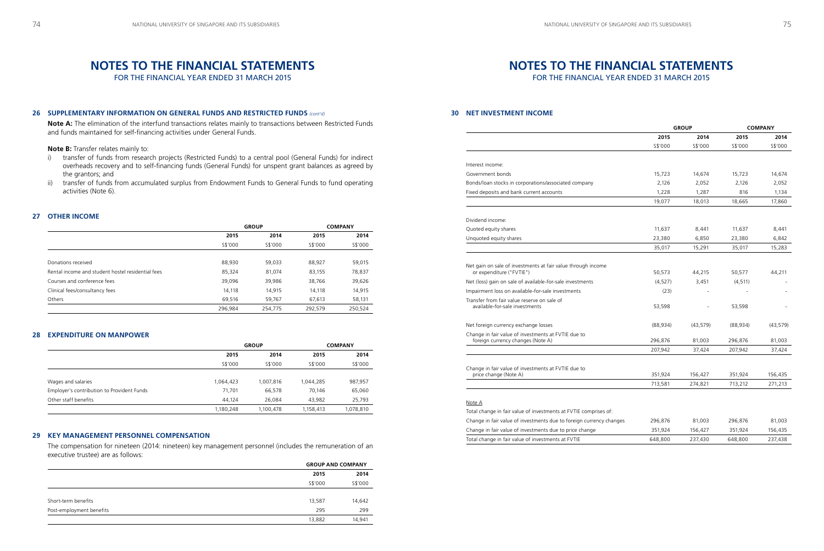FOR THE FINANCIAL YEAR ENDED 31 MARCH 2015

#### **26 SUPPLEMENTARY INFORMATION ON GENERAL FUNDS AND RESTRICTED FUNDS** *(cont'd)*

**Note A:** The elimination of the interfund transactions relates mainly to transactions between Restricted Funds and funds maintained for self-financing activities under General Funds.

#### **Note B:** Transfer relates mainly to:

- i) transfer of funds from research projects (Restricted Funds) to a central pool (General Funds) for indirect overheads recovery and to self-financing funds (General Funds) for unspent grant balances as agreed by the grantors; and
- ii) transfer of funds from accumulated surplus from Endowment Funds to General Funds to fund operating activities (Note 6).

#### **27 OTHER INCOME**

|                                                   | <b>GROUP</b> |         | <b>COMPANY</b> |         |
|---------------------------------------------------|--------------|---------|----------------|---------|
|                                                   | 2015         | 2014    | 2015           | 2014    |
|                                                   | S\$'000      | S\$'000 | S\$'000        | S\$'000 |
|                                                   |              |         |                |         |
| Donations received                                | 88,930       | 59,033  | 88,927         | 59,015  |
| Rental income and student hostel residential fees | 85,324       | 81,074  | 83,155         | 78,837  |
| Courses and conference fees                       | 39,096       | 39,986  | 38,766         | 39,626  |
| Clinical fees/consultancy fees                    | 14,118       | 14,915  | 14,118         | 14,915  |
| Others                                            | 69,516       | 59,767  | 67,613         | 58,131  |
|                                                   | 296.984      | 254,775 | 292.579        | 250.524 |

#### **28 EXPENDITURE ON MANPOWER**

|                                            | <b>GROUP</b> |           | <b>COMPANY</b> |           |
|--------------------------------------------|--------------|-----------|----------------|-----------|
|                                            | 2015         | 2014      | 2015           | 2014      |
|                                            | S\$'000      | S\$'000   | S\$'000        | S\$'000   |
| Wages and salaries                         | 1,064,423    | 1,007,816 | 1,044,285      | 987,957   |
| Employer's contribution to Provident Funds | 71,701       | 66,578    | 70.146         | 65,060    |
| Other staff benefits                       | 44.124       | 26.084    | 43.982         | 25,793    |
|                                            | 1,180,248    | 1,100,478 | 1,158,413      | 1,078,810 |

#### **29 KEY MANAGEMENT PERSONNEL COMPENSATION**

 The compensation for nineteen (2014: nineteen) key management personnel (includes the remuneration of an executive trustee) are as follows:

|                          |         | <b>GROUP AND COMPANY</b> |  |  |
|--------------------------|---------|--------------------------|--|--|
|                          | 2015    | 2014                     |  |  |
|                          | S\$'000 | S\$'000                  |  |  |
|                          |         |                          |  |  |
| Short-term benefits      | 13,587  | 14,642                   |  |  |
| Post-employment benefits | 295     | 299                      |  |  |
|                          | 13,882  | 14,941                   |  |  |

# **NOTES TO THE FINANCIAL STATEMENTS**

FOR THE FINANCIAL YEAR ENDED 31 MARCH 2015

#### **30 NET INVESTMENT INCOME**

|                                                                                          | <b>GROUP</b> |           | <b>COMPANY</b> |           |
|------------------------------------------------------------------------------------------|--------------|-----------|----------------|-----------|
|                                                                                          | 2015         | 2014      | 2015           | 2014      |
|                                                                                          | S\$'000      | S\$'000   | S\$'000        | S\$'000   |
| Interest income:                                                                         |              |           |                |           |
| Government bonds                                                                         | 15,723       | 14,674    | 15,723         | 14,674    |
| Bonds/loan stocks in corporations/associated company                                     | 2.126        | 2.052     | 2,126          | 2,052     |
| Fixed deposits and bank current accounts                                                 | 1,228        | 1,287     | 816            | 1,134     |
|                                                                                          | 19,077       | 18,013    | 18,665         | 17,860    |
| Dividend income:                                                                         |              |           |                |           |
| Quoted equity shares                                                                     | 11,637       | 8,441     | 11,637         | 8,441     |
| Unquoted equity shares                                                                   | 23,380       | 6,850     | 23,380         | 6,842     |
|                                                                                          | 35,017       | 15,291    | 35,017         | 15,283    |
| Net gain on sale of investments at fair value through income<br>or expenditure ("FVTIE") | 50,573       | 44,215    | 50,577         | 44,211    |
| Net (loss) gain on sale of available-for-sale investments                                | (4,527)      | 3,451     | (4, 511)       |           |
| Impairment loss on available-for-sale investments                                        | (23)         |           |                |           |
| Transfer from fair value reserve on sale of<br>available-for-sale investments            | 53,598       |           | 53,598         |           |
| Net foreign currency exchange losses                                                     | (88, 934)    | (43, 579) | (88,934)       | (43, 579) |
| Change in fair value of investments at FVTIE due to                                      |              |           |                |           |
| foreign currency changes (Note A)                                                        | 296,876      | 81,003    | 296,876        | 81,003    |
|                                                                                          | 207,942      | 37,424    | 207,942        | 37,424    |
| Change in fair value of investments at FVTIE due to<br>price change (Note A)             | 351,924      | 156,427   | 351,924        | 156,435   |
|                                                                                          | 713,581      | 274,821   | 713,212        | 271,213   |
| Note A                                                                                   |              |           |                |           |
| Total change in fair value of investments at FVTIE comprises of:                         |              |           |                |           |
| Change in fair value of investments due to foreign currency changes                      | 296,876      | 81,003    | 296,876        | 81,003    |
| Change in fair value of investments due to price change                                  | 351,924      | 156,427   | 351,924        | 156,435   |
| Total change in fair value of investments at FVTIE                                       | 648,800      | 237,430   | 648,800        | 237,438   |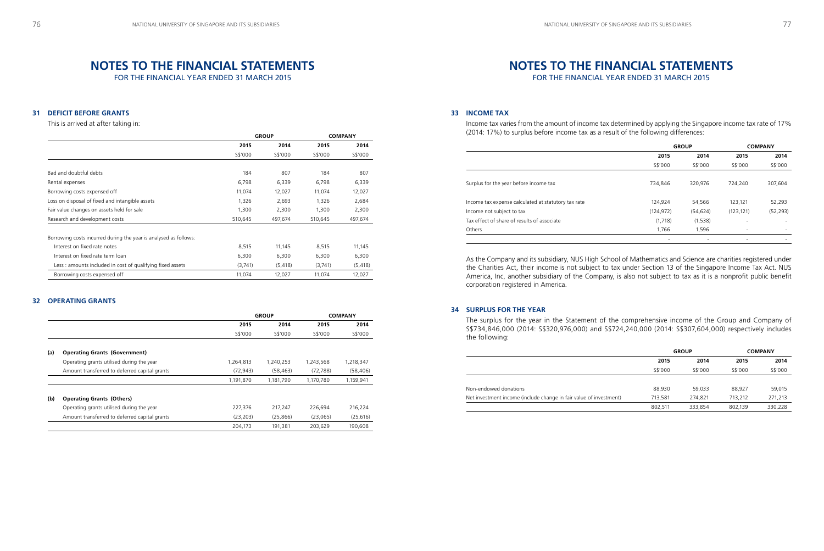FOR THE FINANCIAL YEAR ENDED 31 MARCH 2015

#### **31 DEFICIT BEFORE GRANTS**

This is arrived at after taking in:

|                                                                  | <b>GROUP</b> |          |         | <b>COMPANY</b> |
|------------------------------------------------------------------|--------------|----------|---------|----------------|
|                                                                  | 2015         | 2014     | 2015    | 2014           |
|                                                                  | S\$'000      | S\$'000  | S\$'000 | S\$'000        |
| Bad and doubtful debts                                           | 184          | 807      | 184     | 807            |
| Rental expenses                                                  | 6,798        | 6,339    | 6,798   | 6,339          |
| Borrowing costs expensed off                                     | 11,074       | 12,027   | 11,074  | 12,027         |
| Loss on disposal of fixed and intangible assets                  | 1,326        | 2,693    | 1,326   | 2,684          |
| Fair value changes on assets held for sale                       | 1,300        | 2,300    | 1,300   | 2,300          |
| Research and development costs                                   | 510,645      | 497,674  | 510,645 | 497,674        |
| Borrowing costs incurred during the year is analysed as follows: |              |          |         |                |
| Interest on fixed rate notes                                     | 8,515        | 11,145   | 8,515   | 11,145         |
| Interest on fixed rate term loan                                 | 6,300        | 6,300    | 6,300   | 6,300          |
| Less: amounts included in cost of qualifying fixed assets        | (3,741)      | (5, 418) | (3,741) | (5, 418)       |
| Borrowing costs expensed off                                     | 11,074       | 12,027   | 11,074  | 12,027         |

#### **32 OPERATING GRANTS**

|     |                                               | <b>GROUP</b> |           | <b>COMPANY</b> |           |
|-----|-----------------------------------------------|--------------|-----------|----------------|-----------|
|     |                                               | 2015         | 2014      | 2015           | 2014      |
|     |                                               | S\$'000      | S\$'000   | S\$'000        | S\$'000   |
| (a) | <b>Operating Grants (Government)</b>          |              |           |                |           |
|     | Operating grants utilised during the year     | 1,264,813    | 1,240,253 | 1,243,568      | 1,218,347 |
|     | Amount transferred to deferred capital grants | (72, 943)    | (58, 463) | (72, 788)      | (58, 406) |
|     |                                               | 1,191,870    | 1,181,790 | 1,170,780      | 1,159,941 |
| (b) | <b>Operating Grants (Others)</b>              |              |           |                |           |
|     | Operating grants utilised during the year     | 227,376      | 217,247   | 226.694        | 216,224   |
|     | Amount transferred to deferred capital grants | (23, 203)    | (25, 866) | (23,065)       | (25, 616) |
|     |                                               | 204,173      | 191,381   | 203,629        | 190,608   |

### **NOTES TO THE FINANCIAL STATEMENTS** FOR THE FINANCIAL YEAR ENDED 31 MARCH 2015

#### **33 INCOME TAX**

 Income tax varies from the amount of income tax determined by applying the Singapore income tax rate of 17% (2014: 17%) to surplus before income tax as a result of the following differences:

|                                                     | <b>GROUP</b> |           | <b>COMPANY</b>           |           |
|-----------------------------------------------------|--------------|-----------|--------------------------|-----------|
|                                                     | 2015         | 2014      | 2015                     | 2014      |
|                                                     | S\$'000      | S\$'000   | S\$'000                  | S\$'000   |
| Surplus for the year before income tax              | 734,846      | 320,976   | 724,240                  | 307,604   |
| Income tax expense calculated at statutory tax rate | 124,924      | 54,566    | 123,121                  | 52,293    |
| Income not subject to tax                           | (124, 972)   | (54, 624) | (123, 121)               | (52, 293) |
| Tax effect of share of results of associate         | (1,718)      | (1,538)   | $\overline{\phantom{a}}$ |           |
| Others                                              | 1.766        | 1,596     | $\overline{\phantom{a}}$ |           |
|                                                     |              |           | $\overline{\phantom{a}}$ |           |

 As the Company and its subsidiary, NUS High School of Mathematics and Science are charities registered under the Charities Act, their income is not subject to tax under Section 13 of the Singapore Income Tax Act. NUS America, Inc, another subsidiary of the Company, is also not subject to tax as it is a nonprofit public benefit corporation registered in America.

#### **34 SURPLUS FOR THE YEAR**

 The surplus for the year in the Statement of the comprehensive income of the Group and Company of S\$734,846,000 (2014: S\$320,976,000) and S\$724,240,000 (2014: S\$307,604,000) respectively includes the following:

|                                                                    | <b>GROUP</b> |         | <b>COMPANY</b> |         |
|--------------------------------------------------------------------|--------------|---------|----------------|---------|
|                                                                    | 2015         | 2014    | 2015           | 2014    |
|                                                                    | S\$'000      | S\$'000 | S\$'000        | S\$'000 |
|                                                                    |              |         |                |         |
| Non-endowed donations                                              | 88,930       | 59.033  | 88,927         | 59,015  |
| Net investment income (include change in fair value of investment) | 713.581      | 274.821 | 713,212        | 271,213 |
|                                                                    | 802.511      | 333.854 | 802.139        | 330.228 |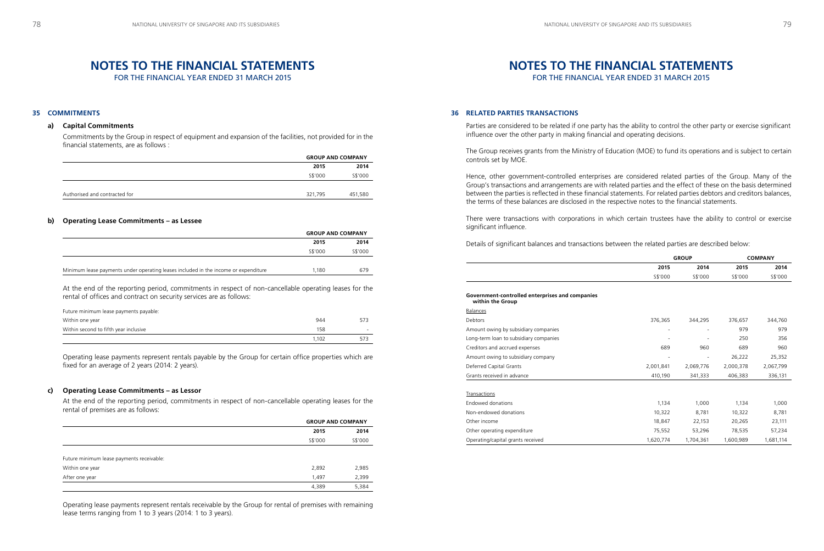FOR THE FINANCIAL YEAR ENDED 31 MARCH 2015

#### **35 COMMITMENTS**

#### **a) Capital Commitments**

 Commitments by the Group in respect of equipment and expansion of the facilities, not provided for in the financial statements, are as follows :

|                               |         | <b>GROUP AND COMPANY</b> |  |  |
|-------------------------------|---------|--------------------------|--|--|
|                               | 2015    | 2014                     |  |  |
|                               | S\$'000 | S\$'000                  |  |  |
| Authorised and contracted for | 321.795 | 451,580                  |  |  |

#### **b) Operating Lease Commitments – as Lessee**

|                                                                                     | <b>GROUP AND COMPANY</b> |         |  |
|-------------------------------------------------------------------------------------|--------------------------|---------|--|
|                                                                                     | 2015                     | 2014    |  |
|                                                                                     | S\$'000                  | S\$'000 |  |
|                                                                                     |                          |         |  |
| Minimum lease payments under operating leases included in the income or expenditure | 1.180                    | 679     |  |

 At the end of the reporting period, commitments in respect of non-cancellable operating leases for the rental of offices and contract on security services are as follows:

| Future minimum lease payments payable: |       |        |
|----------------------------------------|-------|--------|
| Within one year                        | 944   | 573    |
| Within second to fifth year inclusive  | 158   | $\sim$ |
|                                        | 1.102 |        |

 Operating lease payments represent rentals payable by the Group for certain office properties which are fixed for an average of 2 years (2014: 2 years).

#### **c) Operating Lease Commitments – as Lessor**

At the end of the reporting period, commitments in respect of non-cancellable operating leases for the rental of premises are as follows:

|                                           |         | <b>GROUP AND COMPANY</b> |  |  |
|-------------------------------------------|---------|--------------------------|--|--|
|                                           | 2015    | 2014                     |  |  |
|                                           | S\$'000 | S\$'000                  |  |  |
| Future minimum lease payments receivable: |         |                          |  |  |
| Within one year                           | 2,892   | 2,985                    |  |  |
| After one year                            | 1,497   | 2,399                    |  |  |
|                                           | 4,389   | 5,384                    |  |  |
|                                           |         |                          |  |  |

 Operating lease payments represent rentals receivable by the Group for rental of premises with remaining lease terms ranging from 1 to 3 years (2014: 1 to 3 years).

### **NOTES TO THE FINANCIAL STATEMENTS** FOR THE FINANCIAL YEAR ENDED 31 MARCH 2015

#### **36 RELATED PARTIES TRANSACTIONS**

Parties are considered to be related if one party has the ability to control the other party or exercise significant influence over the other party in making financial and operating decisions.

 The Group receives grants from the Ministry of Education (MOE) to fund its operations and is subject to certain controls set by MOE.

 Hence, other government-controlled enterprises are considered related parties of the Group. Many of the Group's transactions and arrangements are with related parties and the effect of these on the basis determined between the parties is reflected in these financial statements. For related parties debtors and creditors balances, the terms of these balances are disclosed in the respective notes to the financial statements.

 There were transactions with corporations in which certain trustees have the ability to control or exercise significant influence.

Details of significant balances and transactions between the related parties are described below:

|                                                                     | <b>GROUP</b> |           | <b>COMPANY</b> |           |
|---------------------------------------------------------------------|--------------|-----------|----------------|-----------|
|                                                                     | 2015         | 2014      | 2015           | 2014      |
|                                                                     | S\$'000      | S\$'000   | S\$'000        | S\$'000   |
| Government-controlled enterprises and companies<br>within the Group |              |           |                |           |
| Balances                                                            |              |           |                |           |
| Debtors                                                             | 376,365      | 344,295   | 376,657        | 344,760   |
| Amount owing by subsidiary companies                                |              |           | 979            | 979       |
| Long-term loan to subsidiary companies                              |              |           | 250            | 356       |
| Creditors and accrued expenses                                      | 689          | 960       | 689            | 960       |
| Amount owing to subsidiary company                                  |              |           | 26,222         | 25,352    |
| Deferred Capital Grants                                             | 2,001,841    | 2,069,776 | 2,000,378      | 2,067,799 |
| Grants received in advance                                          | 410,190      | 341,333   | 406,383        | 336,131   |
| Transactions                                                        |              |           |                |           |
| Endowed donations                                                   | 1,134        | 1,000     | 1,134          | 1,000     |
| Non-endowed donations                                               | 10,322       | 8,781     | 10,322         | 8,781     |
| Other income                                                        | 18,847       | 22,153    | 20,265         | 23,111    |
| Other operating expenditure                                         | 75,552       | 53,296    | 78,535         | 57,234    |
| Operating/capital grants received                                   | 1,620,774    | 1,704,361 | 1,600,989      | 1,681,114 |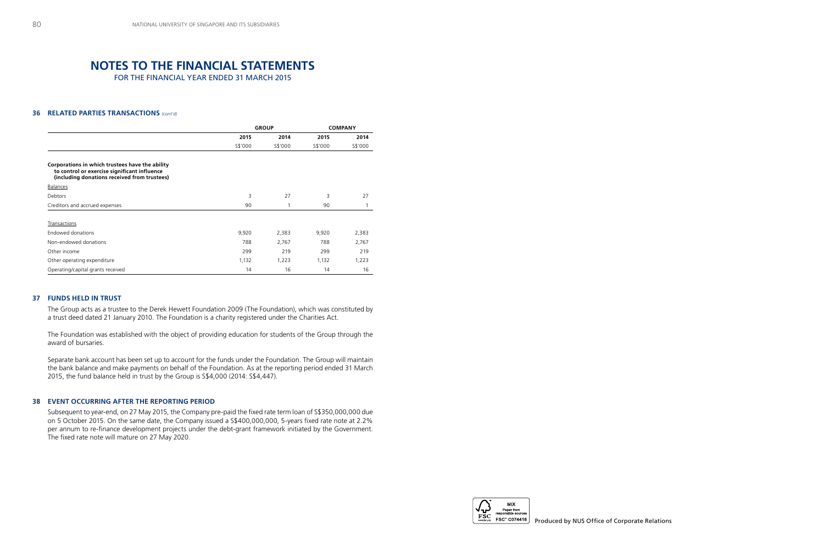### **NOTES TO THE FINANCIAL STATEMENTS** FOR THE FINANCIAL YEAR ENDED 31 MARCH 2015

#### **36 RELATED PARTIES TRANSACTIONS** *(cont'd)*

|                                                                                                                                                 |         | <b>GROUP</b> |         | <b>COMPANY</b> |
|-------------------------------------------------------------------------------------------------------------------------------------------------|---------|--------------|---------|----------------|
|                                                                                                                                                 | 2015    | 2014         | 2015    | 2014           |
|                                                                                                                                                 | S\$'000 | S\$'000      | S\$'000 | S\$'000        |
| Corporations in which trustees have the ability<br>to control or exercise significant influence<br>(including donations received from trustees) |         |              |         |                |
| <b>Balances</b>                                                                                                                                 |         |              |         |                |
| <b>Debtors</b>                                                                                                                                  | 3       | 27           | 3       | 27             |
| Creditors and accrued expenses                                                                                                                  | 90      |              | 90      |                |
| Transactions                                                                                                                                    |         |              |         |                |
| Endowed donations                                                                                                                               | 9,920   | 2,383        | 9,920   | 2,383          |
| Non-endowed donations                                                                                                                           | 788     | 2,767        | 788     | 2,767          |
| Other income                                                                                                                                    | 299     | 219          | 299     | 219            |
| Other operating expenditure                                                                                                                     | 1,132   | 1,223        | 1,132   | 1,223          |
| Operating/capital grants received                                                                                                               | 14      | 16           | 14      | 16             |

#### **37 FUNDS HELD IN TRUST**

 The Group acts as a trustee to the Derek Hewett Foundation 2009 (The Foundation), which was constituted by a trust deed dated 21 January 2010. The Foundation is a charity registered under the Charities Act.

 The Foundation was established with the object of providing education for students of the Group through the award of bursaries.

 Separate bank account has been set up to account for the funds under the Foundation. The Group will maintain the bank balance and make payments on behalf of the Foundation. As at the reporting period ended 31 March 2015, the fund balance held in trust by the Group is S\$4,000 (2014: S\$4,447).

#### **38 EVENT OCCURRING AFTER THE REPORTING PERIOD**

Subsequent to year-end, on 27 May 2015, the Company pre-paid the fixed rate term loan of S\$350,000,000 due on 5 October 2015. On the same date, the Company issued a S\$400,000,000, 5-years fixed rate note at 2.2% per annum to re-finance development projects under the debt-grant framework initiated by the Government. The fixed rate note will mature on 27 May 2020.